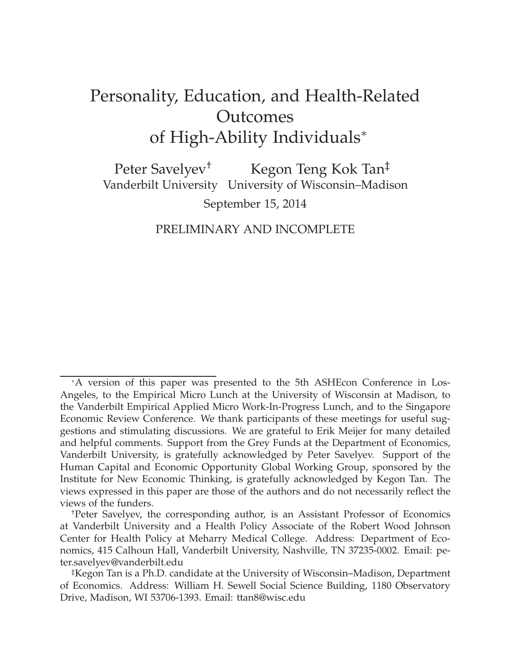# Personality, Education, and Health-Related **Outcomes** of High-Ability Individuals<sup>∗</sup>

Peter Savelyev<sup>†</sup> Kegon Teng Kok Tan<sup>‡</sup> Vanderbilt University University of Wisconsin–Madison September 15, 2014

## PRELIMINARY AND INCOMPLETE

<sup>∗</sup>A version of this paper was presented to the 5th ASHEcon Conference in Los-Angeles, to the Empirical Micro Lunch at the University of Wisconsin at Madison, to the Vanderbilt Empirical Applied Micro Work-In-Progress Lunch, and to the Singapore Economic Review Conference. We thank participants of these meetings for useful suggestions and stimulating discussions. We are grateful to Erik Meijer for many detailed and helpful comments. Support from the Grey Funds at the Department of Economics, Vanderbilt University, is gratefully acknowledged by Peter Savelyev. Support of the Human Capital and Economic Opportunity Global Working Group, sponsored by the Institute for New Economic Thinking, is gratefully acknowledged by Kegon Tan. The views expressed in this paper are those of the authors and do not necessarily reflect the views of the funders.

<sup>†</sup>Peter Savelyev, the corresponding author, is an Assistant Professor of Economics at Vanderbilt University and a Health Policy Associate of the Robert Wood Johnson Center for Health Policy at Meharry Medical College. Address: Department of Economics, 415 Calhoun Hall, Vanderbilt University, Nashville, TN 37235-0002. Email: peter.savelyev@vanderbilt.edu

<sup>‡</sup>Kegon Tan is a Ph.D. candidate at the University of Wisconsin–Madison, Department of Economics. Address: William H. Sewell Social Science Building, 1180 Observatory Drive, Madison, WI 53706-1393. Email: ttan8@wisc.edu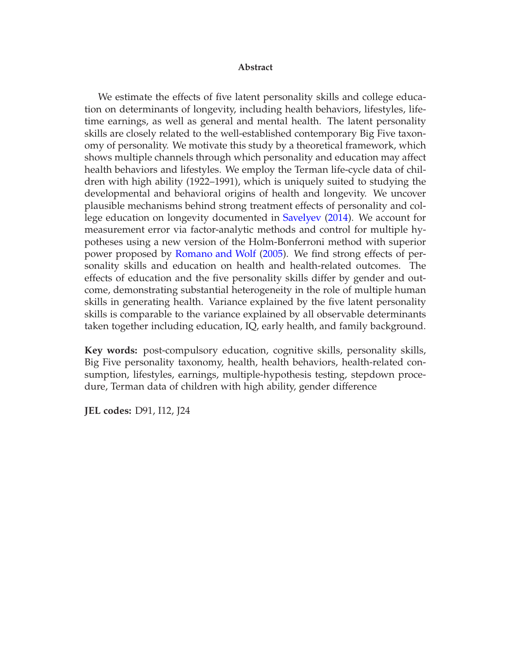#### **Abstract**

We estimate the effects of five latent personality skills and college education on determinants of longevity, including health behaviors, lifestyles, lifetime earnings, as well as general and mental health. The latent personality skills are closely related to the well-established contemporary Big Five taxonomy of personality. We motivate this study by a theoretical framework, which shows multiple channels through which personality and education may affect health behaviors and lifestyles. We employ the Terman life-cycle data of children with high ability (1922–1991), which is uniquely suited to studying the developmental and behavioral origins of health and longevity. We uncover plausible mechanisms behind strong treatment effects of personality and college education on longevity documented in [Savelyev](#page-48-0) [\(2014](#page-48-0)). We account for measurement error via factor-analytic methods and control for multiple hypotheses using a new version of the Holm-Bonferroni method with superior power proposed by [Romano and Wolf](#page-48-1) [\(2005](#page-48-1)). We find strong effects of personality skills and education on health and health-related outcomes. The effects of education and the five personality skills differ by gender and outcome, demonstrating substantial heterogeneity in the role of multiple human skills in generating health. Variance explained by the five latent personality skills is comparable to the variance explained by all observable determinants taken together including education, IQ, early health, and family background.

**Key words:** post-compulsory education, cognitive skills, personality skills, Big Five personality taxonomy, health, health behaviors, health-related consumption, lifestyles, earnings, multiple-hypothesis testing, stepdown procedure, Terman data of children with high ability, gender difference

**JEL codes:** D91, I12, J24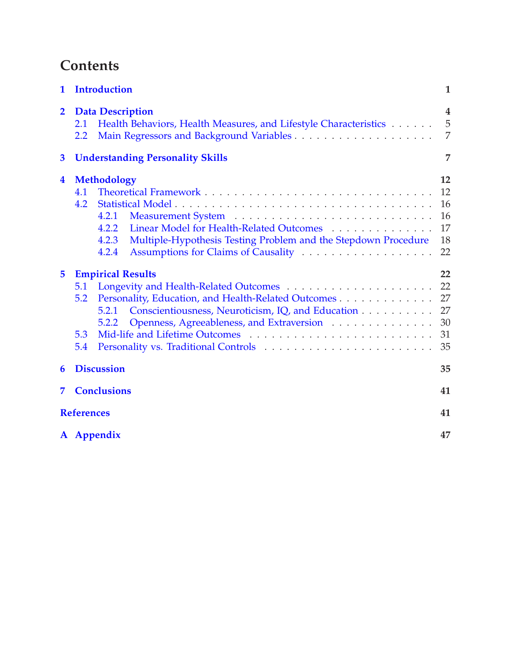# **Contents**

| $\mathbf{1}$            | <b>Introduction</b>                                                                                                                                                                                                             | $\mathbf{1}$                           |
|-------------------------|---------------------------------------------------------------------------------------------------------------------------------------------------------------------------------------------------------------------------------|----------------------------------------|
| $\overline{2}$          | <b>Data Description</b><br>Health Behaviors, Health Measures, and Lifestyle Characteristics<br>2.1<br>2.2                                                                                                                       | 4<br>5<br>$\overline{7}$               |
| $\overline{\mathbf{3}}$ | <b>Understanding Personality Skills</b>                                                                                                                                                                                         | 7                                      |
| $\overline{\mathbf{4}}$ | <b>Methodology</b><br>4.1<br>4.2<br>4.2.1<br>Linear Model for Health-Related Outcomes<br>4.2.2<br>Multiple-Hypothesis Testing Problem and the Stepdown Procedure<br>4.2.3<br>4.2.4                                              | 12<br>12<br>16<br>16<br>17<br>18<br>22 |
| 5                       | <b>Empirical Results</b><br>5.1<br>Personality, Education, and Health-Related Outcomes<br>5.2<br>Conscientiousness, Neuroticism, IQ, and Education<br>5.2.1<br>Openness, Agreeableness, and Extraversion<br>5.2.2<br>5.3<br>5.4 | 22<br>22<br>27<br>27<br>30<br>31<br>35 |
| 6                       | <b>Discussion</b>                                                                                                                                                                                                               | 35                                     |
| 7                       | <b>Conclusions</b>                                                                                                                                                                                                              | 41                                     |
|                         | <b>References</b>                                                                                                                                                                                                               | 41                                     |
|                         | A Appendix                                                                                                                                                                                                                      | 47                                     |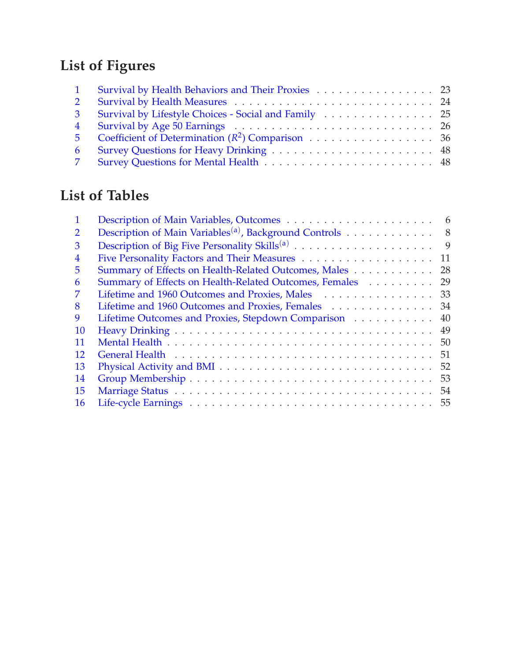# **List of Figures**

| $\mathbf{1}$   | Survival by Health Behaviors and Their Proxies 23    |  |
|----------------|------------------------------------------------------|--|
| 2 <sup>1</sup> |                                                      |  |
| 3 <sup>1</sup> | Survival by Lifestyle Choices - Social and Family 25 |  |
|                |                                                      |  |
|                | 5 Coefficient of Determination $(R^2)$ Comparison 36 |  |
| 6              |                                                      |  |
|                |                                                      |  |

# **List of Tables**

|    |                                                                    | 6   |
|----|--------------------------------------------------------------------|-----|
| 2  | Description of Main Variables <sup>(a)</sup> , Background Controls | - 8 |
| 3  |                                                                    | 9   |
| 4  |                                                                    | 11  |
| 5. | Summary of Effects on Health-Related Outcomes, Males               | 28  |
| 6  | Summary of Effects on Health-Related Outcomes, Females             | 29  |
|    | Lifetime and 1960 Outcomes and Proxies, Males 33                   |     |
| 8  | Lifetime and 1960 Outcomes and Proxies, Females                    | 34  |
| 9  | Lifetime Outcomes and Proxies, Stepdown Comparison                 | 40  |
| 10 |                                                                    |     |
| 11 |                                                                    | 50  |
| 12 |                                                                    | 51  |
| 13 |                                                                    | 52  |
| 14 |                                                                    | 53  |
| 15 |                                                                    |     |
| 16 |                                                                    |     |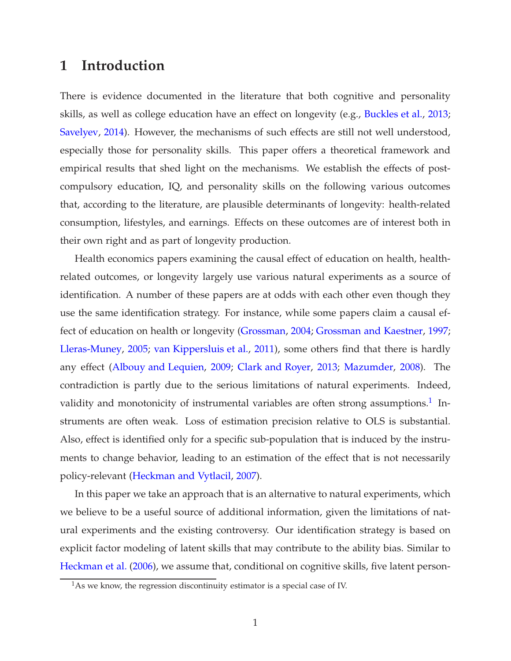# <span id="page-4-0"></span>**1 Introduction**

There is evidence documented in the literature that both cognitive and personality skills, as well as college education have an effect on longevity (e.g., [Buckles et al.](#page-45-0), [2013](#page-45-0); [Savelyev,](#page-48-0) [2014\)](#page-48-0). However, the mechanisms of such effects are still not well understood, especially those for personality skills. This paper offers a theoretical framework and empirical results that shed light on the mechanisms. We establish the effects of postcompulsory education, IQ, and personality skills on the following various outcomes that, according to the literature, are plausible determinants of longevity: health-related consumption, lifestyles, and earnings. Effects on these outcomes are of interest both in their own right and as part of longevity production.

Health economics papers examining the causal effect of education on health, healthrelated outcomes, or longevity largely use various natural experiments as a source of identification. A number of these papers are at odds with each other even though they use the same identification strategy. For instance, while some papers claim a causal effect of education on health or longevity [\(Grossman](#page-47-0), [2004;](#page-47-0) [Grossman and Kaestner,](#page-47-1) [1997](#page-47-1); [Lleras-Muney,](#page-48-2) [2005](#page-48-2); [van Kippersluis et al.,](#page-49-0) [2011\)](#page-49-0), some others find that there is hardly any effect [\(Albouy and Lequien,](#page-45-1) [2009;](#page-45-1) [Clark and Royer](#page-45-2), [2013](#page-45-2); [Mazumder](#page-48-3), [2008\)](#page-48-3). The contradiction is partly due to the serious limitations of natural experiments. Indeed, validity and monotonicity of instrumental variables are often strong assumptions.<sup>1</sup> Instruments are often weak. Loss of estimation precision relative to OLS is substantial. Also, effect is identified only for a specific sub-population that is induced by the instruments to change behavior, leading to an estimation of the effect that is not necessarily policy-relevant [\(Heckman and Vytlacil,](#page-47-2) [2007](#page-47-2)).

In this paper we take an approach that is an alternative to natural experiments, which we believe to be a useful source of additional information, given the limitations of natural experiments and the existing controversy. Our identification strategy is based on explicit factor modeling of latent skills that may contribute to the ability bias. Similar to [Heckman et al.](#page-47-3) [\(2006](#page-47-3)), we assume that, conditional on cognitive skills, five latent person-

 $<sup>1</sup>$ As we know, the regression discontinuity estimator is a special case of IV.</sup>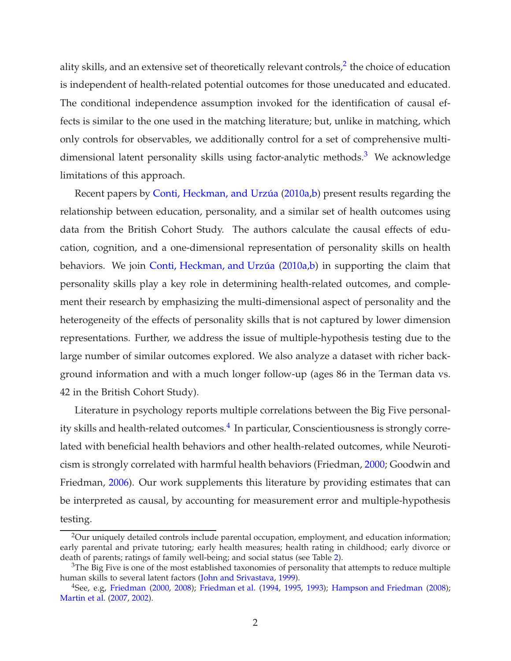ality skills, and an extensive set of theoretically relevant controls, $^2$  the choice of education is independent of health-related potential outcomes for those uneducated and educated. The conditional independence assumption invoked for the identification of causal effects is similar to the one used in the matching literature; but, unlike in matching, which only controls for observables, we additionally control for a set of comprehensive multidimensional latent personality skills using factor-analytic methods.<sup>3</sup> We acknowledge limitations of this approach.

Recent papers by Conti, Heckman, and Urzúa [\(2010a](#page-46-0)[,b](#page-46-1)) present results regarding the relationship between education, personality, and a similar set of health outcomes using data from the British Cohort Study. The authors calculate the causal effects of education, cognition, and a one-dimensional representation of personality skills on health behaviors. We join Conti, Heckman, and Urzúa [\(2010a](#page-46-0)[,b\)](#page-46-1) in supporting the claim that personality skills play a key role in determining health-related outcomes, and complement their research by emphasizing the multi-dimensional aspect of personality and the heterogeneity of the effects of personality skills that is not captured by lower dimension representations. Further, we address the issue of multiple-hypothesis testing due to the large number of similar outcomes explored. We also analyze a dataset with richer background information and with a much longer follow-up (ages 86 in the Terman data vs. 42 in the British Cohort Study).

Literature in psychology reports multiple correlations between the Big Five personality skills and health-related outcomes. $^4$  In particular, Conscientiousness is strongly correlated with beneficial health behaviors and other health-related outcomes, while Neuroticism is strongly correlated with harmful health behaviors (Friedman, [2000](#page-46-2); Goodwin and Friedman, [2006](#page-47-4)). Our work supplements this literature by providing estimates that can be interpreted as causal, by accounting for measurement error and multiple-hypothesis testing.

 $2$ Our uniquely detailed controls include parental occupation, employment, and education information; early parental and private tutoring; early health measures; health rating in childhood; early divorce or death of parents; ratings of family well-being; and social status (see Table [2\)](#page-11-0).

 $3$ The Big Five is one of the most established taxonomies of personality that attempts to reduce multiple human skills to several latent factors [\(John and Srivastava,](#page-48-4) [1999\)](#page-48-4).

<sup>&</sup>lt;sup>4</sup>See, e.g, [Friedman](#page-46-2) [\(2000,](#page-46-2) [2008](#page-46-3)); [Friedman et al.](#page-46-4) [\(1994,](#page-46-4) [1995,](#page-46-5) [1993\)](#page-46-6); [Hampson and Friedman](#page-47-5) [\(2008](#page-47-5)); [Martin et al.](#page-48-5) [\(2007,](#page-48-5) [2002\)](#page-48-6).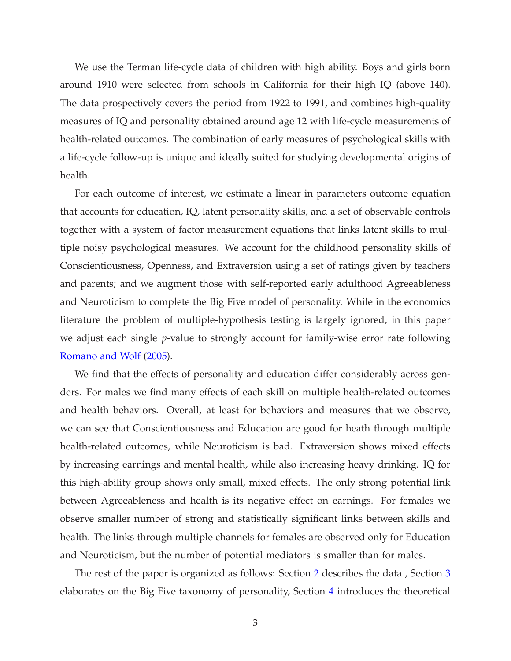We use the Terman life-cycle data of children with high ability. Boys and girls born around 1910 were selected from schools in California for their high IQ (above 140). The data prospectively covers the period from 1922 to 1991, and combines high-quality measures of IQ and personality obtained around age 12 with life-cycle measurements of health-related outcomes. The combination of early measures of psychological skills with a life-cycle follow-up is unique and ideally suited for studying developmental origins of health.

For each outcome of interest, we estimate a linear in parameters outcome equation that accounts for education, IQ, latent personality skills, and a set of observable controls together with a system of factor measurement equations that links latent skills to multiple noisy psychological measures. We account for the childhood personality skills of Conscientiousness, Openness, and Extraversion using a set of ratings given by teachers and parents; and we augment those with self-reported early adulthood Agreeableness and Neuroticism to complete the Big Five model of personality. While in the economics literature the problem of multiple-hypothesis testing is largely ignored, in this paper we adjust each single *p*-value to strongly account for family-wise error rate following [Romano and Wolf](#page-48-1) [\(2005\)](#page-48-1).

We find that the effects of personality and education differ considerably across genders. For males we find many effects of each skill on multiple health-related outcomes and health behaviors. Overall, at least for behaviors and measures that we observe, we can see that Conscientiousness and Education are good for heath through multiple health-related outcomes, while Neuroticism is bad. Extraversion shows mixed effects by increasing earnings and mental health, while also increasing heavy drinking. IQ for this high-ability group shows only small, mixed effects. The only strong potential link between Agreeableness and health is its negative effect on earnings. For females we observe smaller number of strong and statistically significant links between skills and health. The links through multiple channels for females are observed only for Education and Neuroticism, but the number of potential mediators is smaller than for males.

The rest of the paper is organized as follows: Section [2](#page-7-0) describes the data , Section [3](#page-10-1) elaborates on the Big Five taxonomy of personality, Section [4](#page-15-0) introduces the theoretical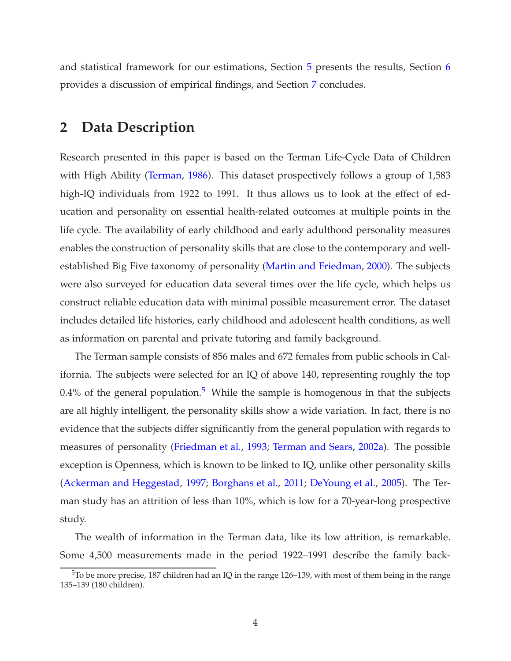<span id="page-7-0"></span>and statistical framework for our estimations, Section [5](#page-25-1) presents the results, Section [6](#page-38-1) provides a discussion of empirical findings, and Section [7](#page-44-0) concludes.

# **2 Data Description**

Research presented in this paper is based on the Terman Life-Cycle Data of Children with High Ability [\(Terman,](#page-49-1) [1986](#page-49-1)). This dataset prospectively follows a group of 1,583 high-IQ individuals from 1922 to 1991. It thus allows us to look at the effect of education and personality on essential health-related outcomes at multiple points in the life cycle. The availability of early childhood and early adulthood personality measures enables the construction of personality skills that are close to the contemporary and wellestablished Big Five taxonomy of personality [\(Martin and Friedman](#page-48-7), [2000\)](#page-48-7). The subjects were also surveyed for education data several times over the life cycle, which helps us construct reliable education data with minimal possible measurement error. The dataset includes detailed life histories, early childhood and adolescent health conditions, as well as information on parental and private tutoring and family background.

The Terman sample consists of 856 males and 672 females from public schools in California. The subjects were selected for an IQ of above 140, representing roughly the top 0.4% of the general population.<sup>5</sup> While the sample is homogenous in that the subjects are all highly intelligent, the personality skills show a wide variation. In fact, there is no evidence that the subjects differ significantly from the general population with regards to measures of personality [\(Friedman et al.,](#page-46-6) [1993;](#page-46-6) [Terman and Sears,](#page-49-2) [2002a\)](#page-49-2). The possible exception is Openness, which is known to be linked to IQ, unlike other personality skills [\(Ackerman and Heggestad](#page-45-3), [1997;](#page-45-3) [Borghans et al.](#page-45-4), [2011;](#page-45-4) [DeYoung et al.](#page-46-7), [2005](#page-46-7)). The Terman study has an attrition of less than 10%, which is low for a 70-year-long prospective study.

The wealth of information in the Terman data, like its low attrition, is remarkable. Some 4,500 measurements made in the period 1922–1991 describe the family back-

<sup>5</sup>To be more precise, 187 children had an IQ in the range 126–139, with most of them being in the range 135–139 (180 children).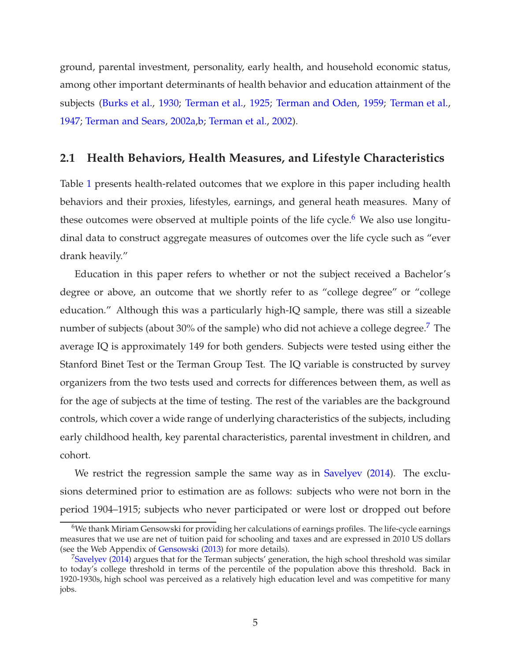ground, parental investment, personality, early health, and household economic status, among other important determinants of health behavior and education attainment of the subjects [\(Burks et al.,](#page-45-5) [1930](#page-45-5); [Terman et al.](#page-49-3), [1925](#page-49-3); [Terman and Oden](#page-49-4), [1959;](#page-49-4) [Terman et al.](#page-49-5), [1947;](#page-49-5) [Terman and Sears](#page-49-2), [2002a](#page-49-2)[,b;](#page-49-6) [Terman et al.,](#page-49-7) [2002](#page-49-7)).

## <span id="page-8-0"></span>**2.1 Health Behaviors, Health Measures, and Lifestyle Characteristics**

Table [1](#page-9-0) presents health-related outcomes that we explore in this paper including health behaviors and their proxies, lifestyles, earnings, and general heath measures. Many of these outcomes were observed at multiple points of the life cycle.<sup>6</sup> We also use longitudinal data to construct aggregate measures of outcomes over the life cycle such as "ever drank heavily."

Education in this paper refers to whether or not the subject received a Bachelor's degree or above, an outcome that we shortly refer to as "college degree" or "college education." Although this was a particularly high-IQ sample, there was still a sizeable number of subjects (about 30% of the sample) who did not achieve a college degree.<sup>7</sup> The average IQ is approximately 149 for both genders. Subjects were tested using either the Stanford Binet Test or the Terman Group Test. The IQ variable is constructed by survey organizers from the two tests used and corrects for differences between them, as well as for the age of subjects at the time of testing. The rest of the variables are the background controls, which cover a wide range of underlying characteristics of the subjects, including early childhood health, key parental characteristics, parental investment in children, and cohort.

We restrict the regression sample the same way as in [Savelyev](#page-48-0) [\(2014\)](#page-48-0). The exclusions determined prior to estimation are as follows: subjects who were not born in the period 1904–1915; subjects who never participated or were lost or dropped out before

 $6$ We thank Miriam Gensowski for providing her calculations of earnings profiles. The life-cycle earnings measures that we use are net of tuition paid for schooling and taxes and are expressed in 2010 US dollars (see the Web Appendix of [Gensowski](#page-47-6) [\(2013\)](#page-47-6) for more details).

 $^7$ [Savelyev](#page-48-0) [\(2014](#page-48-0)) argues that for the Terman subjects' generation, the high school threshold was similar to today's college threshold in terms of the percentile of the population above this threshold. Back in 1920-1930s, high school was perceived as a relatively high education level and was competitive for many jobs.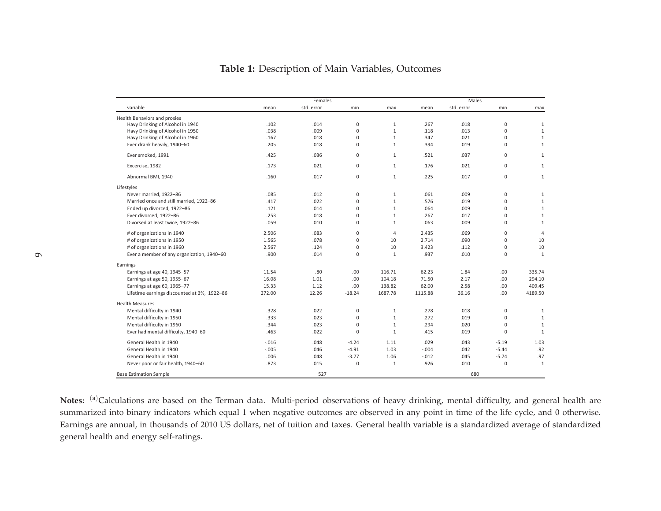<span id="page-9-0"></span>

|                                             |         | Females    |             |                | Males   |            |          |                |
|---------------------------------------------|---------|------------|-------------|----------------|---------|------------|----------|----------------|
| variable                                    | mean    | std. error | min         | max            | mean    | std. error | min      | max            |
| Health Behaviors and proxies                |         |            |             |                |         |            |          |                |
| Havy Drinking of Alcohol in 1940            | .102    | .014       | 0           | 1              | .267    | .018       | 0        | 1              |
| Havy Drinking of Alcohol in 1950            | .038    | .009       | $\mathbf 0$ | $1\,$          | .118    | .013       | 0        | $\mathbf{1}$   |
| Havy Drinking of Alcohol in 1960            | .167    | .018       | 0           | $\mathbf{1}$   | .347    | .021       | 0        | $\mathbf{1}$   |
| Ever drank heavily, 1940-60                 | .205    | .018       | 0           | 1              | .394    | .019       | $\Omega$ | $\mathbf{1}$   |
| Ever smoked, 1991                           | .425    | .036       | 0           | 1              | .521    | .037       | 0        | 1              |
| Excercise, 1982                             | .173    | .021       | 0           | $\mathbf{1}$   | .176    | .021       | $\Omega$ | $\mathbf{1}$   |
| Abnormal BMI, 1940                          | .160    | .017       | 0           | $\mathbf{1}$   | .225    | .017       | 0        | $\mathbf{1}$   |
| Lifestyles                                  |         |            |             |                |         |            |          |                |
| Never married, 1922-86                      | .085    | .012       | 0           | 1              | .061    | .009       | 0        | 1              |
| Married once and still married, 1922-86     | .417    | .022       | 0           | $\mathbf{1}$   | .576    | .019       | 0        | $\mathbf{1}$   |
| Ended up divorced, 1922-86                  | .121    | .014       | 0           | $\mathbf{1}$   | .064    | .009       | 0        | $\mathbf{1}$   |
| Ever divorced, 1922-86                      | .253    | .018       | 0           | $\mathbf{1}$   | .267    | .017       | 0        | $\mathbf{1}$   |
| Divorsed at least twice, 1922-86            | .059    | .010       | 0           | $\mathbf{1}$   | .063    | .009       | $\Omega$ | $\mathbf{1}$   |
| # of organizations in 1940                  | 2.506   | .083       | 0           | $\overline{4}$ | 2.435   | .069       | 0        | $\overline{4}$ |
| # of organizations in 1950                  | 1.565   | .078       | 0           | 10             | 2.714   | .090       | 0        | 10             |
| # of organizations in 1960                  | 2.567   | .124       | 0           | 10             | 3.423   | .112       | $\Omega$ | 10             |
| Ever a member of any organization, 1940-60  | .900    | .014       | 0           | $\mathbf{1}$   | .937    | .010       | 0        | 1              |
| Earnings                                    |         |            |             |                |         |            |          |                |
| Earnings at age 40, 1945-57                 | 11.54   | .80        | .00         | 116.71         | 62.23   | 1.84       | .00.     | 335.74         |
| Earnings at age 50, 1955-67                 | 16.08   | 1.01       | .00         | 104.18         | 71.50   | 2.17       | .00.     | 294.10         |
| Earnings at age 60, 1965-77                 | 15.33   | 1.12       | .00         | 138.82         | 62.00   | 2.58       | .00.     | 409.45         |
| Lifetime earnings discounted at 3%, 1922-86 | 272.00  | 12.26      | $-18.24$    | 1687.78        | 1115.88 | 26.16      | .00.     | 4189.50        |
| <b>Health Measures</b>                      |         |            |             |                |         |            |          |                |
| Mental difficulty in 1940                   | .328    | .022       | 0           | $\mathbf{1}$   | .278    | .018       | 0        | 1              |
| Mental difficulty in 1950                   | .333    | .023       | 0           | $\mathbf{1}$   | .272    | .019       | 0        | $\mathbf{1}$   |
| Mental difficulty in 1960                   | .344    | .023       | 0           | $\mathbf{1}$   | .294    | .020       | 0        | $\mathbf{1}$   |
| Ever had mental difficulty, 1940-60         | .463    | .022       | $\Omega$    | $\mathbf{1}$   | .415    | .019       | $\Omega$ | $\mathbf{1}$   |
| General Health in 1940                      | $-.016$ | .048       | $-4.24$     | 1.11           | .029    | .043       | $-5.19$  | 1.03           |
| General Health in 1940                      | $-.005$ | .046       | $-4.91$     | 1.03           | $-.004$ | .042       | $-5.44$  | .92            |
| General Health in 1940                      | .006    | .048       | $-3.77$     | 1.06           | $-.012$ | .045       | $-5.74$  | .97            |
| Never poor or fair health, 1940-60          | .873    | .015       | 0           | $\mathbf{1}$   | .926    | .010       | 0        | 1              |
| <b>Base Estimation Sample</b>               |         | 527        |             |                |         | 680        |          |                |

### Table 1: Description of Main Variables, Outcomes

Notes: <sup>(a)</sup>Calculations are based on the Terman data. Multi-period observations of heavy drinking, mental difficulty, and general health are summarized into binary indicators which equal 1 when negative outcomes are observed in any point in time of the life cycle, and 0 otherwise. Earnings are annual, in thousands of 2010 US dollars, net of tuition and taxes. General health variable is a standardized average of standardized general health and energy self-ratings.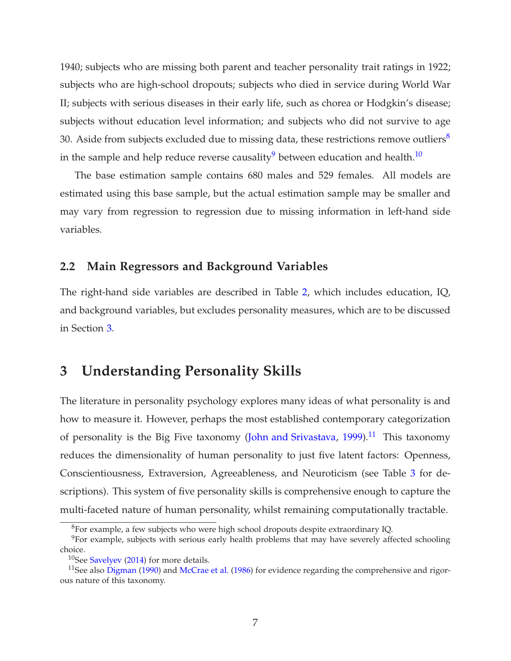1940; subjects who are missing both parent and teacher personality trait ratings in 1922; subjects who are high-school dropouts; subjects who died in service during World War II; subjects with serious diseases in their early life, such as chorea or Hodgkin's disease; subjects without education level information; and subjects who did not survive to age 30. Aside from subjects excluded due to missing data, these restrictions remove outliers<sup>8</sup> in the sample and help reduce reverse causality<sup>9</sup> between education and health.<sup>10</sup>

The base estimation sample contains 680 males and 529 females. All models are estimated using this base sample, but the actual estimation sample may be smaller and may vary from regression to regression due to missing information in left-hand side variables.

### <span id="page-10-0"></span>**2.2 Main Regressors and Background Variables**

The right-hand side variables are described in Table [2,](#page-11-0) which includes education, IQ, and background variables, but excludes personality measures, which are to be discussed in Section [3.](#page-10-1)

# <span id="page-10-1"></span>**3 Understanding Personality Skills**

The literature in personality psychology explores many ideas of what personality is and how to measure it. However, perhaps the most established contemporary categorization of personality is the Big Five taxonomy [\(John and Srivastava,](#page-48-4) [1999\)](#page-48-4).<sup>11</sup> This taxonomy reduces the dimensionality of human personality to just five latent factors: Openness, Conscientiousness, Extraversion, Agreeableness, and Neuroticism (see Table [3](#page-12-0) for descriptions). This system of five personality skills is comprehensive enough to capture the multi-faceted nature of human personality, whilst remaining computationally tractable.

<sup>8</sup>For example, a few subjects who were high school dropouts despite extraordinary IQ.

 $9$ For example, subjects with serious early health problems that may have severely affected schooling choice.

<sup>&</sup>lt;sup>10</sup>See [Savelyev](#page-48-0) [\(2014](#page-48-0)) for more details.

<sup>&</sup>lt;sup>11</sup>See also [Digman](#page-46-8) [\(1990\)](#page-46-8) and [McCrae et al.](#page-48-8) [\(1986](#page-48-8)) for evidence regarding the comprehensive and rigorous nature of this taxonomy.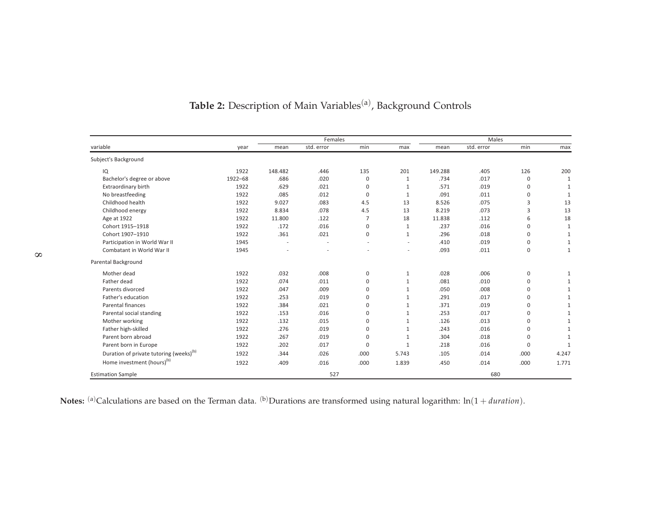<span id="page-11-0"></span>

|                                                     |         |         | Females    |             |                          | Males   |            |             |              |  |
|-----------------------------------------------------|---------|---------|------------|-------------|--------------------------|---------|------------|-------------|--------------|--|
| variable                                            | year    | mean    | std. error | min         | max                      | mean    | std. error | min         | max          |  |
| Subject's Background                                |         |         |            |             |                          |         |            |             |              |  |
| IQ                                                  | 1922    | 148.482 | .446       | 135         | 201                      | 149.288 | .405       | 126         | 200          |  |
| Bachelor's degree or above                          | 1922-68 | .686    | .020       | 0           | $\mathbf{1}$             | .734    | .017       | 0           | 1            |  |
| Extraordinary birth                                 | 1922    | .629    | .021       | $\Omega$    | $\mathbf{1}$             | .571    | .019       | $\mathbf 0$ | 1            |  |
| No breastfeeding                                    | 1922    | .085    | .012       | $\mathbf 0$ | 1                        | .091    | .011       | $\mathbf 0$ | 1            |  |
| Childhood health                                    | 1922    | 9.027   | .083       | 4.5         | 13                       | 8.526   | .075       | 3           | 13           |  |
| Childhood energy                                    | 1922    | 8.834   | .078       | 4.5         | 13                       | 8.219   | .073       | 3           | 13           |  |
| Age at 1922                                         | 1922    | 11.800  | .122       | 7           | 18                       | 11.838  | .112       | 6           | 18           |  |
| Cohort 1915-1918                                    | 1922    | .172    | .016       | 0           | 1                        | .237    | .016       | $\mathbf 0$ | 1            |  |
| Cohort 1907-1910                                    | 1922    | .361    | .021       | 0           | $\mathbf{1}$             | .296    | .018       | $\mathbf 0$ | 1            |  |
| Participation in World War II                       | 1945    | ÷.      |            |             | $\overline{\phantom{a}}$ | .410    | .019       | $\mathbf 0$ | $\mathbf{1}$ |  |
| Combatant in World War II                           | 1945    |         |            |             | $\overline{a}$           | .093    | .011       | $\mathbf 0$ | $\mathbf{1}$ |  |
| Parental Background                                 |         |         |            |             |                          |         |            |             |              |  |
| Mother dead                                         | 1922    | .032    | .008       | 0           | 1                        | .028    | .006       | $\mathbf 0$ | 1            |  |
| Father dead                                         | 1922    | .074    | .011       | $\Omega$    | $\mathbf{1}$             | .081    | .010       | $\Omega$    | $\mathbf{1}$ |  |
| Parents divorced                                    | 1922    | .047    | .009       | $\Omega$    | $\mathbf{1}$             | .050    | .008       | $\mathbf 0$ | 1            |  |
| Father's education                                  | 1922    | .253    | .019       | 0           | $\mathbf{1}$             | .291    | .017       | $\mathbf 0$ | $\mathbf{1}$ |  |
| Parental finances                                   | 1922    | .384    | .021       | $\Omega$    | $\mathbf{1}$             | .371    | .019       | $\Omega$    | $\mathbf{1}$ |  |
| Parental social standing                            | 1922    | .153    | .016       | 0           | $\mathbf{1}$             | .253    | .017       | $\mathbf 0$ | $\mathbf{1}$ |  |
| Mother working                                      | 1922    | .132    | .015       | 0           | 1                        | .126    | .013       | $\Omega$    | $\mathbf{1}$ |  |
| Father high-skilled                                 | 1922    | .276    | .019       | $\Omega$    | $\mathbf{1}$             | .243    | .016       | $\Omega$    |              |  |
| Parent born abroad                                  | 1922    | .267    | .019       | 0           | $\mathbf{1}$             | .304    | .018       | $\mathbf 0$ |              |  |
| Parent born in Europe                               | 1922    | .202    | .017       | $\Omega$    | 1                        | .218    | .016       | $\Omega$    | $\mathbf{1}$ |  |
| Duration of private tutoring (weeks) <sup>(b)</sup> | 1922    | .344    | .026       | .000        | 5.743                    | .105    | .014       | .000        | 4.247        |  |
| Home investment (hours) <sup>(b)</sup>              | 1922    | .409    | .016       | .000        | 1.839                    | .450    | .014       | .000        | 1.771        |  |
| <b>Estimation Sample</b>                            |         |         | 527        |             |                          |         | 680        |             |              |  |

# Table 2: Description of Main Variables<sup>(a)</sup>, Background Controls

Notes: <sup>(a)</sup>Calculations are based on the Terman data. <sup>(b)</sup>Durations are transformed using natural logarithm:  $ln(1 + duration)$ .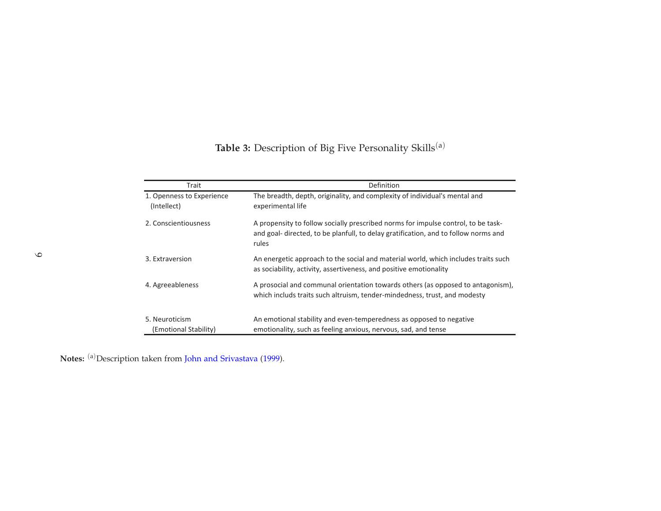<span id="page-12-0"></span>

| Trait                                    | Definition                                                                                                                                                                       |
|------------------------------------------|----------------------------------------------------------------------------------------------------------------------------------------------------------------------------------|
| 1. Openness to Experience<br>(Intellect) | The breadth, depth, originality, and complexity of individual's mental and<br>experimental life                                                                                  |
| 2. Conscientiousness                     | A propensity to follow socially prescribed norms for impulse control, to be task-<br>and goal-directed, to be planfull, to delay gratification, and to follow norms and<br>rules |
| 3. Extraversion                          | An energetic approach to the social and material world, which includes traits such<br>as sociability, activity, assertiveness, and positive emotionality                         |
| 4. Agreeableness                         | A prosocial and communal orientation towards others (as opposed to antagonism),<br>which includs traits such altruism, tender-mindedness, trust, and modesty                     |
| 5. Neuroticism<br>(Emotional Stability)  | An emotional stability and even-temperedness as opposed to negative<br>emotionality, such as feeling anxious, nervous, sad, and tense                                            |

**Notes:** (a)Description taken from John and [Srivastava](#page-48-9) [\(1999](#page-48-9)).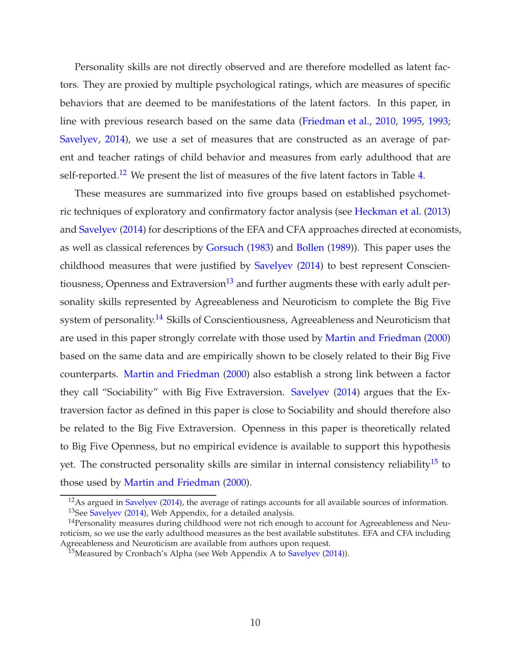Personality skills are not directly observed and are therefore modelled as latent factors. They are proxied by multiple psychological ratings, which are measures of specific behaviors that are deemed to be manifestations of the latent factors. In this paper, in line with previous research based on the same data [\(Friedman et al.,](#page-46-9) [2010](#page-46-9), [1995,](#page-46-5) [1993](#page-46-6); [Savelyev,](#page-48-0) [2014\)](#page-48-0), we use a set of measures that are constructed as an average of parent and teacher ratings of child behavior and measures from early adulthood that are self-reported.<sup>12</sup> We present the list of measures of the five latent factors in Table [4.](#page-14-0)

These measures are summarized into five groups based on established psychometric techniques of exploratory and confirmatory factor analysis (see [Heckman et al.](#page-47-7) [\(2013](#page-47-7)) and [Savelyev](#page-48-0) [\(2014](#page-48-0)) for descriptions of the EFA and CFA approaches directed at economists, as well as classical references by [Gorsuch](#page-47-8) [\(1983\)](#page-47-8) and [Bollen](#page-45-6) [\(1989](#page-45-6))). This paper uses the childhood measures that were justified by [Savelyev](#page-48-0) [\(2014\)](#page-48-0) to best represent Conscientiousness, Openness and Extraversion<sup>13</sup> and further augments these with early adult personality skills represented by Agreeableness and Neuroticism to complete the Big Five system of personality.<sup>14</sup> Skills of Conscientiousness, Agreeableness and Neuroticism that are used in this paper strongly correlate with those used by [Martin and Friedman](#page-48-7) [\(2000](#page-48-7)) based on the same data and are empirically shown to be closely related to their Big Five counterparts. [Martin and Friedman](#page-48-7) [\(2000](#page-48-7)) also establish a strong link between a factor they call "Sociability" with Big Five Extraversion. [Savelyev](#page-48-0) [\(2014\)](#page-48-0) argues that the Extraversion factor as defined in this paper is close to Sociability and should therefore also be related to the Big Five Extraversion. Openness in this paper is theoretically related to Big Five Openness, but no empirical evidence is available to support this hypothesis yet. The constructed personality skills are similar in internal consistency reliability<sup>15</sup> to those used by [Martin and Friedman](#page-48-7) [\(2000](#page-48-7)).

 $12$ As argued in [Savelyev](#page-48-0) [\(2014\)](#page-48-0), the average of ratings accounts for all available sources of information.  $13$ See [Savelyev](#page-48-0) [\(2014](#page-48-0)), Web Appendix, for a detailed analysis.

 $14$ Personality measures during childhood were not rich enough to account for Agreeableness and Neuroticism, so we use the early adulthood measures as the best available substitutes. EFA and CFA including Agreeableness and Neuroticism are available from authors upon request.

<sup>&</sup>lt;sup>15</sup>Measured by Cronbach's Alpha (see Web Appendix A to [Savelyev](#page-48-0)  $(2014)$ ).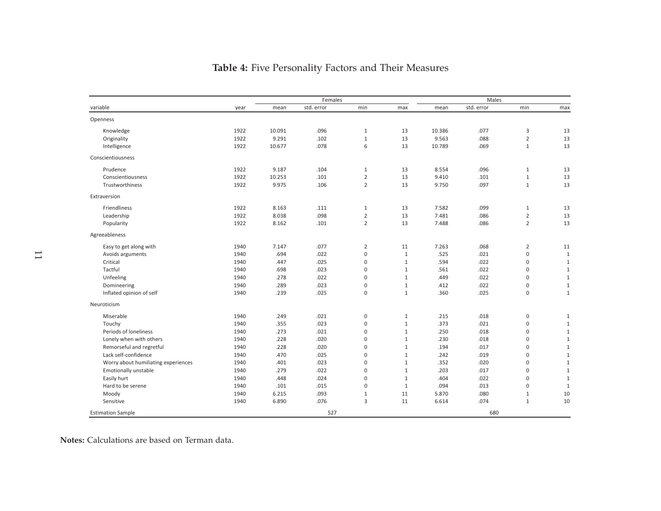<span id="page-14-0"></span>

|                                     |      | Females |            |                     |              | <b>Males</b> |            |                |              |
|-------------------------------------|------|---------|------------|---------------------|--------------|--------------|------------|----------------|--------------|
| variable                            | year | mean    | std. error | min                 | max          | mean         | std. error | min            | max          |
| Openness                            |      |         |            |                     |              |              |            |                |              |
| Knowledge                           | 1922 | 10.091  | .096       | $\mathbf{1}$        | 13           | 10.386       | .077       | 3              | 13           |
| Originality                         | 1922 | 9.291   | .102       | $\mathbf{1}$        | 13           | 9.563        | .088       | $\overline{2}$ | 13           |
| Intelligence                        | 1922 | 10.677  | .078       | 6                   | 13           | 10.789       | .069       | $\mathbf{1}$   | 13           |
| Conscientiousness                   |      |         |            |                     |              |              |            |                |              |
| Prudence                            | 1922 | 9.187   | .104       | $\mathbf{1}$        | 13           | 8.554        | .096       | $\mathbf{1}$   | 13           |
| Conscientiousness                   | 1922 | 10.253  | .101       | $\overline{2}$      | 13           | 9.410        | .101       | $\mathbf{1}$   | 13           |
| Trustworthiness                     | 1922 | 9.975   | .106       | $\overline{2}$      | 13           | 9.750        | .097       | $\mathbf{1}$   | 13           |
| Extraversion                        |      |         |            |                     |              |              |            |                |              |
| Friendliness                        | 1922 | 8.163   | .111       | 1                   | 13           | 7.582        | .099       | $\mathbf{1}$   | 13           |
| Leadership                          | 1922 | 8.038   | .098       | $\overline{2}$      | 13           | 7.481        | .086       | $\mathbf 2$    | 13           |
| Popularity                          | 1922 | 8.162   | .101       | $\overline{2}$      | 13           | 7.488        | .086       | $\overline{2}$ | 13           |
| Agreeableness                       |      |         |            |                     |              |              |            |                |              |
| Easy to get along with              | 1940 | 7.147   | .077       | $\overline{2}$      | 11           | 7.263        | .068       | $\overline{2}$ | 11           |
| Avoids arguments                    | 1940 | .694    | .022       | $\mathsf{O}\xspace$ | $\mathbf{1}$ | .525         | .021       | $\mathbf 0$    | $\mathbf{1}$ |
| Critical                            | 1940 | .447    | .025       | $\pmb{0}$           | $\,1\,$      | .594         | .022       | $\mathbf 0$    | $1\,$        |
| Tactful                             | 1940 | .698    | .023       | $\Omega$            | $1\,$        | .561         | .022       | $\mathbf 0$    | $1\,$        |
| Unfeeling                           | 1940 | .278    | .022       | $\mathbf 0$         | $1\,$        | .449         | .022       | $\mathbf 0$    | $1\,$        |
| Domineering                         | 1940 | .289    | .023       | $\mathbf 0$         | $1\,$        | .412         | .022       | $\pmb{0}$      | $\mathbf{1}$ |
| Inflated opinion of self            | 1940 | .239    | .025       | $\mathbf 0$         | $1\,$        | .360         | .025       | $\mathbf 0$    | $\,1\,$      |
| Neuroticism                         |      |         |            |                     |              |              |            |                |              |
| Miserable                           | 1940 | .249    | .021       | $\mathbf 0$         | $1\,$        | .215         | .018       | $\mathbf 0$    | $1\,$        |
| Touchy                              | 1940 | .355    | .023       | $\pmb{0}$           | $1\,$        | .373         | .021       | $\mathbf 0$    | $1\,$        |
| Periods of loneliness               | 1940 | .273    | .021       | $\mathbf 0$         | $\mathbf{1}$ | .250         | .018       | $\mathbf 0$    | $1\,$        |
| Lonely when with others             | 1940 | .228    | .020       | $\Omega$            | $1\,$        | .230         | .018       | $\mathbf 0$    | $\mathbf{1}$ |
| Remorseful and regretful            | 1940 | .228    | .020       | $\mathbf 0$         | $1\,$        | .194         | .017       | $\bf 0$        | $\,1\,$      |
| Lack self-confidence                | 1940 | .470    | .025       | $\mathbf 0$         | $1\,$        | .242         | .019       | $\bf 0$        | $\mathbf{1}$ |
| Worry about humiliating experiences | 1940 | .401    | .023       | $\mathbf 0$         | $1\,$        | .352         | .020       | $\mathbf 0$    | $\,1\,$      |
| <b>Emotionally unstable</b>         | 1940 | .279    | .022       | $\mathbf 0$         | $1\,$        | .203         | .017       | $\mathbf 0$    | $\mathbf{1}$ |
| Easily hurt                         | 1940 | .448    | .024       | $\mathbf 0$         | $1\,$        | .404         | .022       | $\mathbf 0$    | $\,1\,$      |
| Hard to be serene                   | 1940 | .101    | .015       | $\mathbf 0$         | $\mathbf{1}$ | .094         | .013       | $\mathbf 0$    | $\mathbf{1}$ |
| Moody                               | 1940 | 6.215   | .093       | $\mathbf{1}$        | 11           | 5.870        | .080       | 1              | 10           |
| Sensitive                           | 1940 | 6.890   | .076       | 3                   | 11           | 6.614        | .074       | $1\,$          | 10           |
| <b>Estimation Sample</b>            |      |         | 527        |                     |              |              | 680        |                |              |

## **Table 4:** Five Personality Factors and Their Measures

**Notes:** Calculations are based on Terman data.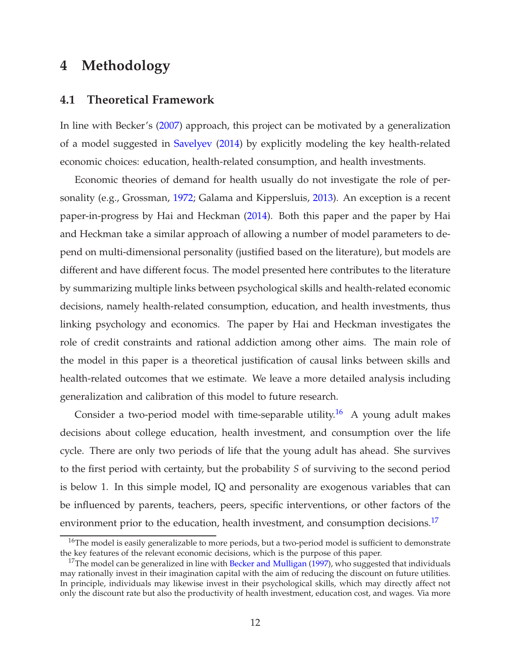# <span id="page-15-1"></span><span id="page-15-0"></span>**4 Methodology**

#### **4.1 Theoretical Framework**

In line with Becker's [\(2007\)](#page-45-7) approach, this project can be motivated by a generalization of a model suggested in [Savelyev](#page-48-0) [\(2014](#page-48-0)) by explicitly modeling the key health-related economic choices: education, health-related consumption, and health investments.

Economic theories of demand for health usually do not investigate the role of personality (e.g., Grossman, [1972](#page-47-9); Galama and Kippersluis, [2013](#page-47-10)). An exception is a recent paper-in-progress by Hai and Heckman [\(2014](#page-47-11)). Both this paper and the paper by Hai and Heckman take a similar approach of allowing a number of model parameters to depend on multi-dimensional personality (justified based on the literature), but models are different and have different focus. The model presented here contributes to the literature by summarizing multiple links between psychological skills and health-related economic decisions, namely health-related consumption, education, and health investments, thus linking psychology and economics. The paper by Hai and Heckman investigates the role of credit constraints and rational addiction among other aims. The main role of the model in this paper is a theoretical justification of causal links between skills and health-related outcomes that we estimate. We leave a more detailed analysis including generalization and calibration of this model to future research.

Consider a two-period model with time-separable utility.<sup>16</sup> A young adult makes decisions about college education, health investment, and consumption over the life cycle. There are only two periods of life that the young adult has ahead. She survives to the first period with certainty, but the probability *S* of surviving to the second period is below 1. In this simple model, IQ and personality are exogenous variables that can be influenced by parents, teachers, peers, specific interventions, or other factors of the environment prior to the education, health investment, and consumption decisions.<sup>17</sup>

<sup>&</sup>lt;sup>16</sup>The model is easily generalizable to more periods, but a two-period model is sufficient to demonstrate the key features of the relevant economic decisions, which is the purpose of this paper.

 $17$ The model can be generalized in line with [Becker and Mulligan](#page-45-8) [\(1997\)](#page-45-8), who suggested that individuals may rationally invest in their imagination capital with the aim of reducing the discount on future utilities. In principle, individuals may likewise invest in their psychological skills, which may directly affect not only the discount rate but also the productivity of health investment, education cost, and wages. Via more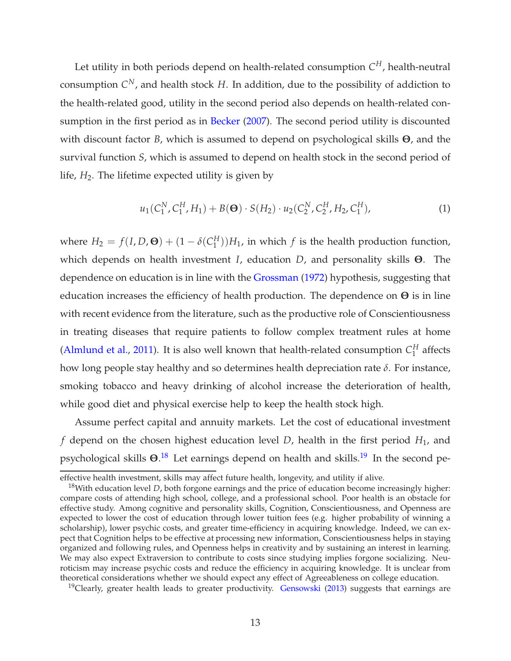Let utility in both periods depend on health-related consumption *C <sup>H</sup>*, health-neutral consumption *C <sup>N</sup>*, and health stock *H*. In addition, due to the possibility of addiction to the health-related good, utility in the second period also depends on health-related con-sumption in the first period as in [Becker](#page-45-7) [\(2007](#page-45-7)). The second period utility is discounted with discount factor *B*, which is assumed to depend on psychological skills **Θ**, and the survival function *S*, which is assumed to depend on health stock in the second period of life,  $H_2$ . The lifetime expected utility is given by

<span id="page-16-0"></span>
$$
u_1(C_1^N, C_1^H, H_1) + B(\mathbf{\Theta}) \cdot S(H_2) \cdot u_2(C_2^N, C_2^H, H_2, C_1^H), \tag{1}
$$

where  $H_2 = f(I, D, \mathbf{\Theta}) + (1 - \delta(C_1^H))$  $\binom{H}{1}$ ) $H_1$ , in which  $f$  is the health production function, which depends on health investment *I*, education *D*, and personality skills **Θ**. The dependence on education is in line with the [Grossman](#page-47-9) [\(1972\)](#page-47-9) hypothesis, suggesting that education increases the efficiency of health production. The dependence on **Θ** is in line with recent evidence from the literature, such as the productive role of Conscientiousness in treating diseases that require patients to follow complex treatment rules at home [\(Almlund et al.](#page-45-9), [2011\)](#page-45-9). It is also well known that health-related consumption  $C_1^H$  $_1^H$  affects how long people stay healthy and so determines health depreciation rate *δ*. For instance, smoking tobacco and heavy drinking of alcohol increase the deterioration of health, while good diet and physical exercise help to keep the health stock high.

Assume perfect capital and annuity markets. Let the cost of educational investment *f* depend on the chosen highest education level *D*, health in the first period *H*1, and psychological skills  $\Theta$ .<sup>18</sup> Let earnings depend on health and skills.<sup>19</sup> In the second pe-

<sup>19</sup>Clearly, greater health leads to greater productivity. [Gensowski](#page-47-6)  $(2013)$  suggests that earnings are

effective health investment, skills may affect future health, longevity, and utility if alive.

<sup>&</sup>lt;sup>18</sup>With education level *D*, both forgone earnings and the price of education become increasingly higher: compare costs of attending high school, college, and a professional school. Poor health is an obstacle for effective study. Among cognitive and personality skills, Cognition, Conscientiousness, and Openness are expected to lower the cost of education through lower tuition fees (e.g. higher probability of winning a scholarship), lower psychic costs, and greater time-efficiency in acquiring knowledge. Indeed, we can expect that Cognition helps to be effective at processing new information, Conscientiousness helps in staying organized and following rules, and Openness helps in creativity and by sustaining an interest in learning. We may also expect Extraversion to contribute to costs since studying implies forgone socializing. Neuroticism may increase psychic costs and reduce the efficiency in acquiring knowledge. It is unclear from theoretical considerations whether we should expect any effect of Agreeableness on college education.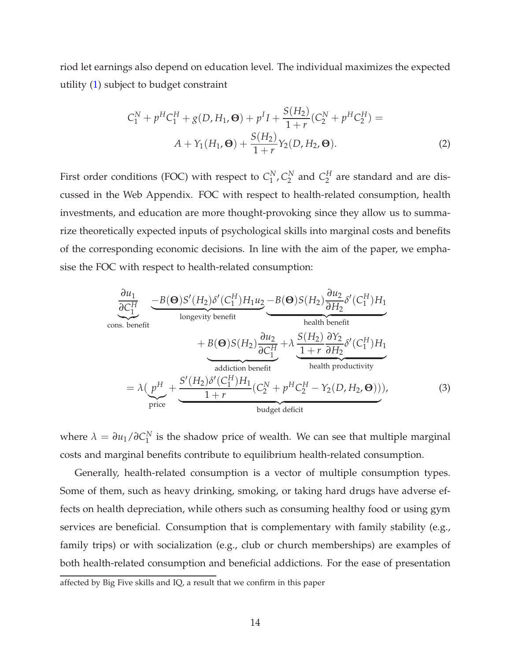riod let earnings also depend on education level. The individual maximizes the expected utility [\(1\)](#page-16-0) subject to budget constraint

$$
C_1^N + p^H C_1^H + g(D, H_1, \mathbf{\Theta}) + p^I I + \frac{S(H_2)}{1+r} (C_2^N + p^H C_2^H) =
$$
  

$$
A + Y_1(H_1, \mathbf{\Theta}) + \frac{S(H_2)}{1+r} Y_2(D, H_2, \mathbf{\Theta}).
$$
 (2)

First order conditions (FOC) with respect to  $C_1^N$  $_1^N$ ,  $C_2^N$  $C_2^N$  and  $C_2^H$  $_2^H$  are standard and are discussed in the Web Appendix. FOC with respect to health-related consumption, health investments, and education are more thought-provoking since they allow us to summarize theoretically expected inputs of psychological skills into marginal costs and benefits of the corresponding economic decisions. In line with the aim of the paper, we emphasise the FOC with respect to health-related consumption:

<span id="page-17-0"></span>
$$
\frac{\partial u_1}{\partial C_1^H} \underbrace{-B(\Theta)S'(H_2)\delta'(C_1^H)H_1u_2}_{\text{longevity benefit}} -B(\Theta)S(H_2)\frac{\partial u_2}{\partial H_2}\delta'(C_1^H)H_1
$$
\n
$$
+B(\Theta)S(H_2)\frac{\partial u_2}{\partial C_1^H} + \lambda \underbrace{S(H_2)}_{\text{hadiction benefit}} \frac{\partial Y_2}{\partial H_2}\delta'(C_1^H)H_1
$$
\n
$$
= \lambda \underbrace{(p^H + \frac{S'(H_2)\delta'(C_1^H)H_1}{1+r}(C_2^H)C_2^H - Y_2(D, H_2, \Theta))}_{\text{budget deficit}}),
$$
\n(3)

where  $\lambda = \partial u_1 / \partial C_1^N$  $_1^N$  is the shadow price of wealth. We can see that multiple marginal costs and marginal benefits contribute to equilibrium health-related consumption.

Generally, health-related consumption is a vector of multiple consumption types. Some of them, such as heavy drinking, smoking, or taking hard drugs have adverse effects on health depreciation, while others such as consuming healthy food or using gym services are beneficial. Consumption that is complementary with family stability (e.g., family trips) or with socialization (e.g., club or church memberships) are examples of both health-related consumption and beneficial addictions. For the ease of presentation

affected by Big Five skills and IQ, a result that we confirm in this paper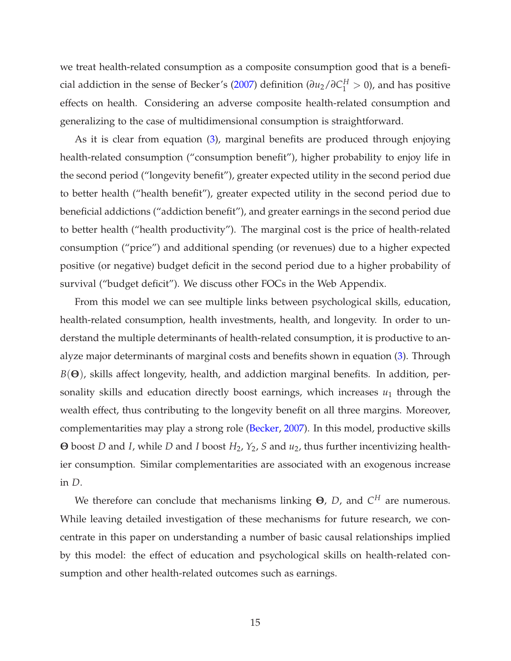we treat health-related consumption as a composite consumption good that is a benefi-cial addiction in the sense of Becker's [\(2007](#page-45-7)) definition ( $\partial u_2/\partial C_1^H > 0$ ), and has positive effects on health. Considering an adverse composite health-related consumption and generalizing to the case of multidimensional consumption is straightforward.

As it is clear from equation [\(3\)](#page-17-0), marginal benefits are produced through enjoying health-related consumption ("consumption benefit"), higher probability to enjoy life in the second period ("longevity benefit"), greater expected utility in the second period due to better health ("health benefit"), greater expected utility in the second period due to beneficial addictions ("addiction benefit"), and greater earnings in the second period due to better health ("health productivity"). The marginal cost is the price of health-related consumption ("price") and additional spending (or revenues) due to a higher expected positive (or negative) budget deficit in the second period due to a higher probability of survival ("budget deficit"). We discuss other FOCs in the Web Appendix.

From this model we can see multiple links between psychological skills, education, health-related consumption, health investments, health, and longevity. In order to understand the multiple determinants of health-related consumption, it is productive to analyze major determinants of marginal costs and benefits shown in equation [\(3\)](#page-17-0). Through *B*(**Θ**), skills affect longevity, health, and addiction marginal benefits. In addition, personality skills and education directly boost earnings, which increases  $u_1$  through the wealth effect, thus contributing to the longevity benefit on all three margins. Moreover, complementarities may play a strong role [\(Becker](#page-45-7), [2007](#page-45-7)). In this model, productive skills **Θ** boost *D* and *I*, while *D* and *I* boost *H*2, *Y*2, *S* and *u*2, thus further incentivizing healthier consumption. Similar complementarities are associated with an exogenous increase in *D*.

We therefore can conclude that mechanisms linking **Θ**, *D*, and *C <sup>H</sup>* are numerous. While leaving detailed investigation of these mechanisms for future research, we concentrate in this paper on understanding a number of basic causal relationships implied by this model: the effect of education and psychological skills on health-related consumption and other health-related outcomes such as earnings.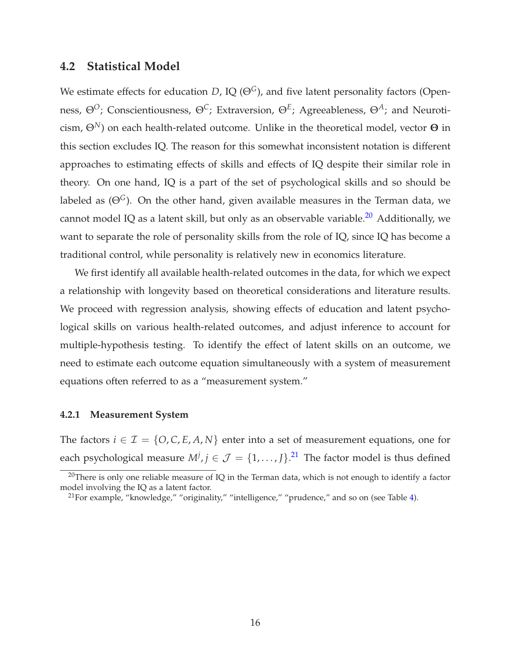### <span id="page-19-0"></span>**4.2 Statistical Model**

We estimate effects for education *D*, IQ ( $\Theta$ <sup>G</sup>), and five latent personality factors (Openness, Θ*O*; Conscientiousness, Θ*C*; Extraversion, Θ*<sup>E</sup>* ; Agreeableness, Θ*A*; and Neuroticism, Θ*N*) on each health-related outcome. Unlike in the theoretical model, vector **Θ** in this section excludes IQ. The reason for this somewhat inconsistent notation is different approaches to estimating effects of skills and effects of IQ despite their similar role in theory. On one hand, IQ is a part of the set of psychological skills and so should be labeled as  $(\Theta^G)$ . On the other hand, given available measures in the Terman data, we cannot model IQ as a latent skill, but only as an observable variable.<sup>20</sup> Additionally, we want to separate the role of personality skills from the role of IQ, since IQ has become a traditional control, while personality is relatively new in economics literature.

We first identify all available health-related outcomes in the data, for which we expect a relationship with longevity based on theoretical considerations and literature results. We proceed with regression analysis, showing effects of education and latent psychological skills on various health-related outcomes, and adjust inference to account for multiple-hypothesis testing. To identify the effect of latent skills on an outcome, we need to estimate each outcome equation simultaneously with a system of measurement equations often referred to as a "measurement system."

#### <span id="page-19-1"></span>**4.2.1 Measurement System**

The factors  $i \in \mathcal{I} = \{O, C, E, A, N\}$  enter into a set of measurement equations, one for each psychological measure  $M^j$ ,  $j \in \mathcal{J} = \{1, \ldots, J\}$ .<sup>21</sup> The factor model is thus defined

 $20$ There is only one reliable measure of IQ in the Terman data, which is not enough to identify a factor model involving the IQ as a latent factor.

<sup>&</sup>lt;sup>21</sup>For example, "knowledge," "originality," "intelligence," "prudence," and so on (see Table [4\)](#page-14-0).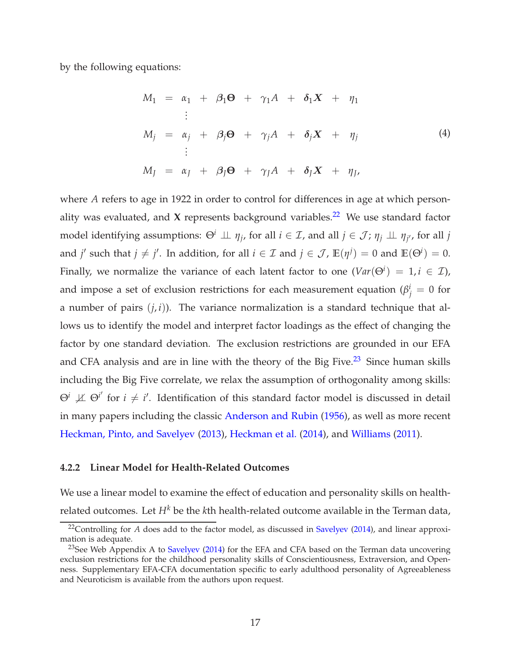by the following equations:

<span id="page-20-1"></span>
$$
M_1 = \alpha_1 + \beta_1 \Theta + \gamma_1 A + \delta_1 X + \eta_1
$$
  
\n:  
\n
$$
M_j = \alpha_j + \beta_j \Theta + \gamma_j A + \delta_j X + \eta_j
$$
  
\n:  
\n
$$
M_J = \alpha_J + \beta_J \Theta + \gamma_J A + \delta_J X + \eta_J
$$
  
\n(4)

where *A* refers to age in 1922 in order to control for differences in age at which personality was evaluated, and **X** represents background variables.<sup>22</sup> We use standard factor model identifying assumptions:  $\Theta^i \perp\!\!\!\perp \eta_j$ , for all  $i \in \mathcal{I}$ , and all  $j \in \mathcal{J}$ ;  $\eta_j \perp\!\!\!\perp \eta_{j'}$ , for all  $j$ and *j'* such that  $j \neq j'$ . In addition, for all  $i \in \mathcal{I}$  and  $j \in \mathcal{J}$ ,  $\mathbb{E}(\eta^{j}) = 0$  and  $\mathbb{E}(\Theta^{i}) = 0$ . Finally, we normalize the variance of each latent factor to one  $(Var(\Theta^i) = 1, i \in \mathcal{I})$ , and impose a set of exclusion restrictions for each measurement equation ( $\beta_j^i = 0$  for a number of pairs  $(j, i)$ ). The variance normalization is a standard technique that allows us to identify the model and interpret factor loadings as the effect of changing the factor by one standard deviation. The exclusion restrictions are grounded in our EFA and CFA analysis and are in line with the theory of the Big Five.<sup>23</sup> Since human skills including the Big Five correlate, we relax the assumption of orthogonality among skills:  $\Theta^i$   $\not\perp\!\!\!\perp \Theta^{i'}$  for  $i \neq i'$ . Identification of this standard factor model is discussed in detail in many papers including the classic [Anderson and Rubin](#page-45-10) [\(1956\)](#page-45-10), as well as more recent [Heckman, Pinto, and Savelyev](#page-47-7) [\(2013](#page-47-7)), [Heckman et al.](#page-47-12) [\(2014](#page-47-12)), and [Williams](#page-49-8) [\(2011](#page-49-8)).

#### <span id="page-20-0"></span>**4.2.2 Linear Model for Health-Related Outcomes**

We use a linear model to examine the effect of education and personality skills on healthrelated outcomes. Let *H<sup>k</sup>* be the *k*th health-related outcome available in the Terman data,

<sup>&</sup>lt;sup>22</sup>Controlling for *A* does add to the factor model, as discussed in [Savelyev](#page-48-0) [\(2014](#page-48-0)), and linear approximation is adequate.

<sup>&</sup>lt;sup>23</sup>See Web Appendix A to [Savelyev](#page-48-0) [\(2014](#page-48-0)) for the EFA and CFA based on the Terman data uncovering exclusion restrictions for the childhood personality skills of Conscientiousness, Extraversion, and Openness. Supplementary EFA-CFA documentation specific to early adulthood personality of Agreeableness and Neuroticism is available from the authors upon request.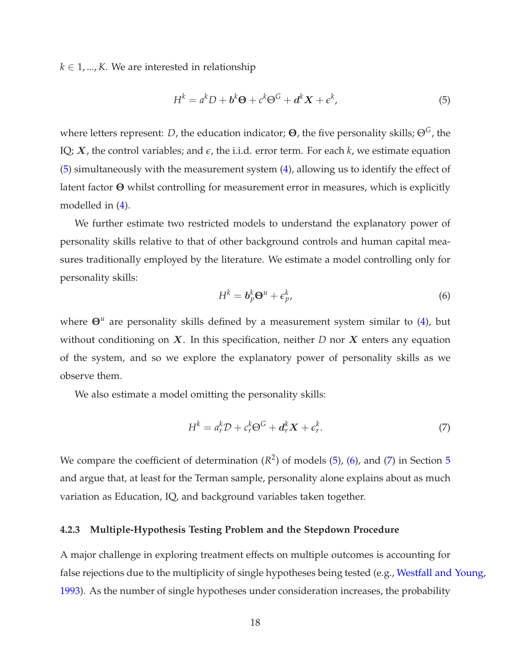$k \in 1, ..., K$ . We are interested in relationship

<span id="page-21-1"></span>
$$
H^{k} = a^{k}D + b^{k}\Theta + c^{k}\Theta^{G} + d^{k}X + \epsilon^{k},
$$
\n(5)

where letters represent: *D*, the education indicator; **Θ**, the five personality skills; Θ*G*, the IQ;  $X$ , the control variables; and  $\epsilon$ , the i.i.d. error term. For each  $k$ , we estimate equation [\(5\)](#page-21-1) simultaneously with the measurement system [\(4\)](#page-20-1), allowing us to identify the effect of latent factor **Θ** whilst controlling for measurement error in measures, which is explicitly modelled in [\(4\)](#page-20-1).

We further estimate two restricted models to understand the explanatory power of personality skills relative to that of other background controls and human capital measures traditionally employed by the literature. We estimate a model controlling only for personality skills:

<span id="page-21-2"></span>
$$
H^k = \mathbf{b}_p^k \mathbf{\Theta}^u + \boldsymbol{\epsilon}_{p'}^k \tag{6}
$$

where **Θ***<sup>u</sup>* are personality skills defined by a measurement system similar to [\(4\)](#page-20-1), but without conditioning on  $X$ . In this specification, neither  $D$  nor  $X$  enters any equation of the system, and so we explore the explanatory power of personality skills as we observe them.

We also estimate a model omitting the personality skills:

<span id="page-21-3"></span>
$$
H^k = a_r^k \mathcal{D} + c_r^k \Theta^G + \mathbf{d}_r^k \mathbf{X} + \epsilon_r^k. \tag{7}
$$

We compare the coefficient of determination  $(R^2)$  of models  $(5)$ ,  $(6)$ , and  $(7)$  in Section [5](#page-25-1) and argue that, at least for the Terman sample, personality alone explains about as much variation as Education, IQ, and background variables taken together.

#### <span id="page-21-0"></span>**4.2.3 Multiple-Hypothesis Testing Problem and the Stepdown Procedure**

A major challenge in exploring treatment effects on multiple outcomes is accounting for false rejections due to the multiplicity of single hypotheses being tested (e.g., [Westfall and Young](#page-49-9), [1993\)](#page-49-9). As the number of single hypotheses under consideration increases, the probability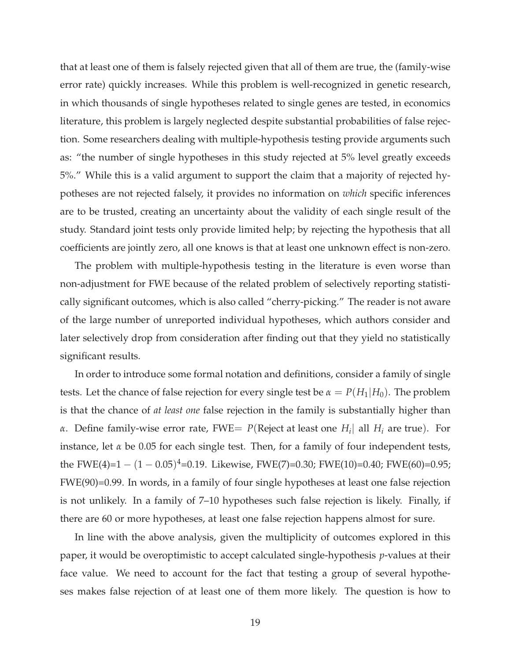that at least one of them is falsely rejected given that all of them are true, the (family-wise error rate) quickly increases. While this problem is well-recognized in genetic research, in which thousands of single hypotheses related to single genes are tested, in economics literature, this problem is largely neglected despite substantial probabilities of false rejection. Some researchers dealing with multiple-hypothesis testing provide arguments such as: "the number of single hypotheses in this study rejected at 5% level greatly exceeds 5%." While this is a valid argument to support the claim that a majority of rejected hypotheses are not rejected falsely, it provides no information on *which* specific inferences are to be trusted, creating an uncertainty about the validity of each single result of the study. Standard joint tests only provide limited help; by rejecting the hypothesis that all coefficients are jointly zero, all one knows is that at least one unknown effect is non-zero.

The problem with multiple-hypothesis testing in the literature is even worse than non-adjustment for FWE because of the related problem of selectively reporting statistically significant outcomes, which is also called "cherry-picking." The reader is not aware of the large number of unreported individual hypotheses, which authors consider and later selectively drop from consideration after finding out that they yield no statistically significant results.

In order to introduce some formal notation and definitions, consider a family of single tests. Let the chance of false rejection for every single test be  $\alpha = P(H_1|H_0)$ . The problem is that the chance of *at least one* false rejection in the family is substantially higher than *α*. Define family-wise error rate, FWE= *P*(Reject at least one *H<sup>i</sup>* | all *H<sup>i</sup>* are true). For instance, let *α* be 0.05 for each single test. Then, for a family of four independent tests, the FWE(4)= $1 - (1 - 0.05)^4$ =0.19. Likewise, FWE(7)=0.30; FWE(10)=0.40; FWE(60)=0.95; FWE(90)=0.99. In words, in a family of four single hypotheses at least one false rejection is not unlikely. In a family of 7–10 hypotheses such false rejection is likely. Finally, if there are 60 or more hypotheses, at least one false rejection happens almost for sure.

In line with the above analysis, given the multiplicity of outcomes explored in this paper, it would be overoptimistic to accept calculated single-hypothesis *p*-values at their face value. We need to account for the fact that testing a group of several hypotheses makes false rejection of at least one of them more likely. The question is how to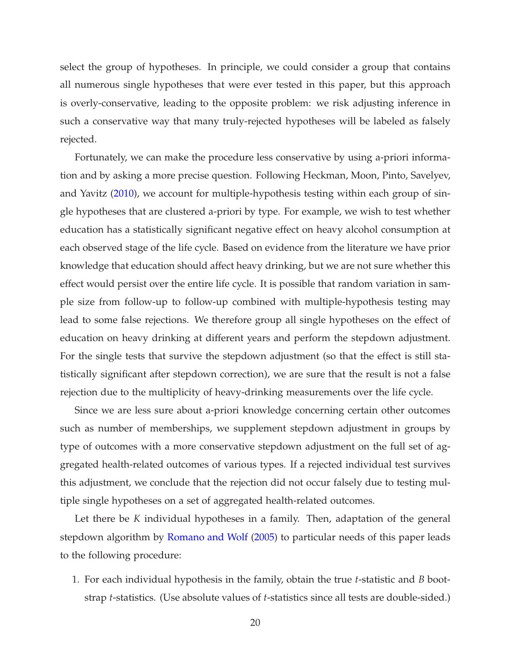select the group of hypotheses. In principle, we could consider a group that contains all numerous single hypotheses that were ever tested in this paper, but this approach is overly-conservative, leading to the opposite problem: we risk adjusting inference in such a conservative way that many truly-rejected hypotheses will be labeled as falsely rejected.

Fortunately, we can make the procedure less conservative by using a-priori information and by asking a more precise question. Following Heckman, Moon, Pinto, Savelyev, and Yavitz [\(2010](#page-47-13)), we account for multiple-hypothesis testing within each group of single hypotheses that are clustered a-priori by type. For example, we wish to test whether education has a statistically significant negative effect on heavy alcohol consumption at each observed stage of the life cycle. Based on evidence from the literature we have prior knowledge that education should affect heavy drinking, but we are not sure whether this effect would persist over the entire life cycle. It is possible that random variation in sample size from follow-up to follow-up combined with multiple-hypothesis testing may lead to some false rejections. We therefore group all single hypotheses on the effect of education on heavy drinking at different years and perform the stepdown adjustment. For the single tests that survive the stepdown adjustment (so that the effect is still statistically significant after stepdown correction), we are sure that the result is not a false rejection due to the multiplicity of heavy-drinking measurements over the life cycle.

Since we are less sure about a-priori knowledge concerning certain other outcomes such as number of memberships, we supplement stepdown adjustment in groups by type of outcomes with a more conservative stepdown adjustment on the full set of aggregated health-related outcomes of various types. If a rejected individual test survives this adjustment, we conclude that the rejection did not occur falsely due to testing multiple single hypotheses on a set of aggregated health-related outcomes.

Let there be *K* individual hypotheses in a family. Then, adaptation of the general stepdown algorithm by [Romano and Wolf](#page-48-1) [\(2005\)](#page-48-1) to particular needs of this paper leads to the following procedure:

1. For each individual hypothesis in the family, obtain the true *t*-statistic and *B* bootstrap *t*-statistics. (Use absolute values of *t*-statistics since all tests are double-sided.)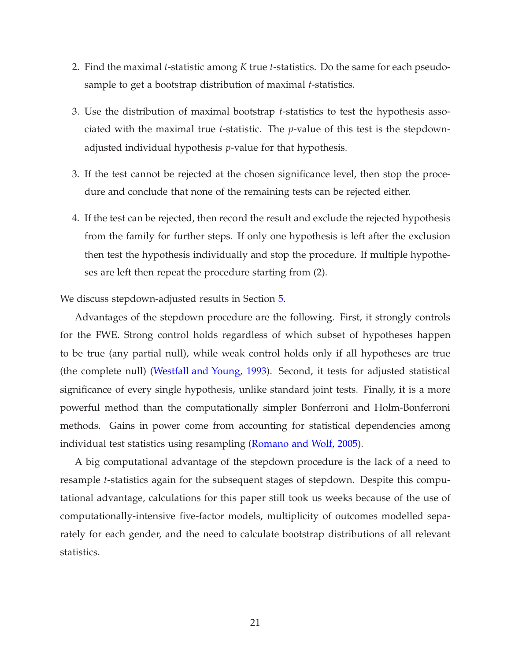- 2. Find the maximal *t*-statistic among *K* true *t*-statistics. Do the same for each pseudosample to get a bootstrap distribution of maximal *t*-statistics.
- 3. Use the distribution of maximal bootstrap *t*-statistics to test the hypothesis associated with the maximal true *t*-statistic. The *p*-value of this test is the stepdownadjusted individual hypothesis *p*-value for that hypothesis.
- 3. If the test cannot be rejected at the chosen significance level, then stop the procedure and conclude that none of the remaining tests can be rejected either.
- 4. If the test can be rejected, then record the result and exclude the rejected hypothesis from the family for further steps. If only one hypothesis is left after the exclusion then test the hypothesis individually and stop the procedure. If multiple hypotheses are left then repeat the procedure starting from (2).

We discuss stepdown-adjusted results in Section [5.](#page-25-1)

Advantages of the stepdown procedure are the following. First, it strongly controls for the FWE. Strong control holds regardless of which subset of hypotheses happen to be true (any partial null), while weak control holds only if all hypotheses are true (the complete null) [\(Westfall and Young,](#page-49-9) [1993](#page-49-9)). Second, it tests for adjusted statistical significance of every single hypothesis, unlike standard joint tests. Finally, it is a more powerful method than the computationally simpler Bonferroni and Holm-Bonferroni methods. Gains in power come from accounting for statistical dependencies among individual test statistics using resampling [\(Romano and Wolf](#page-48-1), [2005\)](#page-48-1).

A big computational advantage of the stepdown procedure is the lack of a need to resample *t*-statistics again for the subsequent stages of stepdown. Despite this computational advantage, calculations for this paper still took us weeks because of the use of computationally-intensive five-factor models, multiplicity of outcomes modelled separately for each gender, and the need to calculate bootstrap distributions of all relevant statistics.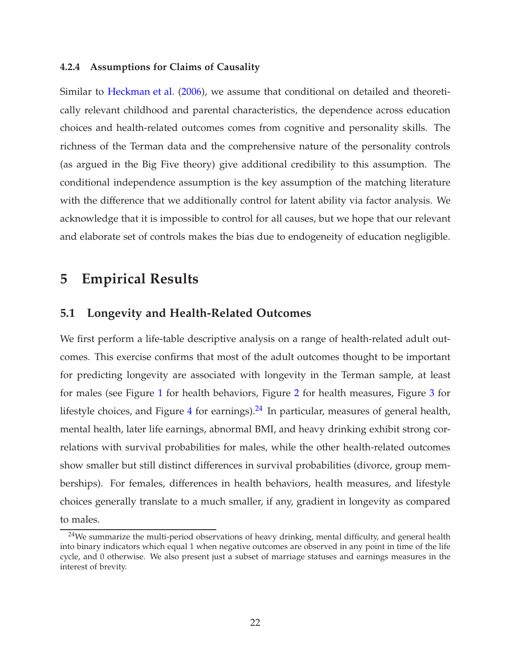#### <span id="page-25-0"></span>**4.2.4 Assumptions for Claims of Causality**

Similar to [Heckman et al.](#page-47-3) [\(2006](#page-47-3)), we assume that conditional on detailed and theoretically relevant childhood and parental characteristics, the dependence across education choices and health-related outcomes comes from cognitive and personality skills. The richness of the Terman data and the comprehensive nature of the personality controls (as argued in the Big Five theory) give additional credibility to this assumption. The conditional independence assumption is the key assumption of the matching literature with the difference that we additionally control for latent ability via factor analysis. We acknowledge that it is impossible to control for all causes, but we hope that our relevant and elaborate set of controls makes the bias due to endogeneity of education negligible.

# <span id="page-25-2"></span><span id="page-25-1"></span>**5 Empirical Results**

#### **5.1 Longevity and Health-Related Outcomes**

We first perform a life-table descriptive analysis on a range of health-related adult outcomes. This exercise confirms that most of the adult outcomes thought to be important for predicting longevity are associated with longevity in the Terman sample, at least for males (see Figure [1](#page-26-0) for health behaviors, Figure [2](#page-27-0) for health measures, Figure [3](#page-28-0) for lifestyle choices, and Figure [4](#page-29-0) for earnings). $^{24}$  In particular, measures of general health, mental health, later life earnings, abnormal BMI, and heavy drinking exhibit strong correlations with survival probabilities for males, while the other health-related outcomes show smaller but still distinct differences in survival probabilities (divorce, group memberships). For females, differences in health behaviors, health measures, and lifestyle choices generally translate to a much smaller, if any, gradient in longevity as compared to males.

 $24$ We summarize the multi-period observations of heavy drinking, mental difficulty, and general health into binary indicators which equal 1 when negative outcomes are observed in any point in time of the life cycle, and 0 otherwise. We also present just a subset of marriage statuses and earnings measures in the interest of brevity.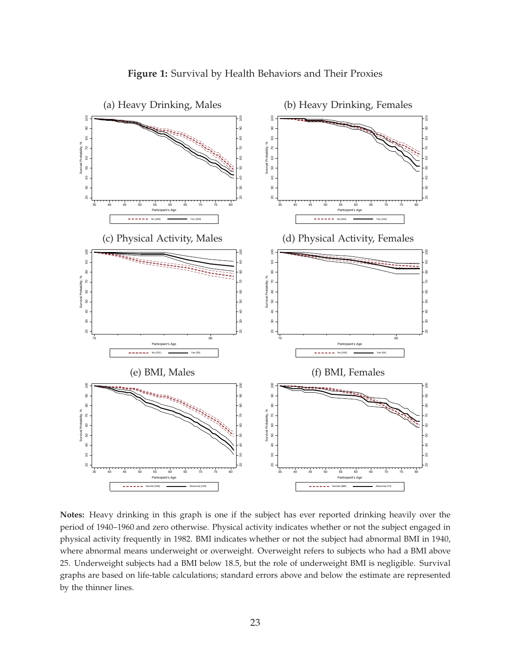<span id="page-26-0"></span>

**Notes:** Heavy drinking in this graph is one if the subject has ever reported drinking heavily over the period of 1940–1960 and zero otherwise. Physical activity indicates whether or not the subject engaged in physical activity frequently in 1982. BMI indicates whether or not the subject had abnormal BMI in 1940, where abnormal means underweight or overweight. Overweight refers to subjects who had a BMI above 25. Underweight subjects had a BMI below 18.5, but the role of underweight BMI is negligible. Survival graphs are based on life-table calculations; standard errors above and below the estimate are represented by the thinner lines.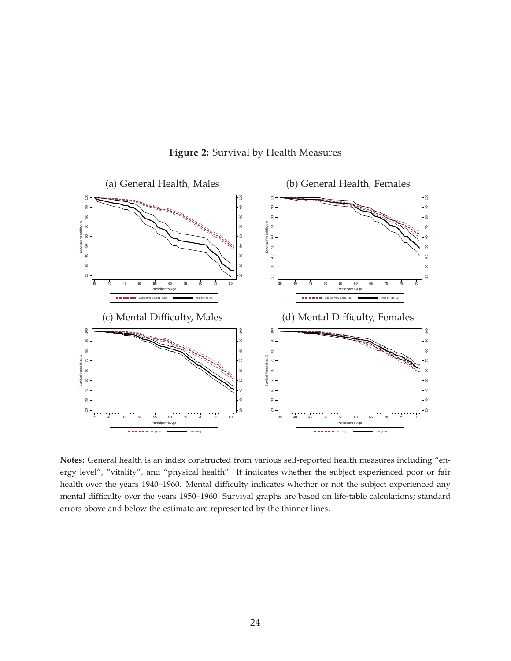<span id="page-27-0"></span>

**Figure 2:** Survival by Health Measures

**Notes:** General health is an index constructed from various self-reported health measures including "energy level", "vitality", and "physical health". It indicates whether the subject experienced poor or fair health over the years 1940–1960. Mental difficulty indicates whether or not the subject experienced any mental difficulty over the years 1950–1960. Survival graphs are based on life-table calculations; standard errors above and below the estimate are represented by the thinner lines.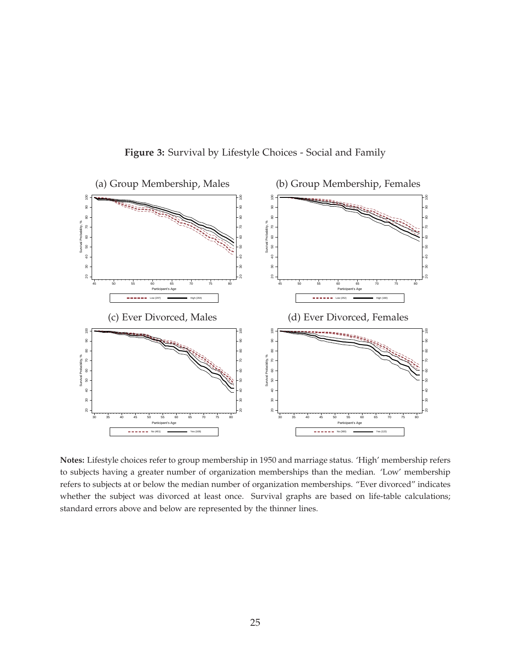<span id="page-28-0"></span>

**Figure 3:** Survival by Lifestyle Choices - Social and Family

**Notes:** Lifestyle choices refer to group membership in 1950 and marriage status. 'High' membership refers to subjects having a greater number of organization memberships than the median. 'Low' membership refers to subjects at or below the median number of organization memberships. "Ever divorced" indicates whether the subject was divorced at least once. Survival graphs are based on life-table calculations; standard errors above and below are represented by the thinner lines.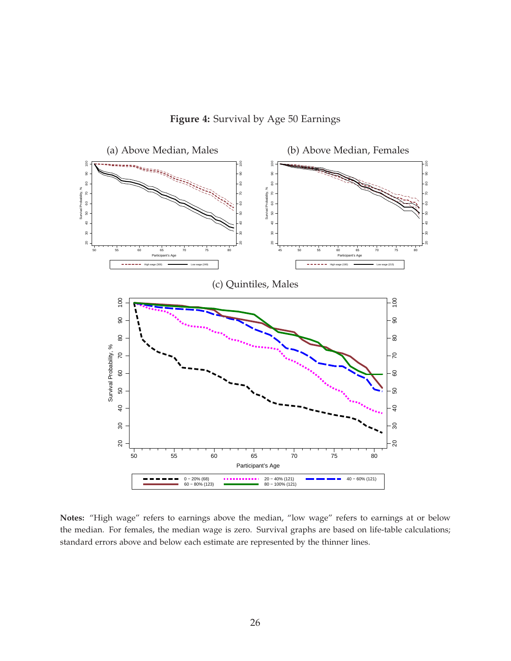

<span id="page-29-0"></span>

**Notes:** "High wage" refers to earnings above the median, "low wage" refers to earnings at or below the median. For females, the median wage is zero. Survival graphs are based on life-table calculations; standard errors above and below each estimate are represented by the thinner lines.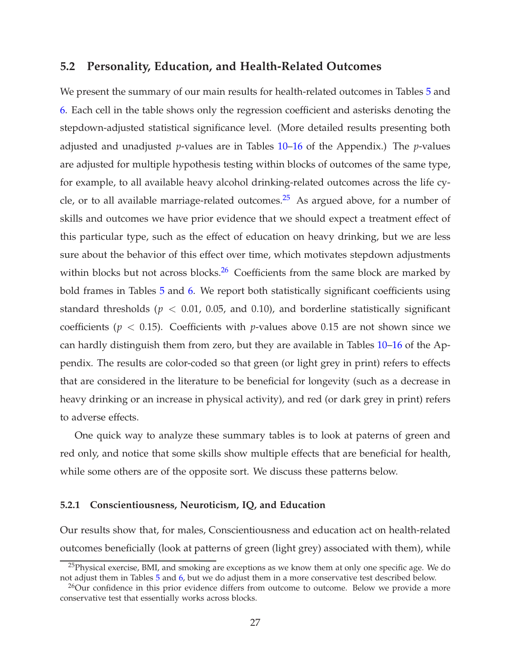## <span id="page-30-0"></span>**5.2 Personality, Education, and Health-Related Outcomes**

We present the summary of our main results for health-related outcomes in Tables [5](#page-31-0) and [6.](#page-32-0) Each cell in the table shows only the regression coefficient and asterisks denoting the stepdown-adjusted statistical significance level. (More detailed results presenting both adjusted and unadjusted *p*-values are in Tables [10–](#page-52-0)[16](#page-58-0) of the Appendix.) The *p*-values are adjusted for multiple hypothesis testing within blocks of outcomes of the same type, for example, to all available heavy alcohol drinking-related outcomes across the life cycle, or to all available marriage-related outcomes.<sup>25</sup> As argued above, for a number of skills and outcomes we have prior evidence that we should expect a treatment effect of this particular type, such as the effect of education on heavy drinking, but we are less sure about the behavior of this effect over time, which motivates stepdown adjustments within blocks but not across blocks. $26$  Coefficients from the same block are marked by bold frames in Tables [5](#page-31-0) and [6.](#page-32-0) We report both statistically significant coefficients using standard thresholds ( $p < 0.01$ , 0.05, and 0.10), and borderline statistically significant coefficients ( $p < 0.15$ ). Coefficients with *p*-values above 0.15 are not shown since we can hardly distinguish them from zero, but they are available in Tables [10](#page-52-0)[–16](#page-58-0) of the Appendix. The results are color-coded so that green (or light grey in print) refers to effects that are considered in the literature to be beneficial for longevity (such as a decrease in heavy drinking or an increase in physical activity), and red (or dark grey in print) refers to adverse effects.

One quick way to analyze these summary tables is to look at paterns of green and red only, and notice that some skills show multiple effects that are beneficial for health, while some others are of the opposite sort. We discuss these patterns below.

#### <span id="page-30-1"></span>**5.2.1 Conscientiousness, Neuroticism, IQ, and Education**

Our results show that, for males, Conscientiousness and education act on health-related outcomes beneficially (look at patterns of green (light grey) associated with them), while

 $^{25}$ Physical exercise, BMI, and smoking are exceptions as we know them at only one specific age. We do not adjust them in Tables [5](#page-31-0) and [6,](#page-32-0) but we do adjust them in a more conservative test described below.

 $^{26}$ Our confidence in this prior evidence differs from outcome to outcome. Below we provide a more conservative test that essentially works across blocks.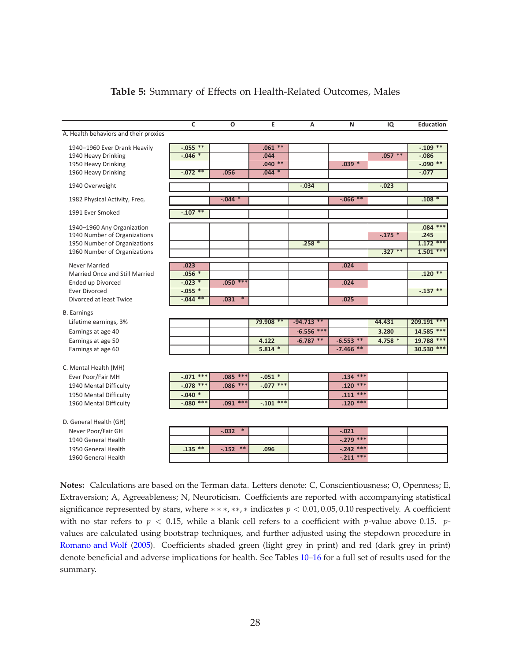<span id="page-31-0"></span>

|                                                                                                        | C           | O                 | E           | A            | N            | IQ        | <b>Education</b> |
|--------------------------------------------------------------------------------------------------------|-------------|-------------------|-------------|--------------|--------------|-----------|------------------|
| A. Health behaviors and their proxies                                                                  |             |                   |             |              |              |           |                  |
| 1940-1960 Ever Drank Heavily                                                                           | $-.055$ **  |                   | $.061**$    |              |              |           | $-.109$ **       |
| 1940 Heavy Drinking                                                                                    | $-.046*$    |                   | .044        |              |              | $.057***$ | $-0.086$         |
| 1950 Heavy Drinking                                                                                    |             |                   | $.040**$    |              | $.039 *$     |           | $-.090**$        |
| 1960 Heavy Drinking                                                                                    | $-0.072$ ** | .056              | $.044 *$    |              |              |           | $-0.077$         |
| 1940 Overweight                                                                                        |             |                   |             | $-.034$      |              | $-0.023$  |                  |
| 1982 Physical Activity, Freq.                                                                          |             | $-.044$ *         |             |              | $-0.066**$   |           | $.108*$          |
| 1991 Ever Smoked                                                                                       | $-0.107$ ** |                   |             |              |              |           |                  |
| 1940-1960 Any Organization                                                                             |             |                   |             |              |              |           | $.084***$        |
| 1940 Number of Organizations                                                                           |             |                   |             |              |              | $-.175$ * | .245             |
| 1950 Number of Organizations                                                                           |             |                   |             | $.258*$      |              |           | $1.172$ ***      |
| 1960 Number of Organizations                                                                           |             |                   |             |              |              | $.327**$  | $1.501$ ***      |
| <b>Never Married</b>                                                                                   | .023        |                   |             |              | .024         |           |                  |
| Married Once and Still Married                                                                         | $.056*$     |                   |             |              |              |           | $.120**$         |
| Ended up Divorced                                                                                      | $-0.023$ *  | $.050***$         |             |              | .024         |           |                  |
| <b>Ever Divorced</b>                                                                                   | $-0.055$ *  |                   |             |              |              |           | $-0.137**$       |
| Divorced at least Twice                                                                                | $-.044**$   | $.031$ *          |             |              | .025         |           |                  |
| <b>B.</b> Earnings                                                                                     |             |                   |             |              |              |           |                  |
| Lifetime earnings, 3%                                                                                  |             |                   | 79.908 **   | $-94.713$ ** |              | 44.431    | 209.191 ***      |
| Earnings at age 40                                                                                     |             |                   |             | $-6.556$ *** |              | 3.280     | 14.585 ***       |
| Earnings at age 50                                                                                     |             |                   | 4.122       | $-6.787$ **  | $-6.553$ **  | 4.758 *   | 19.788 ***       |
| Earnings at age 60                                                                                     |             |                   | $5.814*$    |              | $-7.466$ **  |           | 30.530 ***       |
|                                                                                                        |             |                   |             |              |              |           |                  |
| C. Mental Health (MH)                                                                                  |             |                   |             |              |              |           |                  |
| Ever Poor/Fair MH                                                                                      | $-.071$ *** | $.085$ ***        | $-.051$ *   |              | $.134***$    |           |                  |
| 1940 Mental Difficulty                                                                                 | $-.078$ *** | $.086$ ***        | $-.077$ *** |              | $.120***$    |           |                  |
| 1950 Mental Difficulty                                                                                 | $-.040$ *   |                   |             |              | $.111***$    |           |                  |
| 1960 Mental Difficulty                                                                                 | $-.080$ *** | $.091***$         | $-.101$ *** |              | $.120***$    |           |                  |
| D. General Health (GH)                                                                                 |             |                   |             |              |              |           |                  |
| Never Poor/Fair GH                                                                                     |             | $-.032$<br>$\ast$ |             |              | $-.021$      |           |                  |
| 1940 General Health                                                                                    |             |                   |             |              | $-.279$ ***  |           |                  |
| 1950 General Health                                                                                    | $.135**$    | $***$<br>$-152$   | .096        |              | $-.242$ ***  |           |                  |
| 1960 General Health                                                                                    |             |                   |             |              | $-0.211$ *** |           |                  |
|                                                                                                        |             |                   |             |              |              |           |                  |
| Notes: Calculations are based on the Terman data. Letters denote: C. Conscientiousness: O. Openness: F |             |                   |             |              |              |           |                  |

#### **Table 5:** Summary of Effects on Health-Related Outcomes, Males

**Notes:** Calculations are based on the Terman data. Letters denote: C, Conscientiousness; O, Openness; E, Extraversion; A, Agreeableness; N, Neuroticism. Coefficients are reported with accompanying statistical significance represented by stars, where ∗ ∗ ∗, ∗∗, ∗ indicates *p* < 0.01, 0.05, 0.10 respectively. A coefficient with no star refers to  $p < 0.15$ , while a blank cell refers to a coefficient with *p*-value above 0.15. *p*values are calculated using bootstrap techniques, and further adjusted using the stepdown procedure in [Romano and Wolf](#page-48-1) [\(2005](#page-48-1)). Coefficients shaded green (light grey in print) and red (dark grey in print) denote beneficial and adverse implications for health. See Tables [10–](#page-52-0)[16](#page-58-0) for a full set of results used for the summary.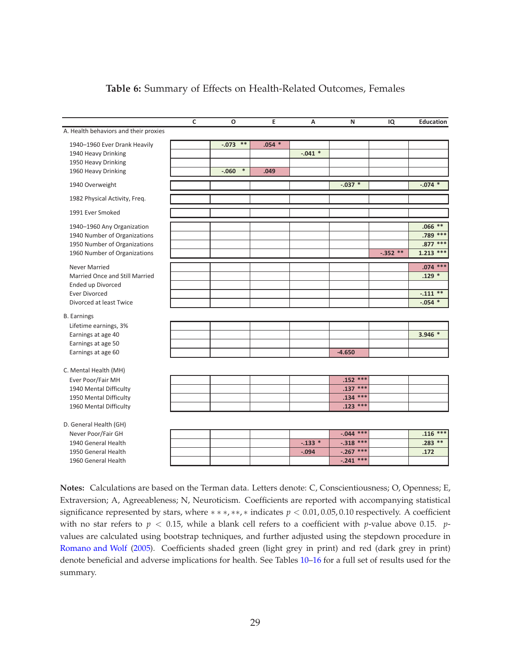<span id="page-32-0"></span>

|                                            | $\mathsf{C}$ | O                 | E        | A         | N           | IQ        | <b>Education</b> |
|--------------------------------------------|--------------|-------------------|----------|-----------|-------------|-----------|------------------|
| A. Health behaviors and their proxies      |              |                   |          |           |             |           |                  |
| 1940-1960 Ever Drank Heavily               |              | $-.073$ **        | $.054$ * |           |             |           |                  |
| 1940 Heavy Drinking                        |              |                   |          | $-.041$ * |             |           |                  |
| 1950 Heavy Drinking                        |              |                   |          |           |             |           |                  |
| 1960 Heavy Drinking                        |              | $\ast$<br>$-.060$ | .049     |           |             |           |                  |
| 1940 Overweight                            |              |                   |          |           | $-.037$ *   |           | $-0.074$ *       |
| 1982 Physical Activity, Freq.              |              |                   |          |           |             |           |                  |
| 1991 Ever Smoked                           |              |                   |          |           |             |           |                  |
| 1940-1960 Any Organization                 |              |                   |          |           |             |           | $.066**$         |
| 1940 Number of Organizations               |              |                   |          |           |             |           | .789 ***         |
| 1950 Number of Organizations               |              |                   |          |           |             |           | $.877***$        |
| 1960 Number of Organizations               |              |                   |          |           |             | $-.352**$ | $1.213$ ***      |
| <b>Never Married</b>                       |              |                   |          |           |             |           | $.074***$        |
| Married Once and Still Married             |              |                   |          |           |             |           | $.129*$          |
| <b>Ended up Divorced</b>                   |              |                   |          |           |             |           |                  |
| <b>Ever Divorced</b>                       |              |                   |          |           |             |           | $-.111**$        |
| Divorced at least Twice                    |              |                   |          |           |             |           | $-.054$ *        |
| <b>B.</b> Earnings                         |              |                   |          |           |             |           |                  |
| Lifetime earnings, 3%                      |              |                   |          |           |             |           |                  |
| Earnings at age 40                         |              |                   |          |           |             |           | $3.946*$         |
| Earnings at age 50                         |              |                   |          |           |             |           |                  |
| Earnings at age 60                         |              |                   |          |           | $-4.650$    |           |                  |
|                                            |              |                   |          |           |             |           |                  |
| C. Mental Health (MH)<br>Ever Poor/Fair MH |              |                   |          |           | $.152$ ***  |           |                  |
| 1940 Mental Difficulty                     |              |                   |          |           | $.137***$   |           |                  |
| 1950 Mental Difficulty                     |              |                   |          |           | $.134***$   |           |                  |
| 1960 Mental Difficulty                     |              |                   |          |           | $.123$ ***  |           |                  |
|                                            |              |                   |          |           |             |           |                  |
| D. General Health (GH)                     |              |                   |          |           |             |           |                  |
| Never Poor/Fair GH                         |              |                   |          |           | $-.044$ *** |           | $.116***$        |
| 1940 General Health                        |              |                   |          | $-.133*$  | $-.318$ *** |           | $.283**$         |
| 1950 General Health                        |              |                   |          | $-.094$   | $-.267$ *** |           | .172             |
| 1960 General Health                        |              |                   |          |           | $-.241$ *** |           |                  |
|                                            |              |                   |          |           |             |           |                  |

#### **Table 6:** Summary of Effects on Health-Related Outcomes, Females

**Notes:** Calculations are based on the Terman data. Letters denote: C, Conscientiousness; O, Openness; E, Extraversion; A, Agreeableness; N, Neuroticism. Coefficients are reported with accompanying statistical significance represented by stars, where ∗ ∗ ∗, ∗∗, ∗ indicates *p* < 0.01, 0.05, 0.10 respectively. A coefficient with no star refers to  $p < 0.15$ , while a blank cell refers to a coefficient with *p*-value above 0.15. *p*values are calculated using bootstrap techniques, and further adjusted using the stepdown procedure in [Romano and Wolf](#page-48-1) [\(2005](#page-48-1)). Coefficients shaded green (light grey in print) and red (dark grey in print) denote beneficial and adverse implications for health. See Tables [10–](#page-52-0)[16](#page-58-0) for a full set of results used for the summary.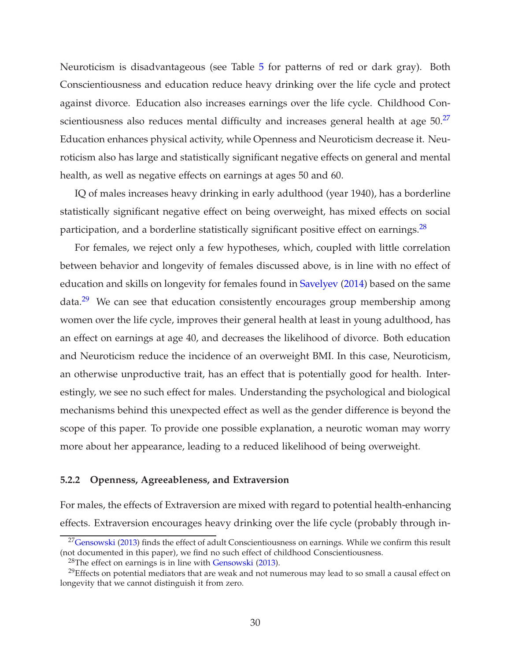Neuroticism is disadvantageous (see Table [5](#page-31-0) for patterns of red or dark gray). Both Conscientiousness and education reduce heavy drinking over the life cycle and protect against divorce. Education also increases earnings over the life cycle. Childhood Conscientiousness also reduces mental difficulty and increases general health at age  $50.^27$ Education enhances physical activity, while Openness and Neuroticism decrease it. Neuroticism also has large and statistically significant negative effects on general and mental health, as well as negative effects on earnings at ages 50 and 60.

IQ of males increases heavy drinking in early adulthood (year 1940), has a borderline statistically significant negative effect on being overweight, has mixed effects on social participation, and a borderline statistically significant positive effect on earnings.<sup>28</sup>

For females, we reject only a few hypotheses, which, coupled with little correlation between behavior and longevity of females discussed above, is in line with no effect of education and skills on longevity for females found in [Savelyev](#page-48-0) [\(2014](#page-48-0)) based on the same data.<sup>29</sup> We can see that education consistently encourages group membership among women over the life cycle, improves their general health at least in young adulthood, has an effect on earnings at age 40, and decreases the likelihood of divorce. Both education and Neuroticism reduce the incidence of an overweight BMI. In this case, Neuroticism, an otherwise unproductive trait, has an effect that is potentially good for health. Interestingly, we see no such effect for males. Understanding the psychological and biological mechanisms behind this unexpected effect as well as the gender difference is beyond the scope of this paper. To provide one possible explanation, a neurotic woman may worry more about her appearance, leading to a reduced likelihood of being overweight.

#### <span id="page-33-0"></span>**5.2.2 Openness, Agreeableness, and Extraversion**

For males, the effects of Extraversion are mixed with regard to potential health-enhancing effects. Extraversion encourages heavy drinking over the life cycle (probably through in-

 $27$ [Gensowski](#page-47-6) [\(2013](#page-47-6)) finds the effect of adult Conscientiousness on earnings. While we confirm this result (not documented in this paper), we find no such effect of childhood Conscientiousness.

 $28$ The effect on earnings is in line with [Gensowski](#page-47-6) [\(2013](#page-47-6)).

 $^{29}$ Effects on potential mediators that are weak and not numerous may lead to so small a causal effect on longevity that we cannot distinguish it from zero.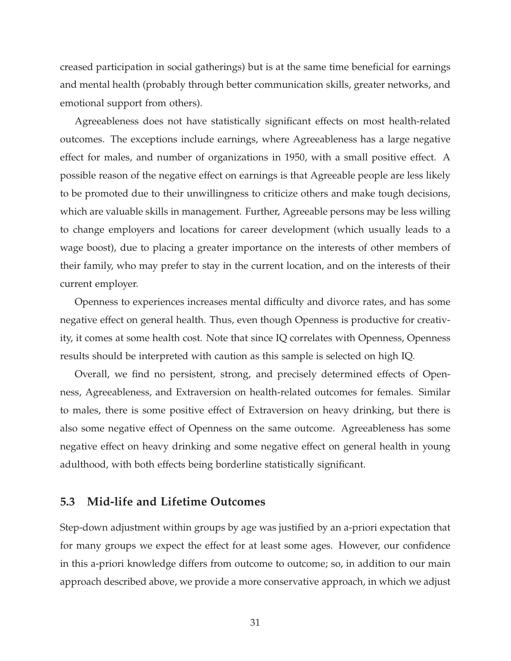creased participation in social gatherings) but is at the same time beneficial for earnings and mental health (probably through better communication skills, greater networks, and emotional support from others).

Agreeableness does not have statistically significant effects on most health-related outcomes. The exceptions include earnings, where Agreeableness has a large negative effect for males, and number of organizations in 1950, with a small positive effect. A possible reason of the negative effect on earnings is that Agreeable people are less likely to be promoted due to their unwillingness to criticize others and make tough decisions, which are valuable skills in management. Further, Agreeable persons may be less willing to change employers and locations for career development (which usually leads to a wage boost), due to placing a greater importance on the interests of other members of their family, who may prefer to stay in the current location, and on the interests of their current employer.

Openness to experiences increases mental difficulty and divorce rates, and has some negative effect on general health. Thus, even though Openness is productive for creativity, it comes at some health cost. Note that since IQ correlates with Openness, Openness results should be interpreted with caution as this sample is selected on high IQ.

Overall, we find no persistent, strong, and precisely determined effects of Openness, Agreeableness, and Extraversion on health-related outcomes for females. Similar to males, there is some positive effect of Extraversion on heavy drinking, but there is also some negative effect of Openness on the same outcome. Agreeableness has some negative effect on heavy drinking and some negative effect on general health in young adulthood, with both effects being borderline statistically significant.

## <span id="page-34-0"></span>**5.3 Mid-life and Lifetime Outcomes**

Step-down adjustment within groups by age was justified by an a-priori expectation that for many groups we expect the effect for at least some ages. However, our confidence in this a-priori knowledge differs from outcome to outcome; so, in addition to our main approach described above, we provide a more conservative approach, in which we adjust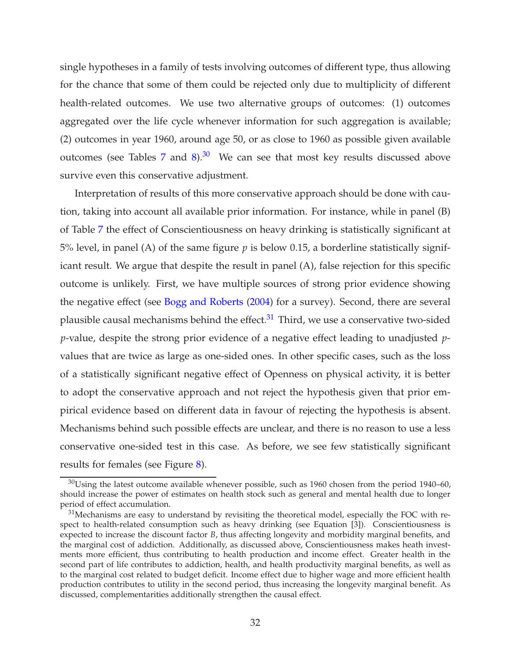single hypotheses in a family of tests involving outcomes of different type, thus allowing for the chance that some of them could be rejected only due to multiplicity of different health-related outcomes. We use two alternative groups of outcomes: (1) outcomes aggregated over the life cycle whenever information for such aggregation is available; (2) outcomes in year 1960, around age 50, or as close to 1960 as possible given available outcomes (see Tables [7](#page-36-0) and [8\)](#page-37-0).<sup>30</sup> We can see that most key results discussed above survive even this conservative adjustment.

Interpretation of results of this more conservative approach should be done with caution, taking into account all available prior information. For instance, while in panel (B) of Table [7](#page-36-0) the effect of Conscientiousness on heavy drinking is statistically significant at 5% level, in panel (A) of the same figure *p* is below 0.15, a borderline statistically significant result. We argue that despite the result in panel (A), false rejection for this specific outcome is unlikely. First, we have multiple sources of strong prior evidence showing the negative effect (see [Bogg and Roberts](#page-45-11) [\(2004\)](#page-45-11) for a survey). Second, there are several plausible causal mechanisms behind the effect. $31$  Third, we use a conservative two-sided *p*-value, despite the strong prior evidence of a negative effect leading to unadjusted *p*values that are twice as large as one-sided ones. In other specific cases, such as the loss of a statistically significant negative effect of Openness on physical activity, it is better to adopt the conservative approach and not reject the hypothesis given that prior empirical evidence based on different data in favour of rejecting the hypothesis is absent. Mechanisms behind such possible effects are unclear, and there is no reason to use a less conservative one-sided test in this case. As before, we see few statistically significant results for females (see Figure [8\)](#page-37-0).

 $30$ Using the latest outcome available whenever possible, such as 1960 chosen from the period 1940–60, should increase the power of estimates on health stock such as general and mental health due to longer period of effect accumulation.

 $31$ Mechanisms are easy to understand by revisiting the theoretical model, especially the FOC with respect to health-related consumption such as heavy drinking (see Equation [3]). Conscientiousness is expected to increase the discount factor *B*, thus affecting longevity and morbidity marginal benefits, and the marginal cost of addiction. Additionally, as discussed above, Conscientiousness makes heath investments more efficient, thus contributing to health production and income effect. Greater health in the second part of life contributes to addiction, health, and health productivity marginal benefits, as well as to the marginal cost related to budget deficit. Income effect due to higher wage and more efficient health production contributes to utility in the second period, thus increasing the longevity marginal benefit. As discussed, complementarities additionally strengthen the causal effect.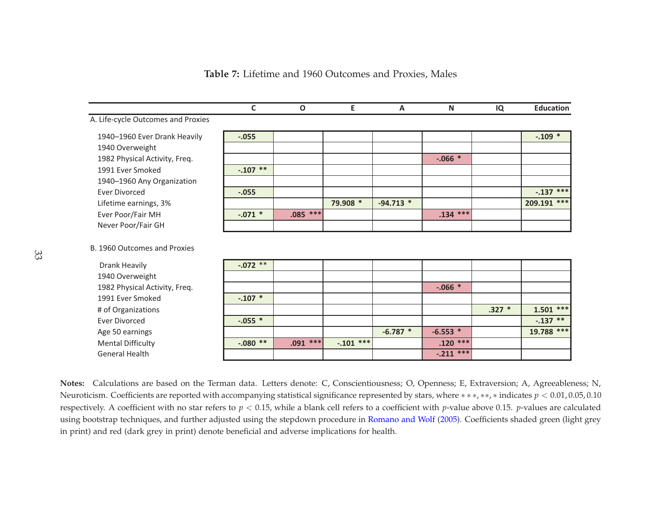<span id="page-36-0"></span>

|                                                      | C         | $\mathbf{o}$ | Е           | A           | N           | IQ       | <b>Education</b> |
|------------------------------------------------------|-----------|--------------|-------------|-------------|-------------|----------|------------------|
| A. Life-cycle Outcomes and Proxies                   |           |              |             |             |             |          |                  |
| 1940-1960 Ever Drank Heavily                         | $-.055$   |              |             |             |             |          | $-.109$ *        |
| 1940 Overweight                                      |           |              |             |             |             |          |                  |
| 1982 Physical Activity, Freq.                        |           |              |             |             | $-.066*$    |          |                  |
| 1991 Ever Smoked                                     | $-.107**$ |              |             |             |             |          |                  |
| 1940-1960 Any Organization                           |           |              |             |             |             |          |                  |
| <b>Ever Divorced</b>                                 | $-.055$   |              |             |             |             |          | $-.137$ ***      |
| Lifetime earnings, 3%                                |           |              | 79.908 *    | $-94.713$ * |             |          | 209.191 ***      |
| Ever Poor/Fair MH                                    | $-.071$ * | $.085$ ***   |             |             | $.134***$   |          |                  |
| Never Poor/Fair GH                                   |           |              |             |             |             |          |                  |
| B. 1960 Outcomes and Proxies<br><b>Drank Heavily</b> | $-.072**$ |              |             |             |             |          |                  |
| 1940 Overweight                                      |           |              |             |             |             |          |                  |
| 1982 Physical Activity, Freq.                        |           |              |             |             | $-.066*$    |          |                  |
| 1991 Ever Smoked                                     | $-.107$ * |              |             |             |             |          |                  |
| # of Organizations                                   |           |              |             |             |             | $.327 *$ | $1.501$ ***      |
| <b>Ever Divorced</b>                                 | $-.055$ * |              |             |             |             |          | $-.137$ **       |
| Age 50 earnings                                      |           |              |             | $-6.787*$   | $-6.553$ *  |          | 19.788 ***       |
| <b>Mental Difficulty</b>                             | $-.080**$ | $.091$ ***   | $-.101$ *** |             | $.120$ ***  |          |                  |
| <b>General Health</b>                                |           |              |             |             | $-.211$ *** |          |                  |

**Table 7:** Lifetime and 1960 Outcomes and Proxies, Males

**Notes:** Calculations are based on the Terman data. Letters denote: C, Conscientiousness; O, Openness; E, Extraversion; A, Agreeableness; N, Neuroticism. Coefficients are reported with accompanying statistical significance represented by stars, where <sup>∗</sup> <sup>∗</sup> <sup>∗</sup>, ∗∗, <sup>∗</sup> indicates *<sup>p</sup>* <sup>&</sup>lt; 0.01, 0.05, 0.10 respectively. <sup>A</sup> coefficient with no star refers to *<sup>p</sup>* <sup>&</sup>lt; 0.15, while <sup>a</sup> blank cell refers to <sup>a</sup> coefficient with *<sup>p</sup>*-value above 0.15. *<sup>p</sup>*-values are calculated using bootstrap techniques, and further adjusted using the stepdown procedure in <mark>[Romano](#page-48-10) and Wolf (2005</mark>). Coefficients shaded green (light grey in print) and red (dark grey in print) denote beneficial and adverse implications for health.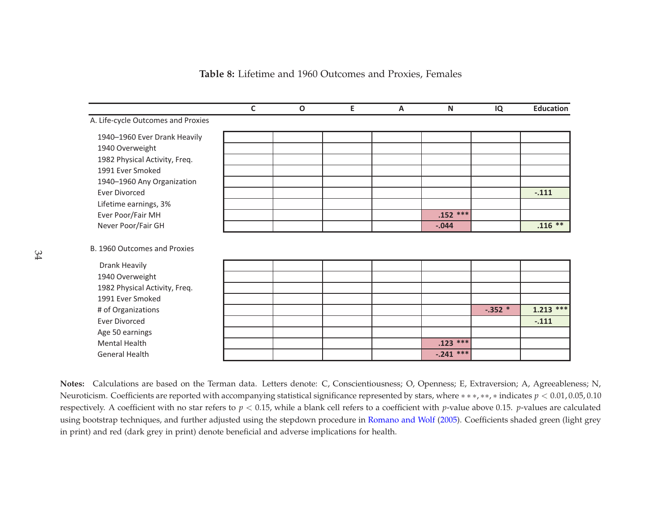<span id="page-37-0"></span>

|                                    | $\mathsf{C}$ | $\mathbf 0$ | E | A | N           | IQ       | <b>Education</b> |
|------------------------------------|--------------|-------------|---|---|-------------|----------|------------------|
| A. Life-cycle Outcomes and Proxies |              |             |   |   |             |          |                  |
| 1940-1960 Ever Drank Heavily       |              |             |   |   |             |          |                  |
| 1940 Overweight                    |              |             |   |   |             |          |                  |
| 1982 Physical Activity, Freq.      |              |             |   |   |             |          |                  |
| 1991 Ever Smoked                   |              |             |   |   |             |          |                  |
| 1940-1960 Any Organization         |              |             |   |   |             |          |                  |
| <b>Ever Divorced</b>               |              |             |   |   |             |          | $-.111$          |
| Lifetime earnings, 3%              |              |             |   |   |             |          |                  |
| Ever Poor/Fair MH                  |              |             |   |   | $.152***$   |          |                  |
| Never Poor/Fair GH                 |              |             |   |   | $-.044$     |          | $.116$ **        |
| B. 1960 Outcomes and Proxies       |              |             |   |   |             |          |                  |
| Drank Heavily                      |              |             |   |   |             |          |                  |
| 1940 Overweight                    |              |             |   |   |             |          |                  |
| 1982 Physical Activity, Freq.      |              |             |   |   |             |          |                  |
| 1991 Ever Smoked                   |              |             |   |   |             |          |                  |
| # of Organizations                 |              |             |   |   |             | $-.352*$ | $1.213$ ***      |
| <b>Ever Divorced</b>               |              |             |   |   |             |          | $-.111$          |
| Age 50 earnings                    |              |             |   |   |             |          |                  |
| Mental Health                      |              |             |   |   | $.123$ ***  |          |                  |
| <b>General Health</b>              |              |             |   |   | $-.241$ *** |          |                  |

**Table 8:** Lifetime and 1960 Outcomes and Proxies, Females

**Notes:** Calculations are based on the Terman data. Letters denote: C, Conscientiousness; O, Openness; E, Extraversion; A, Agreeableness; N, Neuroticism. Coefficients are reported with accompanying statistical significance represented by stars, where <sup>∗</sup> <sup>∗</sup> <sup>∗</sup>, ∗∗, <sup>∗</sup> indicates *<sup>p</sup>* <sup>&</sup>lt; 0.01, 0.05, 0.10 respectively. <sup>A</sup> coefficient with no star refers to *<sup>p</sup>* <sup>&</sup>lt; 0.15, while <sup>a</sup> blank cell refers to <sup>a</sup> coefficient with *<sup>p</sup>*-value above 0.15. *<sup>p</sup>*-values are calculated using bootstrap techniques, and further adjusted using the stepdown procedure in <mark>[Romano](#page-48-10) and Wolf (2005</mark>). Coefficients shaded green (light grey in print) and red (dark grey in print) denote beneficial and adverse implications for health.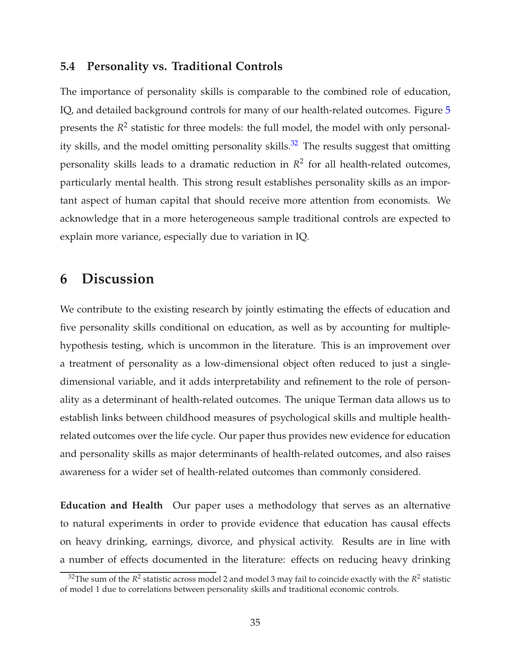## <span id="page-38-0"></span>**5.4 Personality vs. Traditional Controls**

The importance of personality skills is comparable to the combined role of education, IQ, and detailed background controls for many of our health-related outcomes. Figure [5](#page-39-0) presents the  $R^2$  statistic for three models: the full model, the model with only personality skills, and the model omitting personality skills.<sup>32</sup> The results suggest that omitting personality skills leads to a dramatic reduction in *R* 2 for all health-related outcomes, particularly mental health. This strong result establishes personality skills as an important aspect of human capital that should receive more attention from economists. We acknowledge that in a more heterogeneous sample traditional controls are expected to explain more variance, especially due to variation in IQ.

# <span id="page-38-1"></span>**6 Discussion**

We contribute to the existing research by jointly estimating the effects of education and five personality skills conditional on education, as well as by accounting for multiplehypothesis testing, which is uncommon in the literature. This is an improvement over a treatment of personality as a low-dimensional object often reduced to just a singledimensional variable, and it adds interpretability and refinement to the role of personality as a determinant of health-related outcomes. The unique Terman data allows us to establish links between childhood measures of psychological skills and multiple healthrelated outcomes over the life cycle. Our paper thus provides new evidence for education and personality skills as major determinants of health-related outcomes, and also raises awareness for a wider set of health-related outcomes than commonly considered.

**Education and Health** Our paper uses a methodology that serves as an alternative to natural experiments in order to provide evidence that education has causal effects on heavy drinking, earnings, divorce, and physical activity. Results are in line with a number of effects documented in the literature: effects on reducing heavy drinking

 $^{32}$ The sum of the  $R^2$  statistic across model 2 and model 3 may fail to coincide exactly with the  $R^2$  statistic of model 1 due to correlations between personality skills and traditional economic controls.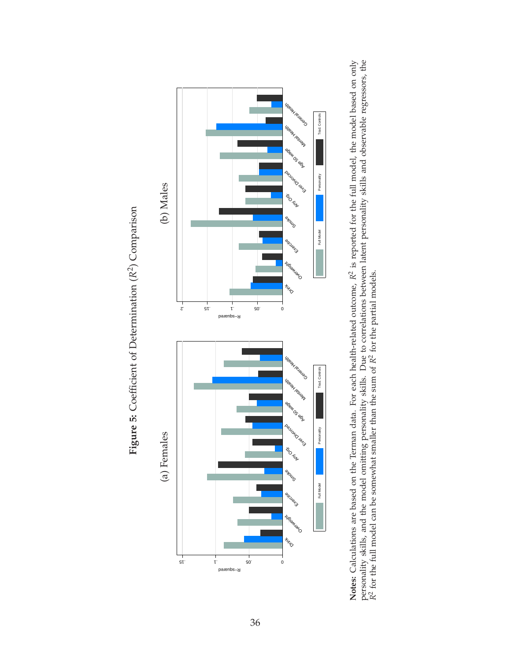<span id="page-39-0"></span>

Figure 5: Coefficient of Determination  $(R^2)$  Comparison **Figure 5:** Coefficient of Determination (*R*2) Comparison

personality skills, and the model omitting personality skills. Due to correlations between latent personality skills and observable regressors, the  $R^2$  for the full model can be somewhat smaller than the sum of  $R^2$  for Notes: Calculations are based on the Terman data. For each health-related outcome,  $R^2$  is reported for the full model, the model based on only **Notes:** Calculations are based on the Terman data. For each health-related outcome, *R*2 is reported for the full model, the model based on only personality skills, and the model omitting personality skills. Due to correlations between latent personality skills and observable regressors, the *R*2 for the full model can be somewhat smaller than the sum of *R*2 for the partial models.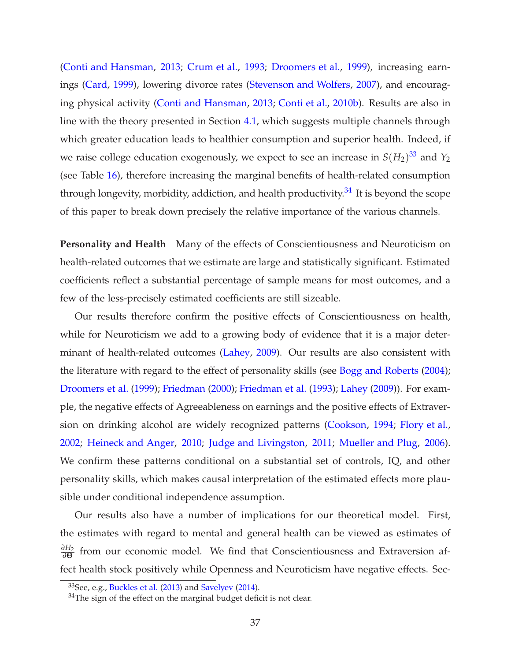[\(Conti and Hansman,](#page-45-12) [2013](#page-45-12); [Crum et al.,](#page-46-10) [1993](#page-46-10); [Droomers et al.,](#page-46-11) [1999\)](#page-46-11), increasing earnings [\(Card,](#page-45-13) [1999\)](#page-45-13), lowering divorce rates [\(Stevenson and Wolfers](#page-49-10), [2007](#page-49-10)), and encouraging physical activity [\(Conti and Hansman](#page-45-12), [2013](#page-45-12); [Conti et al.](#page-46-1), [2010b\)](#page-46-1). Results are also in line with the theory presented in Section [4.1,](#page-15-1) which suggests multiple channels through which greater education leads to healthier consumption and superior health. Indeed, if we raise college education exogenously, we expect to see an increase in  $S(H_2)^{33}$  and  $Y_2$ (see Table [16\)](#page-58-0), therefore increasing the marginal benefits of health-related consumption through longevity, morbidity, addiction, and health productivity.<sup>34</sup> It is beyond the scope of this paper to break down precisely the relative importance of the various channels.

**Personality and Health** Many of the effects of Conscientiousness and Neuroticism on health-related outcomes that we estimate are large and statistically significant. Estimated coefficients reflect a substantial percentage of sample means for most outcomes, and a few of the less-precisely estimated coefficients are still sizeable.

Our results therefore confirm the positive effects of Conscientiousness on health, while for Neuroticism we add to a growing body of evidence that it is a major determinant of health-related outcomes [\(Lahey,](#page-48-11) [2009](#page-48-11)). Our results are also consistent with the literature with regard to the effect of personality skills (see [Bogg and Roberts](#page-45-11) [\(2004](#page-45-11)); [Droomers et al.](#page-46-11) [\(1999\)](#page-46-11); [Friedman](#page-46-2) [\(2000](#page-46-2)); [Friedman et al.](#page-46-6) [\(1993](#page-46-6)); [Lahey](#page-48-11) [\(2009\)](#page-48-11)). For example, the negative effects of Agreeableness on earnings and the positive effects of Extraversion on drinking alcohol are widely recognized patterns [\(Cookson](#page-46-12), [1994;](#page-46-12) [Flory et al.](#page-46-13), [2002;](#page-46-13) [Heineck and Anger](#page-48-12), [2010;](#page-48-12) [Judge and Livingston](#page-48-13), [2011](#page-48-13); [Mueller and Plug](#page-48-14), [2006](#page-48-14)). We confirm these patterns conditional on a substantial set of controls, IQ, and other personality skills, which makes causal interpretation of the estimated effects more plausible under conditional independence assumption.

Our results also have a number of implications for our theoretical model. First, the estimates with regard to mental and general health can be viewed as estimates of  $\frac{\partial H_2}{\partial Θ}$  from our economic model. We find that Conscientiousness and Extraversion affect health stock positively while Openness and Neuroticism have negative effects. Sec-

 $33$ See, e.g., [Buckles et al.](#page-45-0) [\(2013\)](#page-45-0) and [Savelyev](#page-48-0) [\(2014\)](#page-48-0).

 $34$ The sign of the effect on the marginal budget deficit is not clear.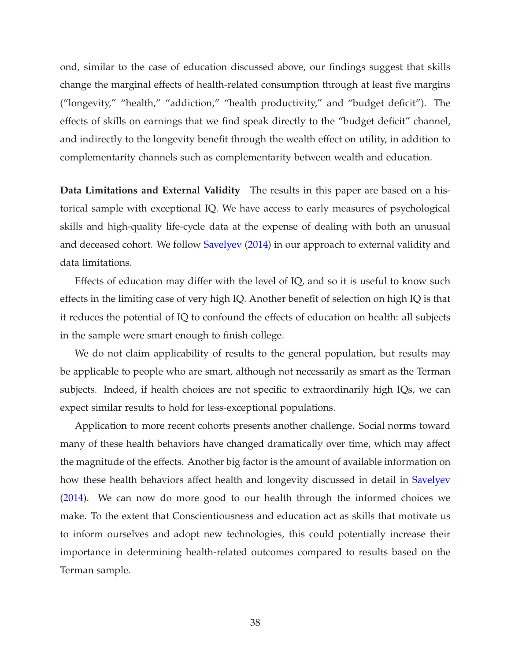ond, similar to the case of education discussed above, our findings suggest that skills change the marginal effects of health-related consumption through at least five margins ("longevity," "health," "addiction," "health productivity," and "budget deficit"). The effects of skills on earnings that we find speak directly to the "budget deficit" channel, and indirectly to the longevity benefit through the wealth effect on utility, in addition to complementarity channels such as complementarity between wealth and education.

**Data Limitations and External Validity** The results in this paper are based on a historical sample with exceptional IQ. We have access to early measures of psychological skills and high-quality life-cycle data at the expense of dealing with both an unusual and deceased cohort. We follow [Savelyev](#page-48-0) [\(2014](#page-48-0)) in our approach to external validity and data limitations.

Effects of education may differ with the level of IQ, and so it is useful to know such effects in the limiting case of very high IQ. Another benefit of selection on high IQ is that it reduces the potential of IQ to confound the effects of education on health: all subjects in the sample were smart enough to finish college.

We do not claim applicability of results to the general population, but results may be applicable to people who are smart, although not necessarily as smart as the Terman subjects. Indeed, if health choices are not specific to extraordinarily high IQs, we can expect similar results to hold for less-exceptional populations.

Application to more recent cohorts presents another challenge. Social norms toward many of these health behaviors have changed dramatically over time, which may affect the magnitude of the effects. Another big factor is the amount of available information on how these health behaviors affect health and longevity discussed in detail in [Savelyev](#page-48-0) [\(2014\)](#page-48-0). We can now do more good to our health through the informed choices we make. To the extent that Conscientiousness and education act as skills that motivate us to inform ourselves and adopt new technologies, this could potentially increase their importance in determining health-related outcomes compared to results based on the Terman sample.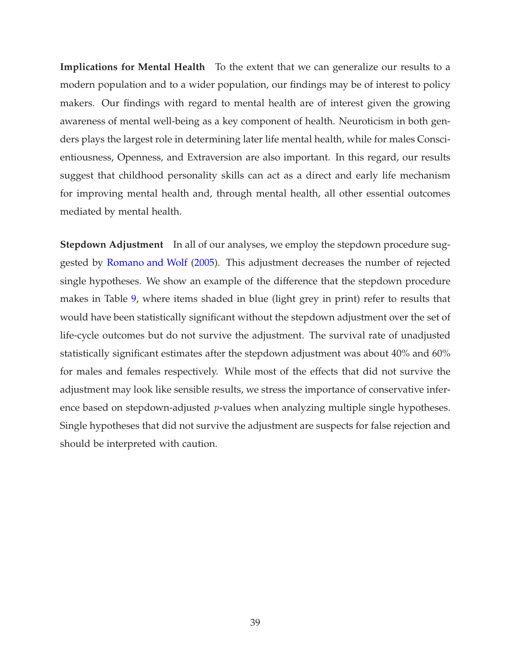**Implications for Mental Health** To the extent that we can generalize our results to a modern population and to a wider population, our findings may be of interest to policy makers. Our findings with regard to mental health are of interest given the growing awareness of mental well-being as a key component of health. Neuroticism in both genders plays the largest role in determining later life mental health, while for males Conscientiousness, Openness, and Extraversion are also important. In this regard, our results suggest that childhood personality skills can act as a direct and early life mechanism for improving mental health and, through mental health, all other essential outcomes mediated by mental health.

**Stepdown Adjustment** In all of our analyses, we employ the stepdown procedure suggested by [Romano and Wolf](#page-48-1) [\(2005\)](#page-48-1). This adjustment decreases the number of rejected single hypotheses. We show an example of the difference that the stepdown procedure makes in Table [9,](#page-43-0) where items shaded in blue (light grey in print) refer to results that would have been statistically significant without the stepdown adjustment over the set of life-cycle outcomes but do not survive the adjustment. The survival rate of unadjusted statistically significant estimates after the stepdown adjustment was about 40% and 60% for males and females respectively. While most of the effects that did not survive the adjustment may look like sensible results, we stress the importance of conservative inference based on stepdown-adjusted *p*-values when analyzing multiple single hypotheses. Single hypotheses that did not survive the adjustment are suspects for false rejection and should be interpreted with caution.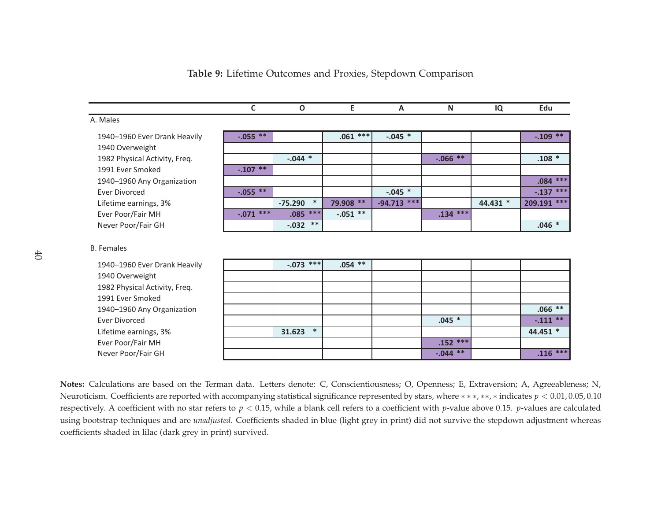<span id="page-43-0"></span>

|                                                   | $\mathsf{C}$ | $\Omega$            | E          | A             | N          | IQ       | Edu         |
|---------------------------------------------------|--------------|---------------------|------------|---------------|------------|----------|-------------|
| A. Males                                          |              |                     |            |               |            |          |             |
| 1940–1960 Ever Drank Heavily                      | $-.055$ **   |                     | $.061$ *** | $-.045$ *     |            |          | $-.109**$   |
| 1940 Overweight                                   |              |                     |            |               |            |          |             |
| 1982 Physical Activity, Freq.                     |              | $-.044$ *           |            |               | $-.066**$  |          | $.108 *$    |
| 1991 Ever Smoked                                  | $-.107**$    |                     |            |               |            |          |             |
| 1940-1960 Any Organization                        |              |                     |            |               |            |          | $.084$ ***  |
| <b>Ever Divorced</b>                              | $-0.055$ **  |                     |            | $-.045$ *     |            |          | $-.137$ *** |
| Lifetime earnings, 3%                             |              | $\ast$<br>$-75.290$ | 79.908 **  | $-94.713$ *** |            | 44.431 * | 209.191 *** |
| Ever Poor/Fair MH                                 | $-.071$ ***  | $***$<br>.085       | $-.051$ ** |               | $.134$ *** |          |             |
| Never Poor/Fair GH                                |              | $***$<br>$-.032$    |            |               |            |          | $.046 *$    |
| <b>B.</b> Females<br>1940–1960 Ever Drank Heavily |              | $-.073$ ***         | $.054**$   |               |            |          |             |
| 1940 Overweight                                   |              |                     |            |               |            |          |             |
| 1982 Physical Activity, Freq.                     |              |                     |            |               |            |          |             |
| 1991 Ever Smoked                                  |              |                     |            |               |            |          |             |
| 1940-1960 Any Organization                        |              |                     |            |               |            |          | $.066$ **   |
| <b>Ever Divorced</b>                              |              |                     |            |               | $.045 *$   |          | $-.111$ **  |
| Lifetime earnings, 3%                             |              | $\ast$<br>31.623    |            |               |            |          | 44.451 *    |
| Ever Poor/Fair MH                                 |              |                     |            |               | $.152***$  |          |             |
| Never Poor/Fair GH                                |              |                     |            |               | $-.044**$  |          | $.116$ ***  |

**Table 9:** Lifetime Outcomes and Proxies, Stepdown Comparison

**Notes:** Calculations are based on the Terman data. Letters denote: C, Conscientiousness; O, Openness; E, Extraversion; A, Agreeableness; N, Neuroticism. Coefficients are reported with accompanying statistical significance represented by stars, where <sup>∗</sup> <sup>∗</sup> <sup>∗</sup>, ∗∗, <sup>∗</sup> indicates *<sup>p</sup>* <sup>&</sup>lt; 0.01, 0.05, 0.10 respectively. <sup>A</sup> coefficient with no star refers to *<sup>p</sup>* <sup>&</sup>lt; 0.15, while <sup>a</sup> blank cell refers to <sup>a</sup> coefficient with *<sup>p</sup>*-value above 0.15. *<sup>p</sup>*-values are calculated using bootstrap techniques and are *unadjusted*. Coefficients shaded in blue (light grey in print) did not survive the stepdown adjustment whereas coefficients shaded in lilac (dark grey in print) survived.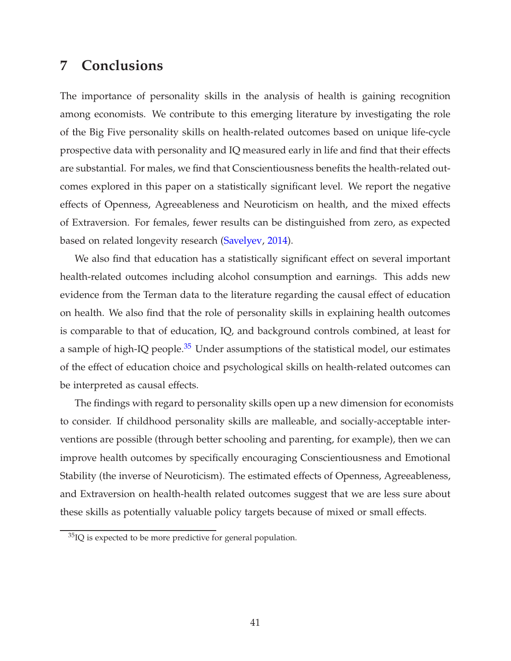# <span id="page-44-0"></span>**7 Conclusions**

The importance of personality skills in the analysis of health is gaining recognition among economists. We contribute to this emerging literature by investigating the role of the Big Five personality skills on health-related outcomes based on unique life-cycle prospective data with personality and IQ measured early in life and find that their effects are substantial. For males, we find that Conscientiousness benefits the health-related outcomes explored in this paper on a statistically significant level. We report the negative effects of Openness, Agreeableness and Neuroticism on health, and the mixed effects of Extraversion. For females, fewer results can be distinguished from zero, as expected based on related longevity research [\(Savelyev](#page-48-0), [2014\)](#page-48-0).

We also find that education has a statistically significant effect on several important health-related outcomes including alcohol consumption and earnings. This adds new evidence from the Terman data to the literature regarding the causal effect of education on health. We also find that the role of personality skills in explaining health outcomes is comparable to that of education, IQ, and background controls combined, at least for a sample of high-IQ people. $35$  Under assumptions of the statistical model, our estimates of the effect of education choice and psychological skills on health-related outcomes can be interpreted as causal effects.

The findings with regard to personality skills open up a new dimension for economists to consider. If childhood personality skills are malleable, and socially-acceptable interventions are possible (through better schooling and parenting, for example), then we can improve health outcomes by specifically encouraging Conscientiousness and Emotional Stability (the inverse of Neuroticism). The estimated effects of Openness, Agreeableness, and Extraversion on health-health related outcomes suggest that we are less sure about these skills as potentially valuable policy targets because of mixed or small effects.

 $35$ IQ is expected to be more predictive for general population.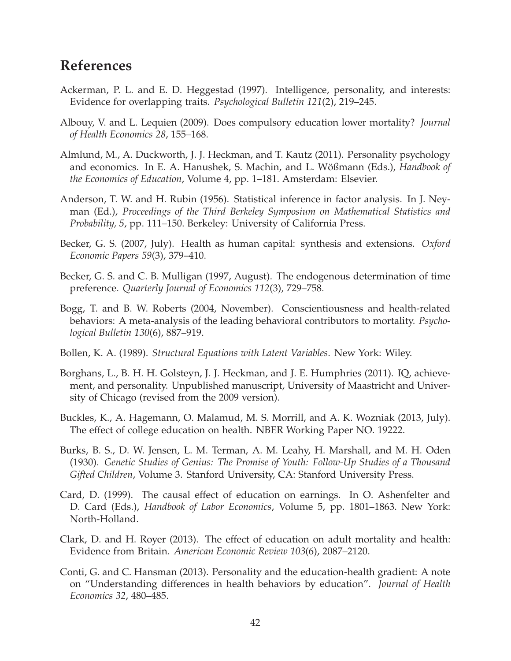# **References**

- <span id="page-45-3"></span>Ackerman, P. L. and E. D. Heggestad (1997). Intelligence, personality, and interests: Evidence for overlapping traits. *Psychological Bulletin 121*(2), 219–245.
- <span id="page-45-1"></span>Albouy, V. and L. Lequien (2009). Does compulsory education lower mortality? *Journal of Health Economics 28*, 155–168.
- <span id="page-45-9"></span>Almlund, M., A. Duckworth, J. J. Heckman, and T. Kautz (2011). Personality psychology and economics. In E. A. Hanushek, S. Machin, and L. Wößmann (Eds.), *Handbook of the Economics of Education*, Volume 4, pp. 1–181. Amsterdam: Elsevier.
- <span id="page-45-10"></span>Anderson, T. W. and H. Rubin (1956). Statistical inference in factor analysis. In J. Neyman (Ed.), *Proceedings of the Third Berkeley Symposium on Mathematical Statistics and Probability, 5*, pp. 111–150. Berkeley: University of California Press.
- <span id="page-45-7"></span>Becker, G. S. (2007, July). Health as human capital: synthesis and extensions. *Oxford Economic Papers 59*(3), 379–410.
- <span id="page-45-8"></span>Becker, G. S. and C. B. Mulligan (1997, August). The endogenous determination of time preference. *Quarterly Journal of Economics 112*(3), 729–758.
- <span id="page-45-11"></span>Bogg, T. and B. W. Roberts (2004, November). Conscientiousness and health-related behaviors: A meta-analysis of the leading behavioral contributors to mortality. *Psychological Bulletin 130*(6), 887–919.
- <span id="page-45-6"></span>Bollen, K. A. (1989). *Structural Equations with Latent Variables*. New York: Wiley.
- <span id="page-45-4"></span>Borghans, L., B. H. H. Golsteyn, J. J. Heckman, and J. E. Humphries (2011). IQ, achievement, and personality. Unpublished manuscript, University of Maastricht and University of Chicago (revised from the 2009 version).
- <span id="page-45-0"></span>Buckles, K., A. Hagemann, O. Malamud, M. S. Morrill, and A. K. Wozniak (2013, July). The effect of college education on health. NBER Working Paper NO. 19222.
- <span id="page-45-5"></span>Burks, B. S., D. W. Jensen, L. M. Terman, A. M. Leahy, H. Marshall, and M. H. Oden (1930). *Genetic Studies of Genius: The Promise of Youth: Follow-Up Studies of a Thousand Gifted Children*, Volume 3. Stanford University, CA: Stanford University Press.
- <span id="page-45-13"></span>Card, D. (1999). The causal effect of education on earnings. In O. Ashenfelter and D. Card (Eds.), *Handbook of Labor Economics*, Volume 5, pp. 1801–1863. New York: North-Holland.
- <span id="page-45-2"></span>Clark, D. and H. Royer (2013). The effect of education on adult mortality and health: Evidence from Britain. *American Economic Review 103*(6), 2087–2120.
- <span id="page-45-12"></span>Conti, G. and C. Hansman (2013). Personality and the education-health gradient: A note on "Understanding differences in health behaviors by education". *Journal of Health Economics 32*, 480–485.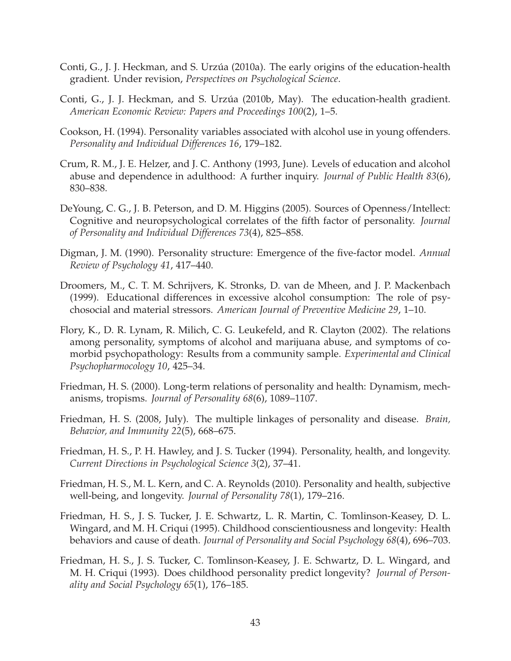- <span id="page-46-0"></span>Conti, G., J. J. Heckman, and S. Urzúa (2010a). The early origins of the education-health gradient. Under revision, *Perspectives on Psychological Science*.
- <span id="page-46-1"></span>Conti, G., J. J. Heckman, and S. Urzúa (2010b, May). The education-health gradient. *American Economic Review: Papers and Proceedings 100*(2), 1–5.
- <span id="page-46-12"></span>Cookson, H. (1994). Personality variables associated with alcohol use in young offenders. *Personality and Individual Differences 16*, 179–182.
- <span id="page-46-10"></span>Crum, R. M., J. E. Helzer, and J. C. Anthony (1993, June). Levels of education and alcohol abuse and dependence in adulthood: A further inquiry. *Journal of Public Health 83*(6), 830–838.
- <span id="page-46-7"></span>DeYoung, C. G., J. B. Peterson, and D. M. Higgins (2005). Sources of Openness/Intellect: Cognitive and neuropsychological correlates of the fifth factor of personality. *Journal of Personality and Individual Differences 73*(4), 825–858.
- <span id="page-46-8"></span>Digman, J. M. (1990). Personality structure: Emergence of the five-factor model. *Annual Review of Psychology 41*, 417–440.
- <span id="page-46-11"></span>Droomers, M., C. T. M. Schrijvers, K. Stronks, D. van de Mheen, and J. P. Mackenbach (1999). Educational differences in excessive alcohol consumption: The role of psychosocial and material stressors. *American Journal of Preventive Medicine 29*, 1–10.
- <span id="page-46-13"></span>Flory, K., D. R. Lynam, R. Milich, C. G. Leukefeld, and R. Clayton (2002). The relations among personality, symptoms of alcohol and marijuana abuse, and symptoms of comorbid psychopathology: Results from a community sample. *Experimental and Clinical Psychopharmocology 10*, 425–34.
- <span id="page-46-2"></span>Friedman, H. S. (2000). Long-term relations of personality and health: Dynamism, mechanisms, tropisms. *Journal of Personality 68*(6), 1089–1107.
- <span id="page-46-3"></span>Friedman, H. S. (2008, July). The multiple linkages of personality and disease. *Brain, Behavior, and Immunity 22*(5), 668–675.
- <span id="page-46-4"></span>Friedman, H. S., P. H. Hawley, and J. S. Tucker (1994). Personality, health, and longevity. *Current Directions in Psychological Science 3*(2), 37–41.
- <span id="page-46-9"></span>Friedman, H. S., M. L. Kern, and C. A. Reynolds (2010). Personality and health, subjective well-being, and longevity. *Journal of Personality 78*(1), 179–216.
- <span id="page-46-5"></span>Friedman, H. S., J. S. Tucker, J. E. Schwartz, L. R. Martin, C. Tomlinson-Keasey, D. L. Wingard, and M. H. Criqui (1995). Childhood conscientiousness and longevity: Health behaviors and cause of death. *Journal of Personality and Social Psychology 68*(4), 696–703.
- <span id="page-46-6"></span>Friedman, H. S., J. S. Tucker, C. Tomlinson-Keasey, J. E. Schwartz, D. L. Wingard, and M. H. Criqui (1993). Does childhood personality predict longevity? *Journal of Personality and Social Psychology 65*(1), 176–185.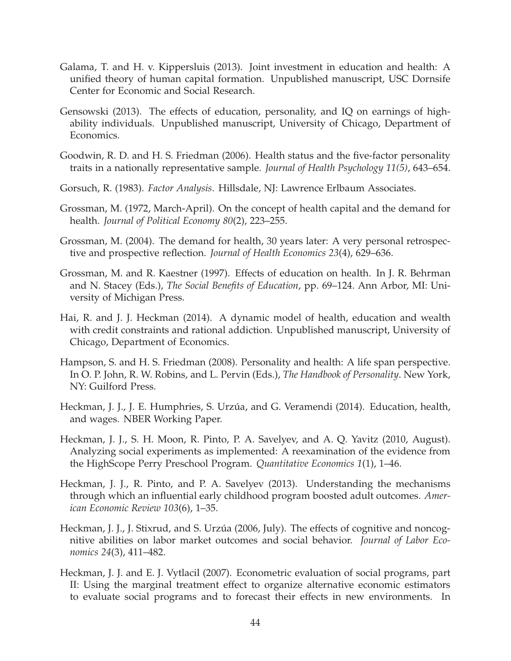- <span id="page-47-10"></span>Galama, T. and H. v. Kippersluis (2013). Joint investment in education and health: A unified theory of human capital formation. Unpublished manuscript, USC Dornsife Center for Economic and Social Research.
- <span id="page-47-6"></span>Gensowski (2013). The effects of education, personality, and IQ on earnings of highability individuals. Unpublished manuscript, University of Chicago, Department of Economics.
- <span id="page-47-4"></span>Goodwin, R. D. and H. S. Friedman (2006). Health status and the five-factor personality traits in a nationally representative sample. *Journal of Health Psychology 11(5)*, 643–654.
- <span id="page-47-8"></span>Gorsuch, R. (1983). *Factor Analysis*. Hillsdale, NJ: Lawrence Erlbaum Associates.
- <span id="page-47-9"></span>Grossman, M. (1972, March-April). On the concept of health capital and the demand for health. *Journal of Political Economy 80*(2), 223–255.
- <span id="page-47-0"></span>Grossman, M. (2004). The demand for health, 30 years later: A very personal retrospective and prospective reflection. *Journal of Health Economics 23*(4), 629–636.
- <span id="page-47-1"></span>Grossman, M. and R. Kaestner (1997). Effects of education on health. In J. R. Behrman and N. Stacey (Eds.), *The Social Benefits of Education*, pp. 69–124. Ann Arbor, MI: University of Michigan Press.
- <span id="page-47-11"></span>Hai, R. and J. J. Heckman (2014). A dynamic model of health, education and wealth with credit constraints and rational addiction. Unpublished manuscript, University of Chicago, Department of Economics.
- <span id="page-47-5"></span>Hampson, S. and H. S. Friedman (2008). Personality and health: A life span perspective. In O. P. John, R. W. Robins, and L. Pervin (Eds.), *The Handbook of Personality*. New York, NY: Guilford Press.
- <span id="page-47-12"></span>Heckman, J. J., J. E. Humphries, S. Urzúa, and G. Veramendi (2014). Education, health, and wages. NBER Working Paper.
- <span id="page-47-13"></span>Heckman, J. J., S. H. Moon, R. Pinto, P. A. Savelyev, and A. Q. Yavitz (2010, August). Analyzing social experiments as implemented: A reexamination of the evidence from the HighScope Perry Preschool Program. *Quantitative Economics 1*(1), 1–46.
- <span id="page-47-7"></span>Heckman, J. J., R. Pinto, and P. A. Savelyev (2013). Understanding the mechanisms through which an influential early childhood program boosted adult outcomes. *American Economic Review 103*(6), 1–35.
- <span id="page-47-3"></span>Heckman, J. J., J. Stixrud, and S. Urzúa (2006, July). The effects of cognitive and noncognitive abilities on labor market outcomes and social behavior. *Journal of Labor Economics 24*(3), 411–482.
- <span id="page-47-2"></span>Heckman, J. J. and E. J. Vytlacil (2007). Econometric evaluation of social programs, part II: Using the marginal treatment effect to organize alternative economic estimators to evaluate social programs and to forecast their effects in new environments. In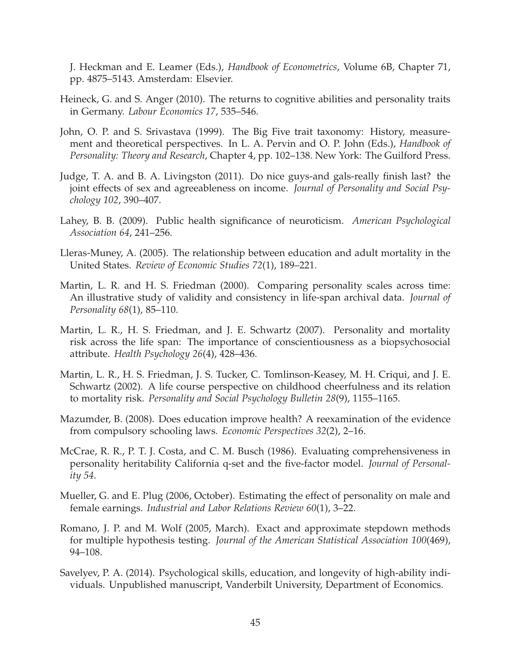<span id="page-48-10"></span><span id="page-48-9"></span>J. Heckman and E. Leamer (Eds.), *Handbook of Econometrics*, Volume 6B, Chapter 71, pp. 4875–5143. Amsterdam: Elsevier.

- <span id="page-48-12"></span>Heineck, G. and S. Anger (2010). The returns to cognitive abilities and personality traits in Germany. *Labour Economics 17*, 535–546.
- <span id="page-48-4"></span>John, O. P. and S. Srivastava (1999). The Big Five trait taxonomy: History, measurement and theoretical perspectives. In L. A. Pervin and O. P. John (Eds.), *Handbook of Personality: Theory and Research*, Chapter 4, pp. 102–138. New York: The Guilford Press.
- <span id="page-48-13"></span>Judge, T. A. and B. A. Livingston (2011). Do nice guys-and gals-really finish last? the joint effects of sex and agreeableness on income. *Journal of Personality and Social Psychology 102*, 390–407.
- <span id="page-48-11"></span>Lahey, B. B. (2009). Public health significance of neuroticism. *American Psychological Association 64*, 241–256.
- <span id="page-48-2"></span>Lleras-Muney, A. (2005). The relationship between education and adult mortality in the United States. *Review of Economic Studies 72*(1), 189–221.
- <span id="page-48-7"></span>Martin, L. R. and H. S. Friedman (2000). Comparing personality scales across time: An illustrative study of validity and consistency in life-span archival data. *Journal of Personality 68*(1), 85–110.
- <span id="page-48-5"></span>Martin, L. R., H. S. Friedman, and J. E. Schwartz (2007). Personality and mortality risk across the life span: The importance of conscientiousness as a biopsychosocial attribute. *Health Psychology 26*(4), 428–436.
- <span id="page-48-6"></span>Martin, L. R., H. S. Friedman, J. S. Tucker, C. Tomlinson-Keasey, M. H. Criqui, and J. E. Schwartz (2002). A life course perspective on childhood cheerfulness and its relation to mortality risk. *Personality and Social Psychology Bulletin 28*(9), 1155–1165.
- <span id="page-48-3"></span>Mazumder, B. (2008). Does education improve health? A reexamination of the evidence from compulsory schooling laws. *Economic Perspectives 32*(2), 2–16.
- <span id="page-48-8"></span>McCrae, R. R., P. T. J. Costa, and C. M. Busch (1986). Evaluating comprehensiveness in personality heritability California q-set and the five-factor model. *Journal of Personality 54*.
- <span id="page-48-14"></span>Mueller, G. and E. Plug (2006, October). Estimating the effect of personality on male and female earnings. *Industrial and Labor Relations Review 60*(1), 3–22.
- <span id="page-48-1"></span>Romano, J. P. and M. Wolf (2005, March). Exact and approximate stepdown methods for multiple hypothesis testing. *Journal of the American Statistical Association 100*(469), 94–108.
- <span id="page-48-0"></span>Savelyev, P. A. (2014). Psychological skills, education, and longevity of high-ability individuals. Unpublished manuscript, Vanderbilt University, Department of Economics.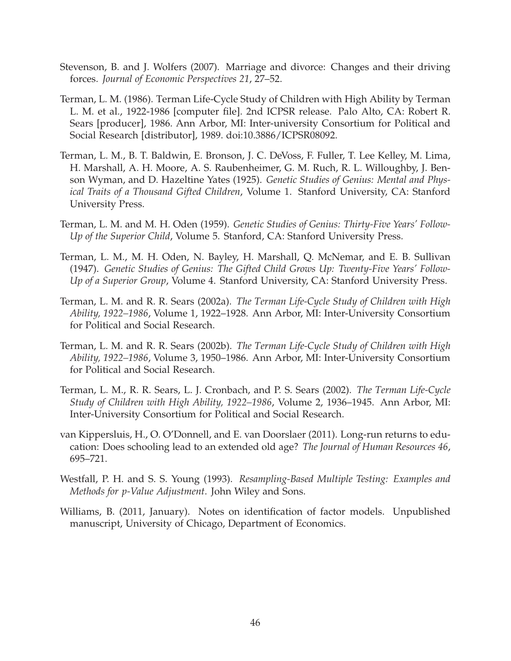- <span id="page-49-10"></span>Stevenson, B. and J. Wolfers (2007). Marriage and divorce: Changes and their driving forces. *Journal of Economic Perspectives 21*, 27–52.
- <span id="page-49-1"></span>Terman, L. M. (1986). Terman Life-Cycle Study of Children with High Ability by Terman L. M. et al., 1922-1986 [computer file]. 2nd ICPSR release. Palo Alto, CA: Robert R. Sears [producer], 1986. Ann Arbor, MI: Inter-university Consortium for Political and Social Research [distributor], 1989. doi:10.3886/ICPSR08092.
- <span id="page-49-3"></span>Terman, L. M., B. T. Baldwin, E. Bronson, J. C. DeVoss, F. Fuller, T. Lee Kelley, M. Lima, H. Marshall, A. H. Moore, A. S. Raubenheimer, G. M. Ruch, R. L. Willoughby, J. Benson Wyman, and D. Hazeltine Yates (1925). *Genetic Studies of Genius: Mental and Physical Traits of a Thousand Gifted Children*, Volume 1. Stanford University, CA: Stanford University Press.
- <span id="page-49-4"></span>Terman, L. M. and M. H. Oden (1959). *Genetic Studies of Genius: Thirty-Five Years' Follow-Up of the Superior Child*, Volume 5. Stanford, CA: Stanford University Press.
- <span id="page-49-5"></span>Terman, L. M., M. H. Oden, N. Bayley, H. Marshall, Q. McNemar, and E. B. Sullivan (1947). *Genetic Studies of Genius: The Gifted Child Grows Up: Twenty-Five Years' Follow-Up of a Superior Group*, Volume 4. Stanford University, CA: Stanford University Press.
- <span id="page-49-2"></span>Terman, L. M. and R. R. Sears (2002a). *The Terman Life-Cycle Study of Children with High Ability, 1922–1986*, Volume 1, 1922–1928. Ann Arbor, MI: Inter-University Consortium for Political and Social Research.
- <span id="page-49-6"></span>Terman, L. M. and R. R. Sears (2002b). *The Terman Life-Cycle Study of Children with High Ability, 1922–1986*, Volume 3, 1950–1986. Ann Arbor, MI: Inter-University Consortium for Political and Social Research.
- <span id="page-49-7"></span>Terman, L. M., R. R. Sears, L. J. Cronbach, and P. S. Sears (2002). *The Terman Life-Cycle Study of Children with High Ability, 1922–1986*, Volume 2, 1936–1945. Ann Arbor, MI: Inter-University Consortium for Political and Social Research.
- <span id="page-49-0"></span>van Kippersluis, H., O. O'Donnell, and E. van Doorslaer (2011). Long-run returns to education: Does schooling lead to an extended old age? *The Journal of Human Resources 46*, 695–721.
- <span id="page-49-9"></span>Westfall, P. H. and S. S. Young (1993). *Resampling-Based Multiple Testing: Examples and Methods for p-Value Adjustment*. John Wiley and Sons.
- <span id="page-49-8"></span>Williams, B. (2011, January). Notes on identification of factor models. Unpublished manuscript, University of Chicago, Department of Economics.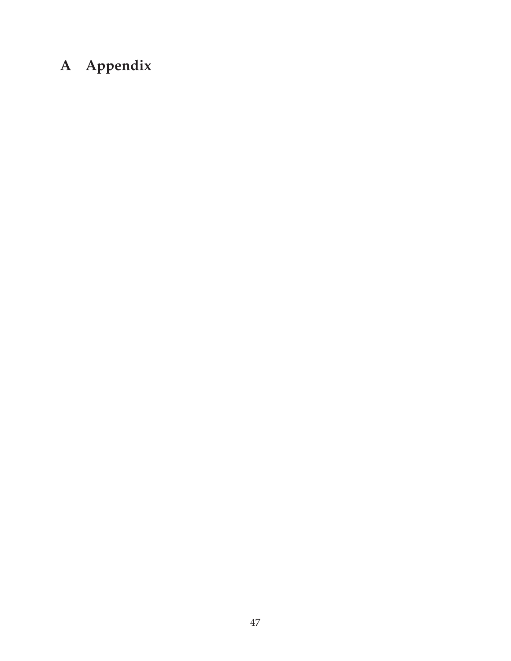# <span id="page-50-0"></span>**A Appendix**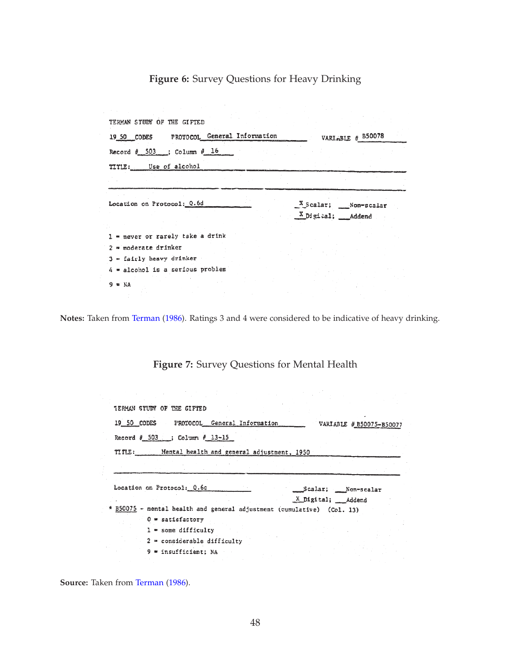# **Figure 6:** Survey Questions for Heavy Drinking

<span id="page-51-0"></span>

| 19 50 CODES PROTOCOL General Information | VARLABLE # B50078    |
|------------------------------------------|----------------------|
| Record $\#$ 503 ; Column $\#$ 16         |                      |
| TITLE: Use of alcohol                    |                      |
|                                          |                      |
| Location on Protocol: Q.6d               | X Scalar; Non-scalar |
|                                          | X Digital; Addend    |
| $1$ = never or rarely take a drink       |                      |
| 2 m moderate drinker                     |                      |
| $3$ = fairly heavy drinker               |                      |
| 4 = alcohol is a serious problem         |                      |

<span id="page-51-1"></span>**Notes:** Taken from [Terman](#page-49-1) [\(1986\)](#page-49-1). Ratings 3 and 4 were considered to be indicative of heavy drinking.

**Figure 7:** Survey Questions for Mental Health

| <b>IERMAN STUDY OF THE GIFTED</b>                                                                                                   |                    |                          |  |
|-------------------------------------------------------------------------------------------------------------------------------------|--------------------|--------------------------|--|
| 19 50 CODES PROTOCOL General Information                                                                                            |                    | VARIABLE # B50075-B50077 |  |
| Record # 503 ; Column # 13-15                                                                                                       |                    |                          |  |
| TITLE: Mental health and general adjustment, 1950                                                                                   |                    |                          |  |
|                                                                                                                                     |                    |                          |  |
|                                                                                                                                     |                    |                          |  |
|                                                                                                                                     | Scalar; Non-scalar |                          |  |
|                                                                                                                                     | X Digital; Addend  |                          |  |
| $0$ = satisfactory                                                                                                                  |                    |                          |  |
| $l =$ some difficulty                                                                                                               |                    |                          |  |
| Location on Protocol: 0.6c<br>* B50075 - mental health and general adjustment (cumulative) (Col. 13)<br>2 = considerable difficulty |                    |                          |  |

**Source:** Taken from [Terman](#page-49-1) [\(1986\)](#page-49-1).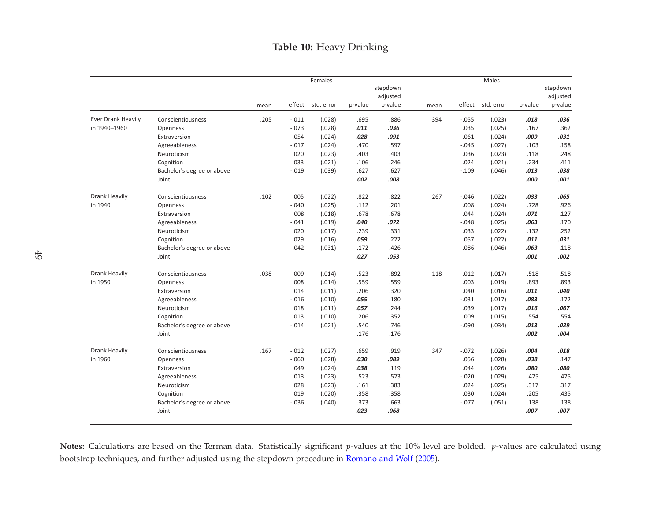# Table 10: Heavy Drinking

<span id="page-52-0"></span>

|                           |                            |      |          | Females    |         |          |      |         | Males      |         |          |
|---------------------------|----------------------------|------|----------|------------|---------|----------|------|---------|------------|---------|----------|
|                           |                            |      |          |            |         | stepdown |      |         |            |         | stepdown |
|                           |                            |      |          |            |         | adjusted |      |         |            |         | adjusted |
|                           |                            | mean | effect   | std. error | p-value | p-value  | mean | effect  | std. error | p-value | p-value  |
| <b>Ever Drank Heavily</b> | Conscientiousness          | .205 | $-.011$  | (.028)     | .695    | .886     | .394 | $-.055$ | (.023)     | .018    | .036     |
| in 1940-1960              | Openness                   |      | $-.073$  | (.028)     | .011    | .036     |      | .035    | (.025)     | .167    | .362     |
|                           | Extraversion               |      | .054     | (.024)     | .028    | .091     |      | .061    | (.024)     | .009    | .031     |
|                           | Agreeableness              |      | $-.017$  | (.024)     | .470    | .597     |      | $-.045$ | (.027)     | .103    | .158     |
|                           | Neuroticism                |      | .020     | (.023)     | .403    | .403     |      | .036    | (.023)     | .118    | .248     |
|                           | Cognition                  |      | .033     | (.021)     | .106    | .246     |      | .024    | (.021)     | .234    | .411     |
|                           | Bachelor's degree or above |      | $-.019$  | (.039)     | .627    | .627     |      | $-.109$ | (.046)     | .013    | .038     |
|                           | Joint                      |      |          |            | .002    | .008     |      |         |            | .000    | .001     |
| <b>Drank Heavily</b>      | Conscientiousness          | .102 | .005     | (.022)     | .822    | .822     | .267 | $-.046$ | (.022)     | .033    | .065     |
| in 1940                   | Openness                   |      | $-.040$  | (.025)     | .112    | .201     |      | .008    | (.024)     | .728    | .926     |
|                           | Extraversion               |      | .008     | (.018)     | .678    | .678     |      | .044    | (.024)     | .071    | .127     |
|                           | Agreeableness              |      | $-.041$  | (.019)     | .040    | .072     |      | $-.048$ | (.025)     | .063    | .170     |
|                           | Neuroticism                |      | .020     | (.017)     | .239    | .331     |      | .033    | (.022)     | .132    | .252     |
|                           | Cognition                  |      | .029     | (.016)     | .059    | .222     |      | .057    | (.022)     | .011    | .031     |
|                           | Bachelor's degree or above |      | $-.042$  | (.031)     | .172    | .426     |      | $-.086$ | (.046)     | .063    | .118     |
|                           | Joint                      |      |          |            | .027    | .053     |      |         |            | .001    | .002     |
| <b>Drank Heavily</b>      | Conscientiousness          | .038 | $-.009$  | (.014)     | .523    | .892     | .118 | $-.012$ | (.017)     | .518    | .518     |
| in 1950                   | Openness                   |      | .008     | (.014)     | .559    | .559     |      | .003    | (.019)     | .893    | .893     |
|                           | Extraversion               |      | .014     | (.011)     | .206    | .320     |      | .040    | (.016)     | .011    | .040     |
|                           | Agreeableness              |      | $-.016$  | (.010)     | .055    | .180     |      | $-.031$ | (.017)     | .083    | .172     |
|                           | Neuroticism                |      | .018     | (.011)     | .057    | .244     |      | .039    | (.017)     | .016    | .067     |
|                           | Cognition                  |      | .013     | (.010)     | .206    | .352     |      | .009    | (.015)     | .554    | .554     |
|                           | Bachelor's degree or above |      | $-.014$  | (.021)     | .540    | .746     |      | $-.090$ | (.034)     | .013    | .029     |
|                           | Joint                      |      |          |            | .176    | .176     |      |         |            | .002    | .004     |
| <b>Drank Heavily</b>      | Conscientiousness          | .167 | $-.012$  | (.027)     | .659    | .919     | .347 | $-.072$ | (.026)     | .004    | .018     |
| in 1960                   | Openness                   |      | $-0.060$ | (.028)     | .030    | .089     |      | .056    | (.028)     | .038    | .147     |
|                           | Extraversion               |      | .049     | (.024)     | .038    | .119     |      | .044    | (.026)     | .080    | .080     |
|                           | Agreeableness              |      | .013     | (.023)     | .523    | .523     |      | $-.020$ | (.029)     | .475    | .475     |
|                           | Neuroticism                |      | .028     | (.023)     | .161    | .383     |      | .024    | (.025)     | .317    | .317     |
|                           | Cognition                  |      | .019     | (.020)     | .358    | .358     |      | .030    | (.024)     | .205    | .435     |
|                           | Bachelor's degree or above |      | $-.036$  | (.040)     | .373    | .663     |      | $-.077$ | (.051)     | .138    | .138     |
|                           | Joint                      |      |          |            | .023    | .068     |      |         |            | .007    | .007     |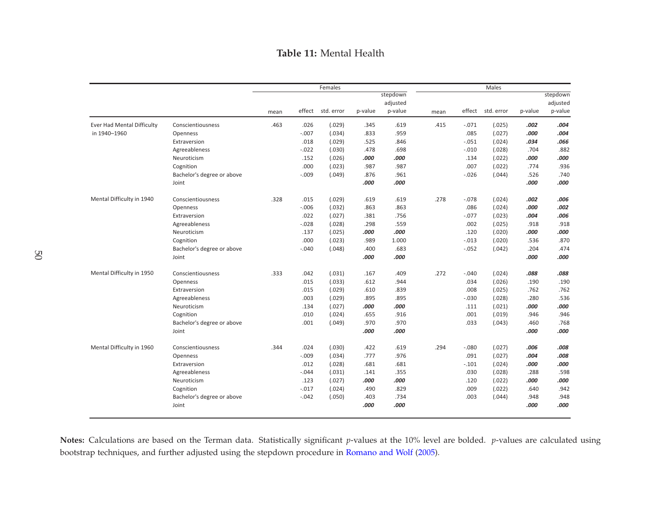### Table 11: Mental Health

<span id="page-53-0"></span>

|                                   |                            |      |         | Females    |         |                                 |      |          | Males             |         |                                 |
|-----------------------------------|----------------------------|------|---------|------------|---------|---------------------------------|------|----------|-------------------|---------|---------------------------------|
|                                   |                            | mean | effect  | std. error | p-value | stepdown<br>adjusted<br>p-value | mean |          | effect std. error | p-value | stepdown<br>adjusted<br>p-value |
|                                   |                            |      |         |            |         |                                 |      |          |                   |         |                                 |
| <b>Ever Had Mental Difficulty</b> | Conscientiousness          | .463 | .026    | (.029)     | .345    | .619                            | .415 | $-.071$  | (.025)            | .002    | .004                            |
| in 1940-1960                      | Openness                   |      | $-.007$ | (.034)     | .833    | .959                            |      | .085     | (.027)            | .000    | .004                            |
|                                   | Extraversion               |      | .018    | (.029)     | .525    | .846                            |      | $-.051$  | (.024)            | .034    | .066                            |
|                                   | Agreeableness              |      | $-.022$ | (.030)     | .478    | .698                            |      | $-.010$  | (.028)            | .704    | .882                            |
|                                   | Neuroticism                |      | .152    | (.026)     | .000    | .000                            |      | .134     | (.022)            | .000    | .000                            |
|                                   | Cognition                  |      | .000    | (.023)     | .987    | .987                            |      | .007     | (.022)            | .774    | .936                            |
|                                   | Bachelor's degree or above |      | $-.009$ | (.049)     | .876    | .961                            |      | $-.026$  | (.044)            | .526    | .740                            |
|                                   | Joint                      |      |         |            | .000    | .000                            |      |          |                   | .000    | .000                            |
| Mental Difficulty in 1940         | Conscientiousness          | .328 | .015    | (.029)     | .619    | .619                            | .278 | $-.078$  | (.024)            | .002    | .006                            |
|                                   | Openness                   |      | $-.006$ | (.032)     | .863    | .863                            |      | .086     | (.024)            | .000    | .002                            |
|                                   | Extraversion               |      | .022    | (.027)     | .381    | .756                            |      | $-.077$  | (.023)            | .004    | .006                            |
|                                   | Agreeableness              |      | $-.028$ | (.028)     | .298    | .559                            |      | .002     | (.025)            | .918    | .918                            |
|                                   | Neuroticism                |      | .137    | (.025)     | .000    | .000                            |      | .120     | (.020)            | .000    | .000                            |
|                                   | Cognition                  |      | .000    | (.023)     | .989    | 1.000                           |      | $-.013$  | (.020)            | .536    | .870                            |
|                                   | Bachelor's degree or above |      | $-.040$ | (.048)     | .400    | .683                            |      | $-0.052$ | (.042)            | .204    | .474                            |
|                                   | Joint                      |      |         |            | .000    | .000                            |      |          |                   | .000    | .000                            |
| Mental Difficulty in 1950         | Conscientiousness          | .333 | .042    | (.031)     | .167    | .409                            | .272 | $-0.040$ | (.024)            | .088    | .088                            |
|                                   | Openness                   |      | .015    | (.033)     | .612    | .944                            |      | .034     | (.026)            | .190    | .190                            |
|                                   | Extraversion               |      | .015    | (.029)     | .610    | .839                            |      | .008     | (.025)            | .762    | .762                            |
|                                   | Agreeableness              |      | .003    | (.029)     | .895    | .895                            |      | $-030$   | (.028)            | .280    | .536                            |
|                                   | Neuroticism                |      | .134    | (.027)     | .000    | .000                            |      | .111     | (.021)            | .000    | .000                            |
|                                   | Cognition                  |      | .010    | (.024)     | .655    | .916                            |      | .001     | (.019)            | .946    | .946                            |
|                                   | Bachelor's degree or above |      | .001    | (.049)     | .970    | .970                            |      | .033     | (.043)            | .460    | .768                            |
|                                   | Joint                      |      |         |            | .000    | .000                            |      |          |                   | .000    | .000                            |
| Mental Difficulty in 1960         | Conscientiousness          | .344 | .024    | (.030)     | .422    | .619                            | .294 | $-.080$  | (.027)            | .006    | .008                            |
|                                   | Openness                   |      | $-.009$ | (.034)     | .777    | .976                            |      | .091     | (.027)            | .004    | .008                            |
|                                   | Extraversion               |      | .012    | (.028)     | .681    | .681                            |      | $-.101$  | (.024)            | .000    | .000                            |
|                                   | Agreeableness              |      | $-.044$ | (.031)     | .141    | .355                            |      | .030     | (.028)            | .288    | .598                            |
|                                   | Neuroticism                |      | .123    | (.027)     | .000    | .000                            |      | .120     | (.022)            | .000    | .000                            |
|                                   | Cognition                  |      | $-.017$ | (.024)     | .490    | .829                            |      | .009     | (.022)            | .640    | .942                            |
|                                   | Bachelor's degree or above |      | $-.042$ | (.050)     | .403    | .734                            |      | .003     | (.044)            | .948    | .948                            |
|                                   | Joint                      |      |         |            | .000    | .000                            |      |          |                   | .000    | .000                            |
|                                   |                            |      |         |            |         |                                 |      |          |                   |         |                                 |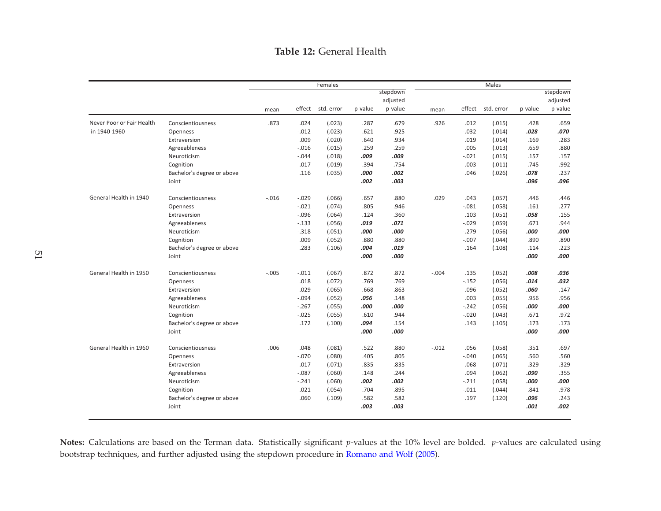## Table 12: General Health

<span id="page-54-0"></span>

|                           |                            |         |         | Females    |         |                                 |         |          | Males      |         |                                 |
|---------------------------|----------------------------|---------|---------|------------|---------|---------------------------------|---------|----------|------------|---------|---------------------------------|
|                           |                            | mean    | effect  | std. error | p-value | stepdown<br>adjusted<br>p-value | mean    | effect   | std. error | p-value | stepdown<br>adjusted<br>p-value |
| Never Poor or Fair Health | Conscientiousness          | .873    | .024    | (.023)     | .287    | .679                            | .926    | .012     | (.015)     | .428    | .659                            |
| in 1940-1960              | Openness                   |         | $-.012$ | (.023)     | .621    | .925                            |         | $-0.032$ | (.014)     | .028    | .070                            |
|                           | Extraversion               |         | .009    | (.020)     | .640    | .934                            |         | .019     | (.014)     | .169    | .283                            |
|                           | Agreeableness              |         | $-.016$ | (.015)     | .259    | .259                            |         | .005     | (.013)     | .659    | .880                            |
|                           | Neuroticism                |         | $-.044$ | (.018)     | .009    | .009                            |         | $-.021$  | (.015)     | .157    | .157                            |
|                           | Cognition                  |         | $-.017$ | (.019)     | .394    | .754                            |         | .003     | (.011)     | .745    | .992                            |
|                           | Bachelor's degree or above |         | .116    | (.035)     | .000    | .002                            |         | .046     | (.026)     | .078    | .237                            |
|                           | Joint                      |         |         |            | .002    | .003                            |         |          |            | .096    | .096                            |
| General Health in 1940    | Conscientiousness          | $-.016$ | $-.029$ | (.066)     | .657    | .880                            | .029    | .043     | (.057)     | .446    | .446                            |
|                           | Openness                   |         | $-.021$ | (.074)     | .805    | .946                            |         | $-.081$  | (.058)     | .161    | .277                            |
|                           | Extraversion               |         | $-.096$ | (.064)     | .124    | .360                            |         | .103     | (.051)     | .058    | .155                            |
|                           | Agreeableness              |         | $-.133$ | (.056)     | .019    | .071                            |         | $-0.029$ | (.059)     | .671    | .944                            |
|                           | Neuroticism                |         | $-.318$ | (.051)     | .000    | .000                            |         | $-.279$  | (.056)     | .000    | .000                            |
|                           | Cognition                  |         | .009    | (.052)     | .880    | .880                            |         | $-.007$  | (.044)     | .890    | .890                            |
|                           | Bachelor's degree or above |         | .283    | (.106)     | .004    | .019                            |         | .164     | (.108)     | .114    | .223                            |
|                           | Joint                      |         |         |            | .000    | .000                            |         |          |            | .000    | .000                            |
| General Health in 1950    | Conscientiousness          | $-.005$ | $-.011$ | (.067)     | .872    | .872                            | $-.004$ | .135     | (.052)     | .008    | .036                            |
|                           | Openness                   |         | .018    | (.072)     | .769    | .769                            |         | $-0.152$ | (.056)     | .014    | .032                            |
|                           | Extraversion               |         | .029    | (.065)     | .668    | .863                            |         | .096     | (.052)     | .060    | .147                            |
|                           | Agreeableness              |         | $-.094$ | (.052)     | .056    | .148                            |         | .003     | (.055)     | .956    | .956                            |
|                           | Neuroticism                |         | $-.267$ | (.055)     | .000    | .000                            |         | $-.242$  | (.056)     | .000    | .000                            |
|                           | Cognition                  |         | $-.025$ | (.055)     | .610    | .944                            |         | $-0.020$ | (.043)     | .671    | .972                            |
|                           | Bachelor's degree or above |         | .172    | (.100)     | .094    | .154                            |         | .143     | (.105)     | .173    | .173                            |
|                           | Joint                      |         |         |            | .000    | .000                            |         |          |            | .000    | .000                            |
| General Health in 1960    | Conscientiousness          | .006    | .048    | (.081)     | .522    | .880                            | $-.012$ | .056     | (.058)     | .351    | .697                            |
|                           | Openness                   |         | $-.070$ | (.080)     | .405    | .805                            |         | $-.040$  | (.065)     | .560    | .560                            |
|                           | Extraversion               |         | .017    | (.071)     | .835    | .835                            |         | .068     | (.071)     | .329    | .329                            |
|                           | Agreeableness              |         | $-.087$ | (.060)     | .148    | .244                            |         | .094     | (.062)     | .090    | .355                            |
|                           | Neuroticism                |         | $-.241$ | (.060)     | .002    | .002                            |         | $-.211$  | (.058)     | .000    | .000                            |
|                           | Cognition                  |         | .021    | (.054)     | .704    | .895                            |         | $-.011$  | (.044)     | .841    | .978                            |
|                           | Bachelor's degree or above |         | .060    | (.109)     | .582    | .582                            |         | .197     | (.120)     | .096    | .243                            |
|                           | Joint                      |         |         |            | .003    | .003                            |         |          |            | .001    | .002                            |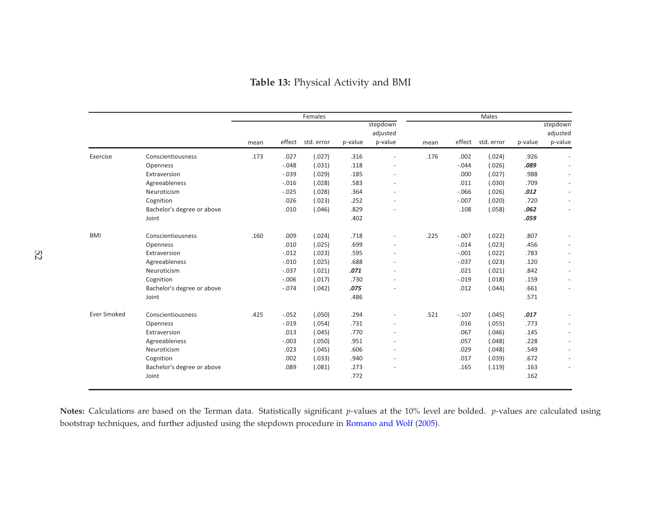<span id="page-55-0"></span>

|                                 |         | Males             |         |      |                                 |         | Females           |         |      |                            |                    |
|---------------------------------|---------|-------------------|---------|------|---------------------------------|---------|-------------------|---------|------|----------------------------|--------------------|
| stepdown<br>adjusted<br>p-value | p-value | effect std. error |         | mean | stepdown<br>adjusted<br>p-value | p-value | effect std. error |         | mean |                            |                    |
|                                 | .926    | (.024)            | .002    | .176 | $\sim$                          | .316    | (.027)            | .027    | .173 | Conscientiousness          | Exercise           |
|                                 | .089    | (.026)            | $-.044$ |      | ٠                               | .118    | (.031)            | $-.048$ |      | Openness                   |                    |
|                                 | .988    | (.027)            | .000    |      | ÷,                              | .185    | (.029)            | $-.039$ |      | Extraversion               |                    |
|                                 | .709    | (.030)            | .011    |      | $\sim$                          | .583    | (.028)            | $-.016$ |      | Agreeableness              |                    |
|                                 | .012    | (.026)            | $-.066$ |      | $\overline{a}$                  | .364    | (.028)            | $-.025$ |      | Neuroticism                |                    |
|                                 | .720    | (.020)            | $-.007$ |      | $\sim$                          | .252    | (.023)            | .026    |      | Cognition                  |                    |
|                                 | .062    | (.058)            | .108    |      | ٠                               | .829    | (.046)            | .010    |      | Bachelor's degree or above |                    |
|                                 | .059    |                   |         |      |                                 | .402    |                   |         |      | Joint                      |                    |
|                                 | .807    | (.022)            | $-.007$ | .225 | $\overline{\phantom{a}}$        | .718    | (.024)            | .009    | .160 | Conscientiousness          | <b>BMI</b>         |
|                                 | .456    | (.023)            | $-.014$ |      | ÷,                              | .699    | (.025)            | .010    |      | Openness                   |                    |
|                                 | .783    | (.022)            | $-.001$ |      | $\sim$                          | .595    | (.023)            | $-.012$ |      | Extraversion               |                    |
|                                 | .120    | (.023)            | $-.037$ |      | $\overline{a}$                  | .688    | (.025)            | $-.010$ |      | Agreeableness              |                    |
|                                 | .842    | (.021)            | .021    |      | $\sim$                          | .071    | (.021)            | $-.037$ |      | Neuroticism                |                    |
|                                 | .159    | (.018)            | $-.019$ |      | $\overline{a}$                  | .730    | (.017)            | $-.006$ |      | Cognition                  |                    |
|                                 | .661    | (.044)            | .012    |      |                                 | .075    | (.042)            | $-.074$ |      | Bachelor's degree or above |                    |
|                                 | .571    |                   |         |      |                                 | .486    |                   |         |      | Joint                      |                    |
|                                 | .017    | (.045)            | $-.107$ | .521 | $\sim$                          | .294    | (.050)            | $-.052$ | .425 | Conscientiousness          | <b>Ever Smoked</b> |
|                                 | .773    | (.055)            | .016    |      | ÷,                              | .731    | (.054)            | $-.019$ |      | Openness                   |                    |
|                                 | .145    | (.046)            | .067    |      | $\sim$                          | .770    | (.045)            | .013    |      | Extraversion               |                    |
|                                 | .228    | (.048)            | .057    |      | ÷                               | .951    | (.050)            | $-.003$ |      | Agreeableness              |                    |
|                                 | .549    | (.048)            | .029    |      | ٠                               | .606    | (.045)            | .023    |      | Neuroticism                |                    |
|                                 | .672    | (.039)            | .017    |      | $\sim$                          | .940    | (.033)            | .002    |      | Cognition                  |                    |
|                                 | .163    | (.119)            | .165    |      |                                 | .273    | (.081)            | .089    |      | Bachelor's degree or above |                    |
|                                 | .162    |                   |         |      |                                 | .772    |                   |         |      | Joint                      |                    |
|                                 |         |                   |         |      |                                 |         |                   |         |      |                            |                    |

## Table 13: Physical Activity and BMI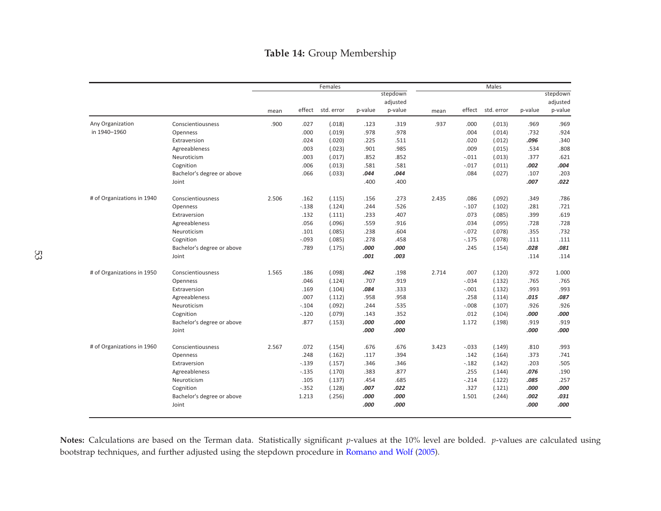## Table 14: Group Membership

<span id="page-56-0"></span>

|                            |                            |       |         | Females    |         |          |       |         | Males      |         |          |
|----------------------------|----------------------------|-------|---------|------------|---------|----------|-------|---------|------------|---------|----------|
|                            |                            |       |         |            |         | stepdown |       |         |            |         | stepdown |
|                            |                            |       |         |            |         | adjusted |       |         |            |         | adjusted |
|                            |                            | mean  | effect  | std. error | p-value | p-value  | mean  | effect  | std. error | p-value | p-value  |
| Any Organization           | Conscientiousness          | .900  | .027    | (.018)     | .123    | .319     | .937  | .000    | (.013)     | .969    | .969     |
| in 1940-1960               | Openness                   |       | .000    | (.019)     | .978    | .978     |       | .004    | (.014)     | .732    | .924     |
|                            | Extraversion               |       | .024    | (.020)     | .225    | .511     |       | .020    | (.012)     | .096    | .340     |
|                            | Agreeableness              |       | .003    | (.023)     | .901    | .985     |       | .009    | (.015)     | .534    | .808     |
|                            | Neuroticism                |       | .003    | (.017)     | .852    | .852     |       | $-.011$ | (.013)     | .377    | .621     |
|                            | Cognition                  |       | .006    | (.013)     | .581    | .581     |       | $-.017$ | (.011)     | .002    | .004     |
|                            | Bachelor's degree or above |       | .066    | (.033)     | .044    | .044     |       | .084    | (.027)     | .107    | .203     |
|                            | Joint                      |       |         |            | .400    | .400     |       |         |            | .007    | .022     |
| # of Organizations in 1940 | Conscientiousness          | 2.506 | .162    | (.115)     | .156    | .273     | 2.435 | .086    | (.092)     | .349    | .786     |
|                            | Openness                   |       | $-.138$ | (.124)     | .244    | .526     |       | $-.107$ | (.102)     | .281    | .721     |
|                            | Extraversion               |       | .132    | (.111)     | .233    | .407     |       | .073    | (.085)     | .399    | .619     |
|                            | Agreeableness              |       | .056    | (.096)     | .559    | .916     |       | .034    | (.095)     | .728    | .728     |
|                            | Neuroticism                |       | .101    | (.085)     | .238    | .604     |       | $-.072$ | (.078)     | .355    | .732     |
|                            | Cognition                  |       | $-.093$ | (.085)     | .278    | .458     |       | $-.175$ | (.078)     | .111    | .111     |
|                            | Bachelor's degree or above |       | .789    | (.175)     | .000    | .000     |       | .245    | (.154)     | .028    | .081     |
|                            | Joint                      |       |         |            | .001    | .003     |       |         |            | .114    | .114     |
| # of Organizations in 1950 | Conscientiousness          | 1.565 | .186    | (.098)     | .062    | .198     | 2.714 | .007    | (.120)     | .972    | 1.000    |
|                            | Openness                   |       | .046    | (.124)     | .707    | .919     |       | $-.034$ | (.132)     | .765    | .765     |
|                            | Extraversion               |       | .169    | (.104)     | .084    | .333     |       | $-.001$ | (.132)     | .993    | .993     |
|                            | Agreeableness              |       | .007    | (.112)     | .958    | .958     |       | .258    | (.114)     | .015    | .087     |
|                            | Neuroticism                |       | $-.104$ | (.092)     | .244    | .535     |       | $-.008$ | (.107)     | .926    | .926     |
|                            | Cognition                  |       | $-.120$ | (.079)     | .143    | .352     |       | .012    | (.104)     | .000    | .000     |
|                            | Bachelor's degree or above |       | .877    | (.153)     | .000    | .000     |       | 1.172   | (.198)     | .919    | .919     |
|                            | Joint                      |       |         |            | .000    | .000     |       |         |            | .000    | .000     |
| # of Organizations in 1960 | Conscientiousness          | 2.567 | .072    | (.154)     | .676    | .676     | 3.423 | $-.033$ | (.149)     | .810    | .993     |
|                            | Openness                   |       | .248    | (.162)     | .117    | .394     |       | .142    | (.164)     | .373    | .741     |
|                            | Extraversion               |       | $-.139$ | (.157)     | .346    | .346     |       | $-.182$ | (.142)     | .203    | .505     |
|                            | Agreeableness              |       | $-.135$ | (.170)     | .383    | .877     |       | .255    | (.144)     | .076    | .190     |
|                            | Neuroticism                |       | .105    | (.137)     | .454    | .685     |       | $-.214$ | (.122)     | .085    | .257     |
|                            | Cognition                  |       | $-.352$ | (.128)     | .007    | .022     |       | .327    | (.121)     | .000    | .000     |
|                            | Bachelor's degree or above |       | 1.213   | (.256)     | .000    | .000     |       | 1.501   | (.244)     | .002    | .031     |
|                            | Joint                      |       |         |            | .000    | .000     |       |         |            | .000    | .000     |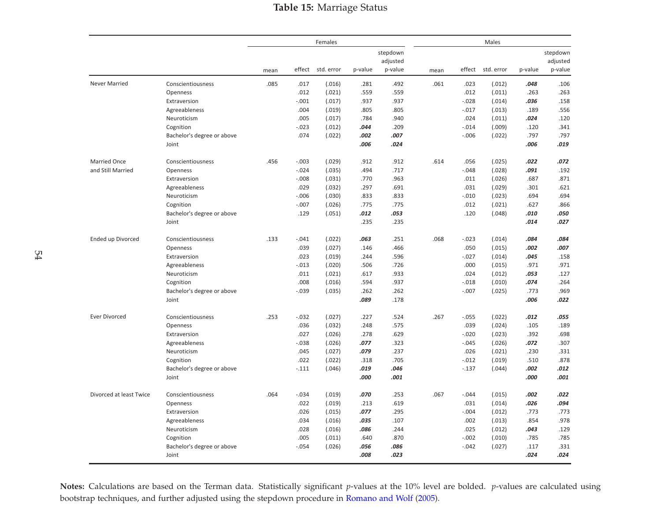## Table 15: Marriage Status

<span id="page-57-0"></span>

|                          |                            |      |          | Females    |         |          |      |          | Males      |         |          |
|--------------------------|----------------------------|------|----------|------------|---------|----------|------|----------|------------|---------|----------|
|                          |                            |      |          |            |         | stepdown |      |          |            |         | stepdown |
|                          |                            |      |          |            |         | adjusted |      |          |            |         | adjusted |
|                          |                            | mean | effect   | std. error | p-value | p-value  | mean | effect   | std. error | p-value | p-value  |
| Never Married            | Conscientiousness          | .085 | .017     | (.016)     | .281    | .492     | .061 | .023     | (.012)     | .048    | .106     |
|                          | Openness                   |      | .012     | (.021)     | .559    | .559     |      | .012     | (.011)     | .263    | .263     |
|                          | Extraversion               |      | $-.001$  | (.017)     | .937    | .937     |      | $-0.028$ | (.014)     | .036    | .158     |
|                          | Agreeableness              |      | .004     | (.019)     | .805    | .805     |      | $-0.017$ | (.013)     | .189    | .556     |
|                          | Neuroticism                |      | .005     | (.017)     | .784    | .940     |      | .024     | (.011)     | .024    | .120     |
|                          | Cognition                  |      | $-0.023$ | (.012)     | .044    | .209     |      | $-.014$  | (.009)     | .120    | .341     |
|                          | Bachelor's degree or above |      | .074     | (.022)     | .002    | .007     |      | $-0.006$ | (.022)     | .797    | .797     |
|                          | Joint                      |      |          |            | .006    | .024     |      |          |            | .006    | .019     |
| <b>Married Once</b>      | Conscientiousness          | .456 | $-.003$  | (.029)     | .912    | .912     | .614 | .056     | (.025)     | .022    | .072     |
| and Still Married        | Openness                   |      | $-.024$  | (.035)     | .494    | .717     |      | $-.048$  | (.028)     | .091    | .192     |
|                          | Extraversion               |      | $-.008$  | (.031)     | .770    | .963     |      | .011     | (.026)     | .687    | .871     |
|                          | Agreeableness              |      | .029     | (.032)     | .297    | .691     |      | .031     | (.029)     | .301    | .621     |
|                          | Neuroticism                |      | $-0.006$ | (.030)     | .833    | .833     |      | $-.010$  | (.023)     | .694    | .694     |
|                          | Cognition                  |      | $-.007$  | (.026)     | .775    | .775     |      | .012     | (.021)     | .627    | .866     |
|                          | Bachelor's degree or above |      | .129     | (.051)     | .012    | .053     |      | .120     | (.048)     | .010    | .050     |
|                          | Joint                      |      |          |            | .235    | .235     |      |          |            | .014    | .027     |
| <b>Ended up Divorced</b> | Conscientiousness          | .133 | $-.041$  | (.022)     | .063    | .251     | .068 | $-.023$  | (.014)     | .084    | .084     |
|                          | Openness                   |      | .039     | (.027)     | .146    | .466     |      | .050     | (.015)     | .002    | .007     |
|                          | Extraversion               |      | .023     | (.019)     | .244    | .596     |      | $-0.027$ | (.014)     | .045    | .158     |
|                          | Agreeableness              |      | $-0.013$ | (.020)     | .506    | .726     |      | .000     | (.015)     | .971    | .971     |
|                          | Neuroticism                |      | .011     | (.021)     | .617    | .933     |      | .024     | (.012)     | .053    | .127     |
|                          | Cognition                  |      | .008     | (.016)     | .594    | .937     |      | $-.018$  | (.010)     | .074    | .264     |
|                          | Bachelor's degree or above |      | $-0.039$ | (.035)     | .262    | .262     |      | $-.007$  | (.025)     | .773    | .969     |
|                          | Joint                      |      |          |            | .089    | .178     |      |          |            | .006    | .022     |
| <b>Ever Divorced</b>     | Conscientiousness          | .253 | $-0.032$ | (.027)     | .227    | .524     | .267 | $-.055$  | (.022)     | .012    | .055     |
|                          | Openness                   |      | .036     | (.032)     | .248    | .575     |      | .039     | (.024)     | .105    | .189     |
|                          | Extraversion               |      | .027     | (.026)     | .278    | .629     |      | $-.020$  | (.023)     | .392    | .698     |
|                          | Agreeableness              |      | $-0.038$ | (.026)     | .077    | .323     |      | $-.045$  | (.026)     | .072    | .307     |
|                          | Neuroticism                |      | .045     | (.027)     | .079    | .237     |      | .026     | (.021)     | .230    | .331     |
|                          | Cognition                  |      | .022     | (.022)     | .318    | .705     |      | $-.012$  | (.019)     | .510    | .878     |
|                          | Bachelor's degree or above |      | $-.111$  | (.046)     | .019    | .046     |      | $-.137$  | (.044)     | .002    | .012     |
|                          | Joint                      |      |          |            | .000    | .001     |      |          |            | .000    | .001     |
| Divorced at least Twice  | Conscientiousness          | .064 | $-0.034$ | (.019)     | .070    | .253     | .067 | $-.044$  | (.015)     | .002    | .022     |
|                          | Openness                   |      | .022     | (.019)     | .213    | .619     |      | .031     | (.014)     | .026    | .094     |
|                          | Extraversion               |      | .026     | (.015)     | .077    | .295     |      | $-.004$  | (.012)     | .773    | .773     |
|                          | Agreeableness              |      | .034     | (.016)     | .035    | .107     |      | .002     | (.013)     | .854    | .978     |
|                          | Neuroticism                |      | .028     | (.016)     | .086    | .244     |      | .025     | (.012)     | .043    | .129     |
|                          | Cognition                  |      | .005     | (.011)     | .640    | .870     |      | $-.002$  | (.010)     | .785    | .785     |
|                          | Bachelor's degree or above |      | $-0.054$ | (.026)     | .056    | .086     |      | $-.042$  | (.027)     | .117    | .331     |
|                          | Joint                      |      |          |            | .008    | .023     |      |          |            | .024    | .024     |